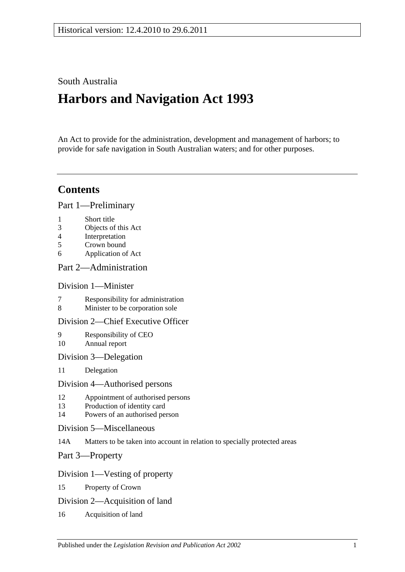# South Australia

# **Harbors and Navigation Act 1993**

An Act to provide for the administration, development and management of harbors; to provide for safe navigation in South Australian waters; and for other purposes.

# **Contents**

[Part 1—Preliminary](#page-6-0)

- 1 [Short title](#page-6-1)
- 3 [Objects of this Act](#page-6-2)
- 4 [Interpretation](#page-6-3)
- 5 [Crown bound](#page-10-0)
- 6 [Application of Act](#page-10-1)

## [Part 2—Administration](#page-12-0)

## [Division 1—Minister](#page-12-1)

- 7 [Responsibility for administration](#page-12-2)<br>8 Minister to be corporation sole
- [Minister to be corporation sole](#page-12-3)

## [Division 2—Chief Executive Officer](#page-12-4)

- 9 [Responsibility of CEO](#page-12-5) 10 [Annual report](#page-12-6)
- [Division 3—Delegation](#page-12-7)
- 11 [Delegation](#page-12-8)

#### [Division 4—Authorised persons](#page-12-9)

- 12 [Appointment of authorised persons](#page-12-10)
- 13 [Production of identity card](#page-13-0)
- 14 [Powers of an authorised person](#page-13-1)
- [Division 5—Miscellaneous](#page-15-0)
- 14A [Matters to be taken into account in relation to specially protected areas](#page-15-1)

[Part 3—Property](#page-16-0)

## [Division 1—Vesting of property](#page-16-1)

- 15 [Property of Crown](#page-16-2)
- [Division 2—Acquisition of land](#page-16-3)
- 16 [Acquisition of land](#page-16-4)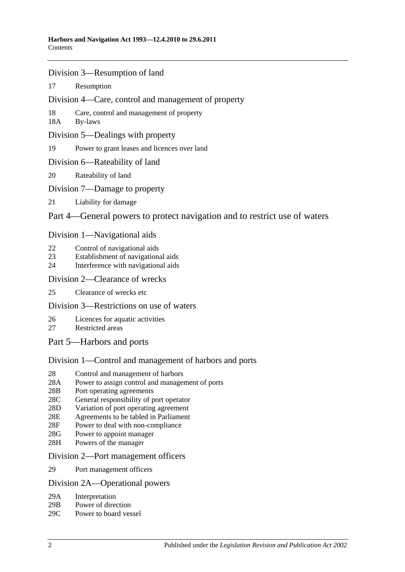- [Division 3—Resumption of land](#page-16-5)
- 17 [Resumption](#page-16-6)
- [Division 4—Care, control and management of property](#page-17-0)
- 18 [Care, control and management of property](#page-17-1)
- 18A [By-laws](#page-17-2)
- [Division 5—Dealings with property](#page-18-0)
- 19 [Power to grant leases and licences over land](#page-18-1)
- [Division 6—Rateability of land](#page-18-2)
- 20 [Rateability of land](#page-18-3)
- [Division 7—Damage to property](#page-18-4)
- 21 [Liability for damage](#page-18-5)

## [Part 4—General powers to protect navigation and to restrict use of waters](#page-20-0)

## [Division 1—Navigational aids](#page-20-1)

- 22 [Control of navigational aids](#page-20-2)
- 23 [Establishment of navigational aids](#page-20-3)
- 24 [Interference with navigational aids](#page-20-4)

## [Division 2—Clearance of wrecks](#page-21-0)

25 [Clearance of wrecks etc](#page-21-1)

## [Division 3—Restrictions on use of waters](#page-21-2)

- 26 [Licences for aquatic activities](#page-21-3)
- 27 [Restricted areas](#page-22-0)
- [Part 5—Harbors and ports](#page-24-0)

# [Division 1—Control and management of harbors and ports](#page-24-1)

- 28 [Control and management of harbors](#page-24-2)
- 28A [Power to assign control and management of ports](#page-24-3)
- 28B [Port operating agreements](#page-24-4)
- 28C [General responsibility of port operator](#page-25-0)
- 28D [Variation of port operating agreement](#page-25-1)
- 28E [Agreements to be tabled in Parliament](#page-25-2)
- 28F [Power to deal with non-compliance](#page-25-3)
- 28G [Power to appoint manager](#page-26-0)
- 28H [Powers of the manager](#page-26-1)

#### [Division 2—Port management officers](#page-27-0)

29 [Port management officers](#page-27-1)

#### [Division 2A—Operational powers](#page-27-2)

- 29A [Interpretation](#page-27-3)
- 29B [Power of direction](#page-27-4)
- 29C [Power to board vessel](#page-28-0)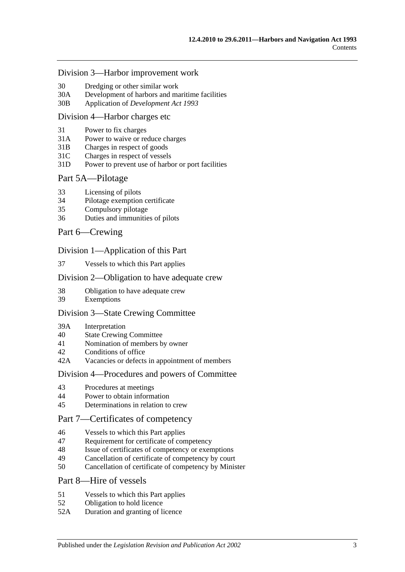#### [Division 3—Harbor improvement work](#page-28-1)

- 30 [Dredging or other similar work](#page-28-2)
- 30A [Development of harbors and maritime facilities](#page-28-3)
- 30B Application of *[Development Act](#page-29-0) 1993*

#### [Division 4—Harbor charges etc](#page-29-1)

- 31 [Power to fix charges](#page-29-2)
- 31A Power to waive [or reduce charges](#page-29-3)
- 31B [Charges in respect of goods](#page-29-4)
- 31C [Charges in respect of vessels](#page-30-0)
- 31D [Power to prevent use of harbor or port facilities](#page-30-1)

#### [Part 5A—Pilotage](#page-32-0)

- 33 [Licensing of pilots](#page-32-1)
- 34 [Pilotage exemption certificate](#page-32-2)
- 35 [Compulsory pilotage](#page-33-0)
- 36 [Duties and immunities of pilots](#page-33-1)

#### [Part 6—Crewing](#page-34-0)

#### [Division 1—Application of this Part](#page-34-1)

37 [Vessels to which this Part applies](#page-34-2)

#### [Division 2—Obligation to have adequate crew](#page-34-3)

- 38 [Obligation to have adequate crew](#page-34-4)
- 39 [Exemptions](#page-34-5)

#### [Division 3—State Crewing Committee](#page-34-6)

- 39A [Interpretation](#page-34-7)
- 40 [State Crewing Committee](#page-35-0)
- 41 [Nomination of members by owner](#page-35-1)
- 42 [Conditions of office](#page-36-0)
- 42A [Vacancies or defects in appointment of members](#page-36-1)

#### [Division 4—Procedures and powers of Committee](#page-36-2)

- 43 [Procedures at meetings](#page-36-3)
- 44 [Power to obtain information](#page-37-0)
- 45 [Determinations in relation to crew](#page-37-1)

## [Part 7—Certificates of competency](#page-38-0)

- 46 [Vessels to which this Part applies](#page-38-1)
- 47 [Requirement for certificate of competency](#page-38-2)
- 48 [Issue of certificates of competency or exemptions](#page-39-0)
- 49 [Cancellation of certificate of competency by court](#page-40-0)
- 50 [Cancellation of certificate of competency by Minister](#page-40-1)

## [Part 8—Hire of vessels](#page-42-0)

- 51 [Vessels to which this Part applies](#page-42-1)
- 52 [Obligation to hold licence](#page-42-2)
- 52A [Duration and granting of licence](#page-42-3)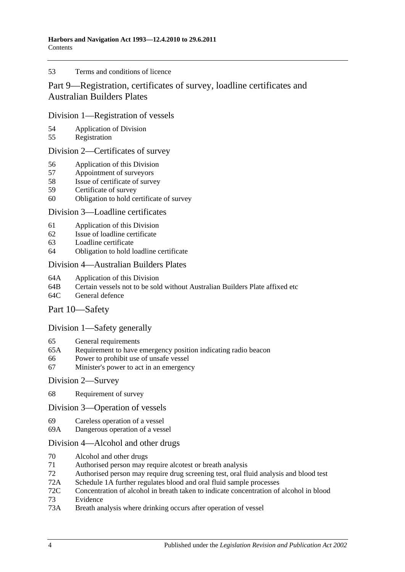#### 53 [Terms and conditions of licence](#page-42-4)

# [Part 9—Registration, certificates of survey, loadline certificates and](#page-44-0)  [Australian Builders Plates](#page-44-0)

## [Division 1—Registration of vessels](#page-44-1)

- 54 [Application of Division](#page-44-2)<br>55 Registration
- [Registration](#page-44-3)

## [Division 2—Certificates of survey](#page-44-4)

- 56 [Application of this Division](#page-44-5)
- 57 [Appointment of surveyors](#page-44-6)
- 58 [Issue of certificate of survey](#page-45-0)
- 59 [Certificate of survey](#page-45-1)
- 60 [Obligation to hold certificate of survey](#page-45-2)

## [Division 3—Loadline certificates](#page-46-0)

- 61 [Application of this Division](#page-46-1)<br>62 Issue of loadline certificate
- [Issue of loadline certificate](#page-46-2)
- 63 [Loadline certificate](#page-46-3)
- 64 [Obligation to hold loadline certificate](#page-46-4)

## [Division 4—Australian Builders Plates](#page-47-0)

- 64A [Application of this Division](#page-47-1)
- 64B [Certain vessels not to be sold without Australian Builders Plate affixed etc](#page-47-2)
- 64C [General defence](#page-48-0)

## [Part 10—Safety](#page-50-0)

## [Division 1—Safety generally](#page-50-1)

- 65 [General requirements](#page-50-2)
- 65A [Requirement to have emergency position indicating radio beacon](#page-50-3)
- 66 [Power to prohibit use of unsafe vessel](#page-50-4)
- 67 [Minister's power to act in an emergency](#page-51-0)

### [Division 2—Survey](#page-51-1)

68 [Requirement of survey](#page-51-2)

#### [Division 3—Operation of vessels](#page-52-0)

- 69 [Careless operation of a vessel](#page-52-1)
- 69A [Dangerous operation of a vessel](#page-52-2)

## [Division 4—Alcohol and other drugs](#page-52-3)

- 70 [Alcohol and other drugs](#page-52-4)
- 71 [Authorised person may require alcotest or breath analysis](#page-54-0)
- 72 [Authorised person may require drug screening test, oral fluid analysis and blood test](#page-56-0)
- 72A [Schedule 1A](#page-60-0) [further regulates blood and oral fluid sample processes](#page-60-0)
- 72C [Concentration of alcohol in breath taken to indicate concentration of alcohol in blood](#page-60-1)
- 73 [Evidence](#page-60-2)
- 73A [Breath analysis where drinking occurs after operation of vessel](#page-64-0)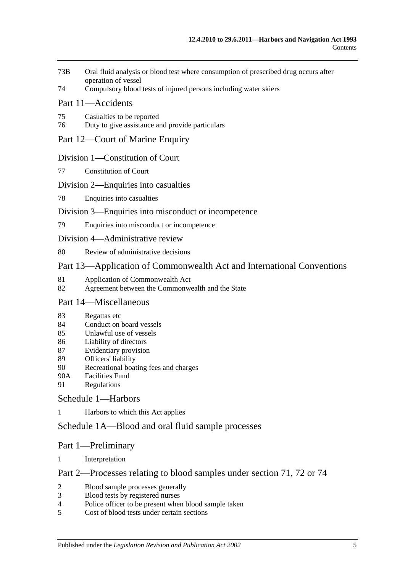- 73B [Oral fluid analysis or blood test where consumption of prescribed drug occurs after](#page-65-0)  [operation of vessel](#page-65-0)
- 74 [Compulsory blood tests of injured persons including water skiers](#page-65-1)

## [Part 11—Accidents](#page-68-0)

- 75 [Casualties to be reported](#page-68-1)
- 76 [Duty to give assistance and provide particulars](#page-68-2)

## [Part 12—Court of Marine Enquiry](#page-70-0)

## [Division 1—Constitution of Court](#page-70-1)

77 [Constitution of Court](#page-70-2)

## [Division 2—Enquiries into casualties](#page-70-3)

78 [Enquiries into casualties](#page-70-4)

## [Division 3—Enquiries into misconduct or incompetence](#page-70-5)

79 [Enquiries into misconduct or incompetence](#page-70-6)

#### [Division 4—Administrative review](#page-71-0)

80 [Review of administrative decisions](#page-71-1)

## [Part 13—Application of Commonwealth Act and International Conventions](#page-72-0)

- 81 [Application of Commonwealth Act](#page-72-1)
- 82 [Agreement between the Commonwealth and the State](#page-72-2)

## [Part 14—Miscellaneous](#page-74-0)

- 83 [Regattas etc](#page-74-1)
- 84 [Conduct on board vessels](#page-74-2)
- 85 [Unlawful use of vessels](#page-74-3)
- 86 [Liability of directors](#page-74-4)
- 87 [Evidentiary provision](#page-75-0)
- 89 [Officers' liability](#page-75-1)
- 90 [Recreational boating fees and charges](#page-76-0)
- 90A [Facilities Fund](#page-76-1)
- 91 [Regulations](#page-76-2)

## [Schedule 1—Harbors](#page-80-0)

1 [Harbors to which this Act applies](#page-80-1)

## [Schedule 1A—Blood and oral fluid sample processes](#page-81-0)

## Part 1—Preliminary

1 [Interpretation](#page-81-1)

## Part 2—Processes relating to blood samples under section 71, 72 or 74

- 2 [Blood sample processes generally](#page-81-2)<br>3 Blood tests by registered nurses
- [Blood tests by registered nurses](#page-83-0)
- 4 [Police officer to be present when blood sample taken](#page-83-1)
- 5 [Cost of blood tests under certain sections](#page-83-2)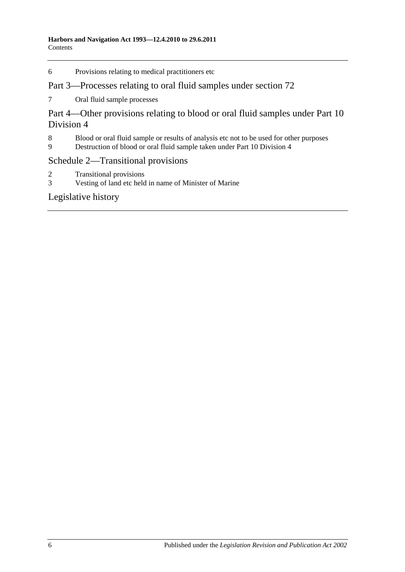6 [Provisions relating to medical practitioners etc](#page-83-3)

## Part 3—Processes relating to oral fluid samples under section 72

7 [Oral fluid sample processes](#page-84-0)

Part 4—Other provisions relating to blood or oral fluid samples under Part 10 Division 4

- 8 [Blood or oral fluid sample or results of analysis etc not to be used for other purposes](#page-86-0)<br>9 Destruction of blood or oral fluid sample taken under Part 10 Division 4
- 9 [Destruction of blood or oral fluid sample taken under Part 10 Division 4](#page-86-1)

## [Schedule 2—Transitional provisions](#page-86-2)

- 2 [Transitional provisions](#page-86-3)<br>3 Vesting of land etc held
- [Vesting of land etc held in name of Minister of Marine](#page-87-0)

## [Legislative history](#page-88-0)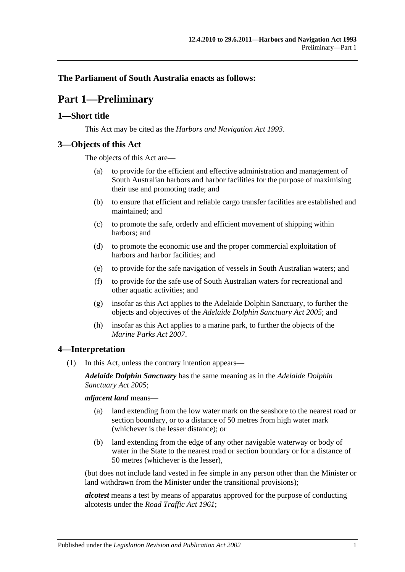## <span id="page-6-0"></span>**The Parliament of South Australia enacts as follows:**

# **Part 1—Preliminary**

## <span id="page-6-1"></span>**1—Short title**

This Act may be cited as the *Harbors and Navigation Act 1993*.

## <span id="page-6-2"></span>**3—Objects of this Act**

The objects of this Act are—

- (a) to provide for the efficient and effective administration and management of South Australian harbors and harbor facilities for the purpose of maximising their use and promoting trade; and
- (b) to ensure that efficient and reliable cargo transfer facilities are established and maintained; and
- (c) to promote the safe, orderly and efficient movement of shipping within harbors; and
- (d) to promote the economic use and the proper commercial exploitation of harbors and harbor facilities; and
- (e) to provide for the safe navigation of vessels in South Australian waters; and
- (f) to provide for the safe use of South Australian waters for recreational and other aquatic activities; and
- (g) insofar as this Act applies to the Adelaide Dolphin Sanctuary, to further the objects and objectives of the *[Adelaide Dolphin Sanctuary Act](http://www.legislation.sa.gov.au/index.aspx?action=legref&type=act&legtitle=Adelaide%20Dolphin%20Sanctuary%20Act%202005) 2005*; and
- (h) insofar as this Act applies to a marine park, to further the objects of the *[Marine Parks Act](http://www.legislation.sa.gov.au/index.aspx?action=legref&type=act&legtitle=Marine%20Parks%20Act%202007) 2007*.

## <span id="page-6-3"></span>**4—Interpretation**

(1) In this Act, unless the contrary intention appears—

*Adelaide Dolphin Sanctuary* has the same meaning as in the *[Adelaide Dolphin](http://www.legislation.sa.gov.au/index.aspx?action=legref&type=act&legtitle=Adelaide%20Dolphin%20Sanctuary%20Act%202005)  [Sanctuary Act](http://www.legislation.sa.gov.au/index.aspx?action=legref&type=act&legtitle=Adelaide%20Dolphin%20Sanctuary%20Act%202005) 2005*;

*adjacent land* means—

- (a) land extending from the low water mark on the seashore to the nearest road or section boundary, or to a distance of 50 metres from high water mark (whichever is the lesser distance); or
- (b) land extending from the edge of any other navigable waterway or body of water in the State to the nearest road or section boundary or for a distance of 50 metres (whichever is the lesser),

(but does not include land vested in fee simple in any person other than the Minister or land withdrawn from the Minister under the transitional provisions);

*alcotest* means a test by means of apparatus approved for the purpose of conducting alcotests under the *[Road Traffic Act](http://www.legislation.sa.gov.au/index.aspx?action=legref&type=act&legtitle=Road%20Traffic%20Act%201961) 1961*;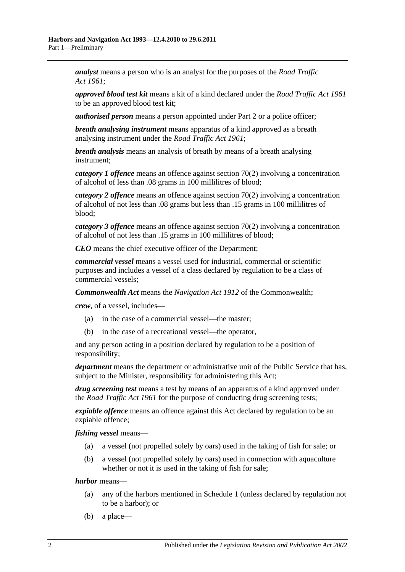*analyst* means a person who is an analyst for the purposes of the *[Road Traffic](http://www.legislation.sa.gov.au/index.aspx?action=legref&type=act&legtitle=Road%20Traffic%20Act%201961)  Act [1961](http://www.legislation.sa.gov.au/index.aspx?action=legref&type=act&legtitle=Road%20Traffic%20Act%201961)*;

*approved blood test kit* means a kit of a kind declared under the *[Road Traffic Act](http://www.legislation.sa.gov.au/index.aspx?action=legref&type=act&legtitle=Road%20Traffic%20Act%201961) 1961* to be an approved blood test kit;

*authorised person* means a person appointed under [Part 2](#page-12-0) or a police officer;

*breath analysing instrument* means apparatus of a kind approved as a breath analysing instrument under the *[Road Traffic Act](http://www.legislation.sa.gov.au/index.aspx?action=legref&type=act&legtitle=Road%20Traffic%20Act%201961) 1961*;

*breath analysis* means an analysis of breath by means of a breath analysing instrument;

*category 1 offence* means an offence against [section](#page-53-0) 70(2) involving a concentration of alcohol of less than .08 grams in 100 millilitres of blood;

*category 2 offence* means an offence against [section](#page-53-0) 70(2) involving a concentration of alcohol of not less than .08 grams but less than .15 grams in 100 millilitres of blood;

*category 3 offence* means an offence against [section](#page-53-0) 70(2) involving a concentration of alcohol of not less than .15 grams in 100 millilitres of blood;

*CEO* means the chief executive officer of the Department;

*commercial vessel* means a vessel used for industrial, commercial or scientific purposes and includes a vessel of a class declared by regulation to be a class of commercial vessels;

*Commonwealth Act* means the *Navigation Act 1912* of the Commonwealth;

*crew*, of a vessel, includes—

- (a) in the case of a commercial vessel—the master;
- (b) in the case of a recreational vessel—the operator,

and any person acting in a position declared by regulation to be a position of responsibility;

*department* means the department or administrative unit of the Public Service that has, subject to the Minister, responsibility for administering this Act;

*drug screening test* means a test by means of an apparatus of a kind approved under the *[Road Traffic Act](http://www.legislation.sa.gov.au/index.aspx?action=legref&type=act&legtitle=Road%20Traffic%20Act%201961) 1961* for the purpose of conducting drug screening tests;

*expiable offence* means an offence against this Act declared by regulation to be an expiable offence;

*fishing vessel* means—

- (a) a vessel (not propelled solely by oars) used in the taking of fish for sale; or
- (b) a vessel (not propelled solely by oars) used in connection with aquaculture whether or not it is used in the taking of fish for sale;

*harbor* means—

- (a) any of the harbors mentioned in [Schedule 1](#page-80-0) (unless declared by regulation not to be a harbor); or
- (b) a place—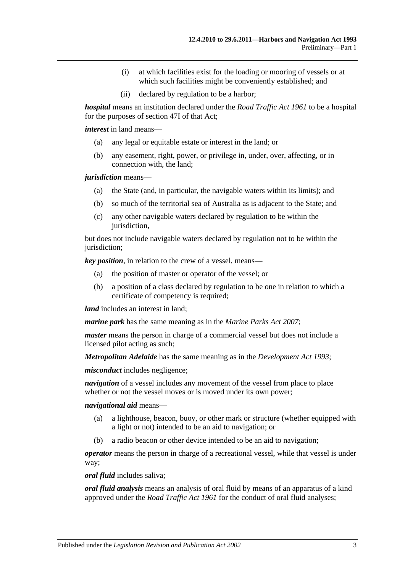- (i) at which facilities exist for the loading or mooring of vessels or at which such facilities might be conveniently established; and
- (ii) declared by regulation to be a harbor;

*hospital* means an institution declared under the *[Road Traffic Act](http://www.legislation.sa.gov.au/index.aspx?action=legref&type=act&legtitle=Road%20Traffic%20Act%201961) 1961* to be a hospital for the purposes of section 47I of that Act;

*interest* in land means—

- (a) any legal or equitable estate or interest in the land; or
- (b) any easement, right, power, or privilege in, under, over, affecting, or in connection with, the land;

*jurisdiction* means—

- (a) the State (and, in particular, the navigable waters within its limits); and
- (b) so much of the territorial sea of Australia as is adjacent to the State; and
- (c) any other navigable waters declared by regulation to be within the jurisdiction,

but does not include navigable waters declared by regulation not to be within the jurisdiction;

*key position*, in relation to the crew of a vessel, means—

- (a) the position of master or operator of the vessel; or
- (b) a position of a class declared by regulation to be one in relation to which a certificate of competency is required;

*land* includes an interest in land:

*marine park* has the same meaning as in the *[Marine Parks Act](http://www.legislation.sa.gov.au/index.aspx?action=legref&type=act&legtitle=Marine%20Parks%20Act%202007) 2007*;

*master* means the person in charge of a commercial vessel but does not include a licensed pilot acting as such;

*Metropolitan Adelaide* has the same meaning as in the *[Development Act](http://www.legislation.sa.gov.au/index.aspx?action=legref&type=act&legtitle=Development%20Act%201993) 1993*;

*misconduct* includes negligence;

*navigation* of a vessel includes any movement of the vessel from place to place whether or not the vessel moves or is moved under its own power;

*navigational aid* means—

- (a) a lighthouse, beacon, buoy, or other mark or structure (whether equipped with a light or not) intended to be an aid to navigation; or
- (b) a radio beacon or other device intended to be an aid to navigation;

*operator* means the person in charge of a recreational vessel, while that vessel is under way;

*oral fluid* includes saliva;

*oral fluid analysis* means an analysis of oral fluid by means of an apparatus of a kind approved under the *[Road Traffic Act](http://www.legislation.sa.gov.au/index.aspx?action=legref&type=act&legtitle=Road%20Traffic%20Act%201961) 1961* for the conduct of oral fluid analyses;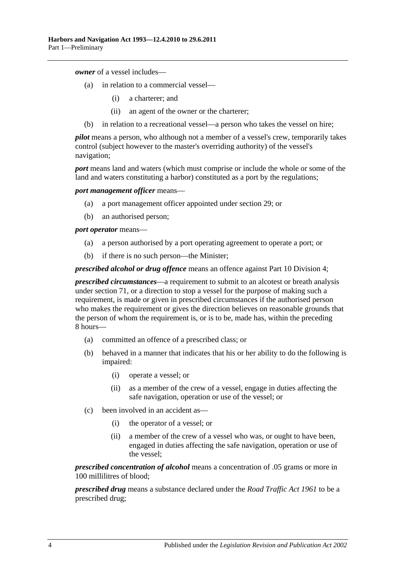*owner* of a vessel includes—

- (a) in relation to a commercial vessel—
	- (i) a charterer; and
	- (ii) an agent of the owner or the charterer;
- (b) in relation to a recreational vessel—a person who takes the vessel on hire;

*pilot* means a person, who although not a member of a vessel's crew, temporarily takes control (subject however to the master's overriding authority) of the vessel's navigation;

*port* means land and waters (which must comprise or include the whole or some of the land and waters constituting a harbor) constituted as a port by the regulations;

*port management officer* means—

- (a) a port management officer appointed under [section](#page-27-1) 29; or
- (b) an authorised person;

*port operator* means—

- (a) a person authorised by a port operating agreement to operate a port; or
- (b) if there is no such person—the Minister;

*prescribed alcohol or drug offence* means an offence against [Part 10 Division 4;](#page-52-3)

*prescribed circumstances*—a requirement to submit to an alcotest or breath analysis under [section](#page-54-0) 71, or a direction to stop a vessel for the purpose of making such a requirement, is made or given in prescribed circumstances if the authorised person who makes the requirement or gives the direction believes on reasonable grounds that the person of whom the requirement is, or is to be, made has, within the preceding 8 hours—

- (a) committed an offence of a prescribed class; or
- (b) behaved in a manner that indicates that his or her ability to do the following is impaired:
	- (i) operate a vessel; or
	- (ii) as a member of the crew of a vessel, engage in duties affecting the safe navigation, operation or use of the vessel; or
- (c) been involved in an accident as—
	- (i) the operator of a vessel; or
	- (ii) a member of the crew of a vessel who was, or ought to have been, engaged in duties affecting the safe navigation, operation or use of the vessel;

*prescribed concentration of alcohol* means a concentration of .05 grams or more in 100 millilitres of blood;

*prescribed drug* means a substance declared under the *[Road Traffic Act](http://www.legislation.sa.gov.au/index.aspx?action=legref&type=act&legtitle=Road%20Traffic%20Act%201961) 1961* to be a prescribed drug;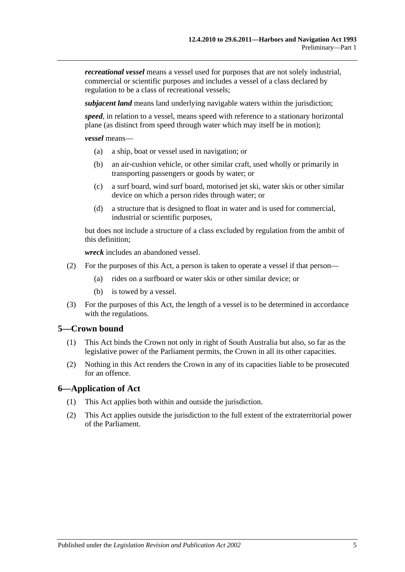*recreational vessel* means a vessel used for purposes that are not solely industrial, commercial or scientific purposes and includes a vessel of a class declared by regulation to be a class of recreational vessels;

*subjacent land* means land underlying navigable waters within the jurisdiction;

*speed*, in relation to a vessel, means speed with reference to a stationary horizontal plane (as distinct from speed through water which may itself be in motion);

*vessel* means—

- (a) a ship, boat or vessel used in navigation; or
- (b) an air-cushion vehicle, or other similar craft, used wholly or primarily in transporting passengers or goods by water; or
- (c) a surf board, wind surf board, motorised jet ski, water skis or other similar device on which a person rides through water; or
- (d) a structure that is designed to float in water and is used for commercial, industrial or scientific purposes,

but does not include a structure of a class excluded by regulation from the ambit of this definition;

*wreck* includes an abandoned vessel.

- (2) For the purposes of this Act, a person is taken to operate a vessel if that person—
	- (a) rides on a surfboard or water skis or other similar device; or
	- (b) is towed by a vessel.
- (3) For the purposes of this Act, the length of a vessel is to be determined in accordance with the regulations.

## <span id="page-10-0"></span>**5—Crown bound**

- (1) This Act binds the Crown not only in right of South Australia but also, so far as the legislative power of the Parliament permits, the Crown in all its other capacities.
- (2) Nothing in this Act renders the Crown in any of its capacities liable to be prosecuted for an offence.

#### <span id="page-10-1"></span>**6—Application of Act**

- (1) This Act applies both within and outside the jurisdiction.
- (2) This Act applies outside the jurisdiction to the full extent of the extraterritorial power of the Parliament.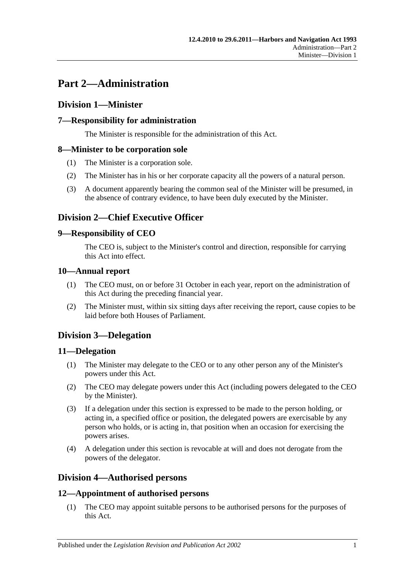# <span id="page-12-0"></span>**Part 2—Administration**

# <span id="page-12-1"></span>**Division 1—Minister**

# <span id="page-12-2"></span>**7—Responsibility for administration**

The Minister is responsible for the administration of this Act.

## <span id="page-12-3"></span>**8—Minister to be corporation sole**

- (1) The Minister is a corporation sole.
- (2) The Minister has in his or her corporate capacity all the powers of a natural person.
- (3) A document apparently bearing the common seal of the Minister will be presumed, in the absence of contrary evidence, to have been duly executed by the Minister.

# <span id="page-12-4"></span>**Division 2—Chief Executive Officer**

## <span id="page-12-5"></span>**9—Responsibility of CEO**

The CEO is, subject to the Minister's control and direction, responsible for carrying this Act into effect.

## <span id="page-12-6"></span>**10—Annual report**

- (1) The CEO must, on or before 31 October in each year, report on the administration of this Act during the preceding financial year.
- (2) The Minister must, within six sitting days after receiving the report, cause copies to be laid before both Houses of Parliament.

# <span id="page-12-7"></span>**Division 3—Delegation**

## <span id="page-12-8"></span>**11—Delegation**

- (1) The Minister may delegate to the CEO or to any other person any of the Minister's powers under this Act.
- (2) The CEO may delegate powers under this Act (including powers delegated to the CEO by the Minister).
- (3) If a delegation under this section is expressed to be made to the person holding, or acting in, a specified office or position, the delegated powers are exercisable by any person who holds, or is acting in, that position when an occasion for exercising the powers arises.
- (4) A delegation under this section is revocable at will and does not derogate from the powers of the delegator.

# <span id="page-12-9"></span>**Division 4—Authorised persons**

# <span id="page-12-10"></span>**12—Appointment of authorised persons**

(1) The CEO may appoint suitable persons to be authorised persons for the purposes of this Act.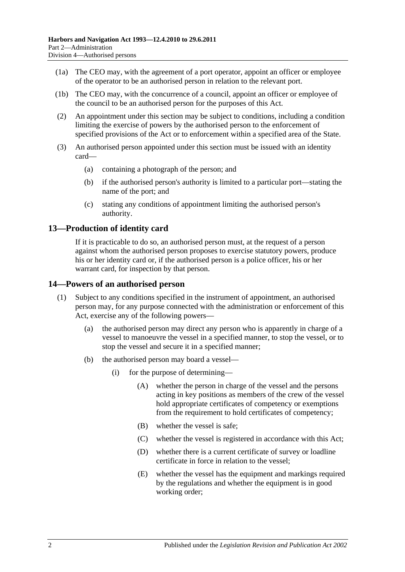- (1a) The CEO may, with the agreement of a port operator, appoint an officer or employee of the operator to be an authorised person in relation to the relevant port.
- (1b) The CEO may, with the concurrence of a council, appoint an officer or employee of the council to be an authorised person for the purposes of this Act.
- (2) An appointment under this section may be subject to conditions, including a condition limiting the exercise of powers by the authorised person to the enforcement of specified provisions of the Act or to enforcement within a specified area of the State.
- (3) An authorised person appointed under this section must be issued with an identity card—
	- (a) containing a photograph of the person; and
	- (b) if the authorised person's authority is limited to a particular port—stating the name of the port; and
	- (c) stating any conditions of appointment limiting the authorised person's authority.

## <span id="page-13-0"></span>**13—Production of identity card**

If it is practicable to do so, an authorised person must, at the request of a person against whom the authorised person proposes to exercise statutory powers, produce his or her identity card or, if the authorised person is a police officer, his or her warrant card, for inspection by that person.

## <span id="page-13-1"></span>**14—Powers of an authorised person**

- (1) Subject to any conditions specified in the instrument of appointment, an authorised person may, for any purpose connected with the administration or enforcement of this Act, exercise any of the following powers—
	- (a) the authorised person may direct any person who is apparently in charge of a vessel to manoeuvre the vessel in a specified manner, to stop the vessel, or to stop the vessel and secure it in a specified manner;
	- (b) the authorised person may board a vessel—
		- (i) for the purpose of determining—
			- (A) whether the person in charge of the vessel and the persons acting in key positions as members of the crew of the vessel hold appropriate certificates of competency or exemptions from the requirement to hold certificates of competency;
			- (B) whether the vessel is safe;
			- (C) whether the vessel is registered in accordance with this Act;
			- (D) whether there is a current certificate of survey or loadline certificate in force in relation to the vessel;
			- (E) whether the vessel has the equipment and markings required by the regulations and whether the equipment is in good working order;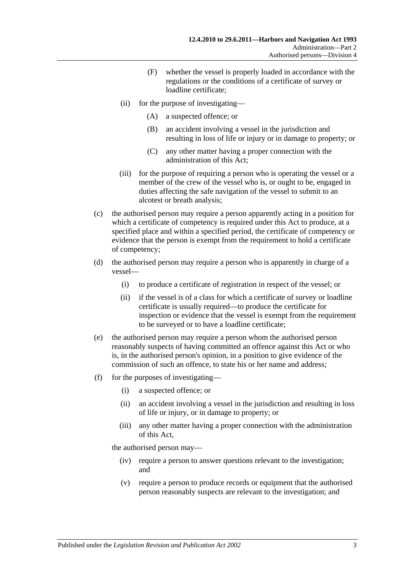- (F) whether the vessel is properly loaded in accordance with the regulations or the conditions of a certificate of survey or loadline certificate;
- (ii) for the purpose of investigating—
	- (A) a suspected offence; or
	- (B) an accident involving a vessel in the jurisdiction and resulting in loss of life or injury or in damage to property; or
	- (C) any other matter having a proper connection with the administration of this Act;
- (iii) for the purpose of requiring a person who is operating the vessel or a member of the crew of the vessel who is, or ought to be, engaged in duties affecting the safe navigation of the vessel to submit to an alcotest or breath analysis;
- (c) the authorised person may require a person apparently acting in a position for which a certificate of competency is required under this Act to produce, at a specified place and within a specified period, the certificate of competency or evidence that the person is exempt from the requirement to hold a certificate of competency;
- (d) the authorised person may require a person who is apparently in charge of a vessel—
	- (i) to produce a certificate of registration in respect of the vessel; or
	- (ii) if the vessel is of a class for which a certificate of survey or loadline certificate is usually required—to produce the certificate for inspection or evidence that the vessel is exempt from the requirement to be surveyed or to have a loadline certificate;
- (e) the authorised person may require a person whom the authorised person reasonably suspects of having committed an offence against this Act or who is, in the authorised person's opinion, in a position to give evidence of the commission of such an offence, to state his or her name and address;
- (f) for the purposes of investigating—
	- (i) a suspected offence; or
	- (ii) an accident involving a vessel in the jurisdiction and resulting in loss of life or injury, or in damage to property; or
	- (iii) any other matter having a proper connection with the administration of this Act,

the authorised person may—

- (iv) require a person to answer questions relevant to the investigation; and
- (v) require a person to produce records or equipment that the authorised person reasonably suspects are relevant to the investigation; and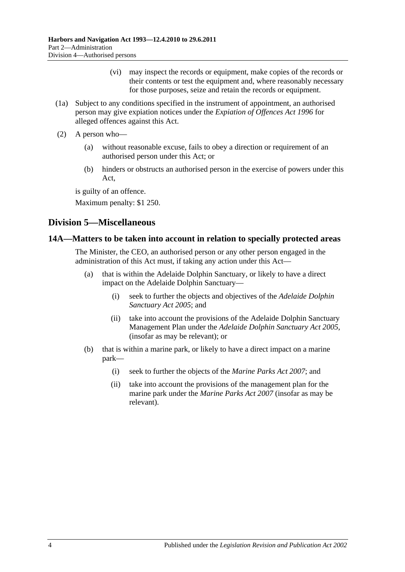- (vi) may inspect the records or equipment, make copies of the records or their contents or test the equipment and, where reasonably necessary for those purposes, seize and retain the records or equipment.
- (1a) Subject to any conditions specified in the instrument of appointment, an authorised person may give expiation notices under the *[Expiation of Offences Act](http://www.legislation.sa.gov.au/index.aspx?action=legref&type=act&legtitle=Expiation%20of%20Offences%20Act%201996) 1996* for alleged offences against this Act.
- (2) A person who—
	- (a) without reasonable excuse, fails to obey a direction or requirement of an authorised person under this Act; or
	- (b) hinders or obstructs an authorised person in the exercise of powers under this Act,

is guilty of an offence.

Maximum penalty: \$1 250.

# <span id="page-15-0"></span>**Division 5—Miscellaneous**

## <span id="page-15-1"></span>**14A—Matters to be taken into account in relation to specially protected areas**

The Minister, the CEO, an authorised person or any other person engaged in the administration of this Act must, if taking any action under this Act—

- (a) that is within the Adelaide Dolphin Sanctuary, or likely to have a direct impact on the Adelaide Dolphin Sanctuary—
	- (i) seek to further the objects and objectives of the *[Adelaide Dolphin](http://www.legislation.sa.gov.au/index.aspx?action=legref&type=act&legtitle=Adelaide%20Dolphin%20Sanctuary%20Act%202005)  [Sanctuary Act](http://www.legislation.sa.gov.au/index.aspx?action=legref&type=act&legtitle=Adelaide%20Dolphin%20Sanctuary%20Act%202005) 2005*; and
	- (ii) take into account the provisions of the Adelaide Dolphin Sanctuary Management Plan under the *[Adelaide Dolphin Sanctuary Act](http://www.legislation.sa.gov.au/index.aspx?action=legref&type=act&legtitle=Adelaide%20Dolphin%20Sanctuary%20Act%202005) 2005*, (insofar as may be relevant); or
- (b) that is within a marine park, or likely to have a direct impact on a marine park—
	- (i) seek to further the objects of the *[Marine Parks Act](http://www.legislation.sa.gov.au/index.aspx?action=legref&type=act&legtitle=Marine%20Parks%20Act%202007) 2007*; and
	- (ii) take into account the provisions of the management plan for the marine park under the *[Marine Parks Act](http://www.legislation.sa.gov.au/index.aspx?action=legref&type=act&legtitle=Marine%20Parks%20Act%202007) 2007* (insofar as may be relevant).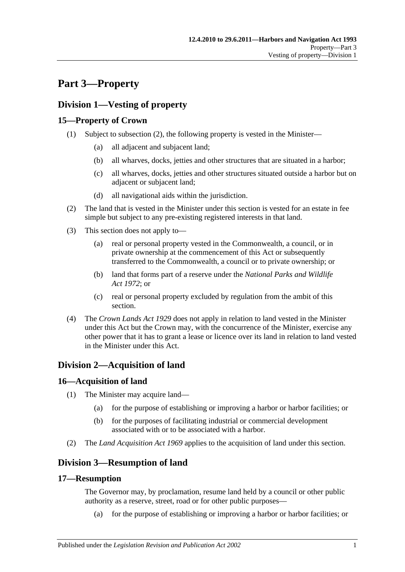# <span id="page-16-0"></span>**Part 3—Property**

# <span id="page-16-1"></span>**Division 1—Vesting of property**

# <span id="page-16-2"></span>**15—Property of Crown**

- (1) Subject to [subsection](#page-16-7) (2), the following property is vested in the Minister—
	- (a) all adjacent and subjacent land;
	- (b) all wharves, docks, jetties and other structures that are situated in a harbor;
	- (c) all wharves, docks, jetties and other structures situated outside a harbor but on adjacent or subjacent land;
	- (d) all navigational aids within the jurisdiction.
- <span id="page-16-7"></span>(2) The land that is vested in the Minister under this section is vested for an estate in fee simple but subject to any pre-existing registered interests in that land.
- (3) This section does not apply to—
	- (a) real or personal property vested in the Commonwealth, a council, or in private ownership at the commencement of this Act or subsequently transferred to the Commonwealth, a council or to private ownership; or
	- (b) land that forms part of a reserve under the *[National Parks and Wildlife](http://www.legislation.sa.gov.au/index.aspx?action=legref&type=act&legtitle=National%20Parks%20and%20Wildlife%20Act%201972)  Act [1972](http://www.legislation.sa.gov.au/index.aspx?action=legref&type=act&legtitle=National%20Parks%20and%20Wildlife%20Act%201972)*; or
	- (c) real or personal property excluded by regulation from the ambit of this section.
- (4) The *[Crown Lands Act](http://www.legislation.sa.gov.au/index.aspx?action=legref&type=act&legtitle=Crown%20Lands%20Act%201929) 1929* does not apply in relation to land vested in the Minister under this Act but the Crown may, with the concurrence of the Minister, exercise any other power that it has to grant a lease or licence over its land in relation to land vested in the Minister under this Act.

# <span id="page-16-3"></span>**Division 2—Acquisition of land**

# <span id="page-16-4"></span>**16—Acquisition of land**

- (1) The Minister may acquire land—
	- (a) for the purpose of establishing or improving a harbor or harbor facilities; or
	- (b) for the purposes of facilitating industrial or commercial development associated with or to be associated with a harbor.
- (2) The *[Land Acquisition Act](http://www.legislation.sa.gov.au/index.aspx?action=legref&type=act&legtitle=Land%20Acquisition%20Act%201969) 1969* applies to the acquisition of land under this section.

# <span id="page-16-5"></span>**Division 3—Resumption of land**

## <span id="page-16-6"></span>**17—Resumption**

The Governor may, by proclamation, resume land held by a council or other public authority as a reserve, street, road or for other public purposes—

(a) for the purpose of establishing or improving a harbor or harbor facilities; or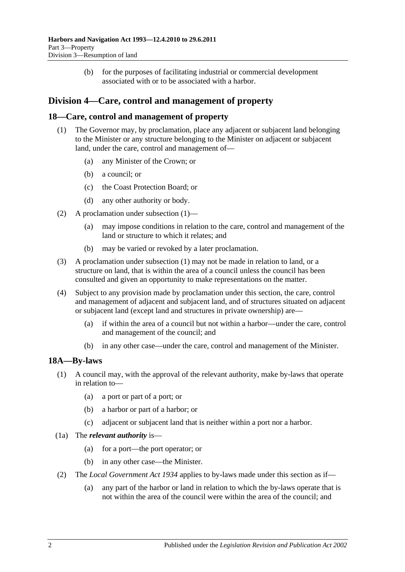(b) for the purposes of facilitating industrial or commercial development associated with or to be associated with a harbor.

# <span id="page-17-0"></span>**Division 4—Care, control and management of property**

## <span id="page-17-3"></span><span id="page-17-1"></span>**18—Care, control and management of property**

- (1) The Governor may, by proclamation, place any adjacent or subjacent land belonging to the Minister or any structure belonging to the Minister on adjacent or subjacent land, under the care, control and management of—
	- (a) any Minister of the Crown; or
	- (b) a council; or
	- (c) the Coast Protection Board; or
	- (d) any other authority or body.
- (2) A proclamation under [subsection](#page-17-3) (1)—
	- (a) may impose conditions in relation to the care, control and management of the land or structure to which it relates; and
	- (b) may be varied or revoked by a later proclamation.
- (3) A proclamation under [subsection](#page-17-3) (1) may not be made in relation to land, or a structure on land, that is within the area of a council unless the council has been consulted and given an opportunity to make representations on the matter.
- (4) Subject to any provision made by proclamation under this section, the care, control and management of adjacent and subjacent land, and of structures situated on adjacent or subjacent land (except land and structures in private ownership) are—
	- (a) if within the area of a council but not within a harbor—under the care, control and management of the council; and
	- (b) in any other case—under the care, control and management of the Minister.

# <span id="page-17-2"></span>**18A—By-laws**

- (1) A council may, with the approval of the relevant authority, make by-laws that operate in relation to—
	- (a) a port or part of a port; or
	- (b) a harbor or part of a harbor; or
	- (c) adjacent or subjacent land that is neither within a port nor a harbor.
- (1a) The *relevant authority* is—
	- (a) for a port—the port operator; or
	- (b) in any other case—the Minister.
- (2) The *[Local Government Act](http://www.legislation.sa.gov.au/index.aspx?action=legref&type=act&legtitle=Local%20Government%20Act%201934) 1934* applies to by-laws made under this section as if—
	- (a) any part of the harbor or land in relation to which the by-laws operate that is not within the area of the council were within the area of the council; and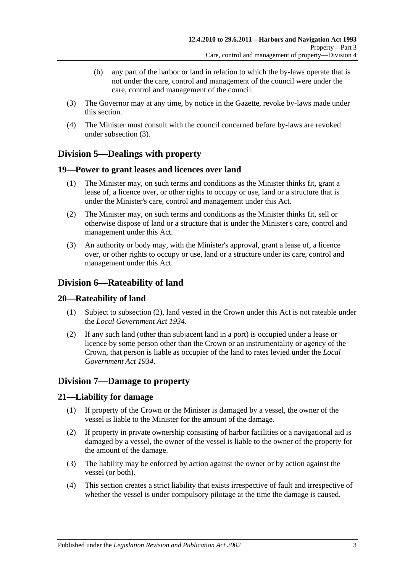- (b) any part of the harbor or land in relation to which the by-laws operate that is not under the care, control and management of the council were under the care, control and management of the council.
- <span id="page-18-6"></span>(3) The Governor may at any time, by notice in the Gazette, revoke by-laws made under this section.
- (4) The Minister must consult with the council concerned before by-laws are revoked under [subsection](#page-18-6) (3).

# <span id="page-18-0"></span>**Division 5—Dealings with property**

## <span id="page-18-1"></span>**19—Power to grant leases and licences over land**

- (1) The Minister may, on such terms and conditions as the Minister thinks fit, grant a lease of, a licence over, or other rights to occupy or use, land or a structure that is under the Minister's care, control and management under this Act.
- (2) The Minister may, on such terms and conditions as the Minister thinks fit, sell or otherwise dispose of land or a structure that is under the Minister's care, control and management under this Act.
- (3) An authority or body may, with the Minister's approval, grant a lease of, a licence over, or other rights to occupy or use, land or a structure under its care, control and management under this Act.

# <span id="page-18-2"></span>**Division 6—Rateability of land**

## <span id="page-18-3"></span>**20—Rateability of land**

- (1) Subject to [subsection](#page-18-7) (2), land vested in the Crown under this Act is not rateable under the *[Local Government Act](http://www.legislation.sa.gov.au/index.aspx?action=legref&type=act&legtitle=Local%20Government%20Act%201934) 1934*.
- <span id="page-18-7"></span>(2) If any such land (other than subjacent land in a port) is occupied under a lease or licence by some person other than the Crown or an instrumentality or agency of the Crown, that person is liable as occupier of the land to rates levied under the *[Local](http://www.legislation.sa.gov.au/index.aspx?action=legref&type=act&legtitle=Local%20Government%20Act%201934)  [Government Act](http://www.legislation.sa.gov.au/index.aspx?action=legref&type=act&legtitle=Local%20Government%20Act%201934) 1934*.

# <span id="page-18-4"></span>**Division 7—Damage to property**

## <span id="page-18-5"></span>**21—Liability for damage**

- (1) If property of the Crown or the Minister is damaged by a vessel, the owner of the vessel is liable to the Minister for the amount of the damage.
- (2) If property in private ownership consisting of harbor facilities or a navigational aid is damaged by a vessel, the owner of the vessel is liable to the owner of the property for the amount of the damage.
- (3) The liability may be enforced by action against the owner or by action against the vessel (or both).
- (4) This section creates a strict liability that exists irrespective of fault and irrespective of whether the vessel is under compulsory pilotage at the time the damage is caused.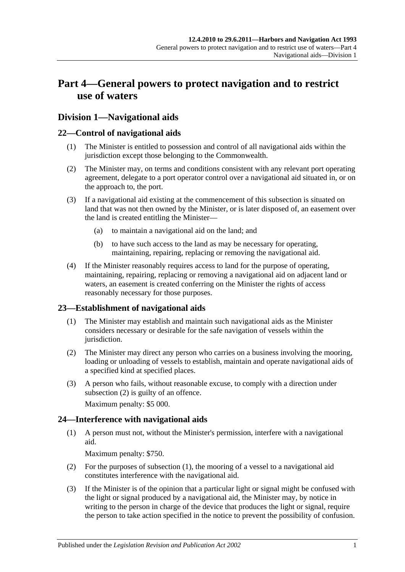# <span id="page-20-0"></span>**Part 4—General powers to protect navigation and to restrict use of waters**

# <span id="page-20-1"></span>**Division 1—Navigational aids**

## <span id="page-20-2"></span>**22—Control of navigational aids**

- (1) The Minister is entitled to possession and control of all navigational aids within the jurisdiction except those belonging to the Commonwealth.
- (2) The Minister may, on terms and conditions consistent with any relevant port operating agreement, delegate to a port operator control over a navigational aid situated in, or on the approach to, the port.
- (3) If a navigational aid existing at the commencement of this subsection is situated on land that was not then owned by the Minister, or is later disposed of, an easement over the land is created entitling the Minister—
	- (a) to maintain a navigational aid on the land; and
	- (b) to have such access to the land as may be necessary for operating, maintaining, repairing, replacing or removing the navigational aid.
- (4) If the Minister reasonably requires access to land for the purpose of operating, maintaining, repairing, replacing or removing a navigational aid on adjacent land or waters, an easement is created conferring on the Minister the rights of access reasonably necessary for those purposes.

## <span id="page-20-3"></span>**23—Establishment of navigational aids**

- (1) The Minister may establish and maintain such navigational aids as the Minister considers necessary or desirable for the safe navigation of vessels within the jurisdiction.
- <span id="page-20-5"></span>(2) The Minister may direct any person who carries on a business involving the mooring, loading or unloading of vessels to establish, maintain and operate navigational aids of a specified kind at specified places.
- (3) A person who fails, without reasonable excuse, to comply with a direction under [subsection](#page-20-5) (2) is guilty of an offence.

Maximum penalty: \$5 000.

# <span id="page-20-6"></span><span id="page-20-4"></span>**24—Interference with navigational aids**

(1) A person must not, without the Minister's permission, interfere with a navigational aid.

Maximum penalty: \$750.

- (2) For the purposes of [subsection](#page-20-6) (1), the mooring of a vessel to a navigational aid constitutes interference with the navigational aid.
- <span id="page-20-7"></span>(3) If the Minister is of the opinion that a particular light or signal might be confused with the light or signal produced by a navigational aid, the Minister may, by notice in writing to the person in charge of the device that produces the light or signal, require the person to take action specified in the notice to prevent the possibility of confusion.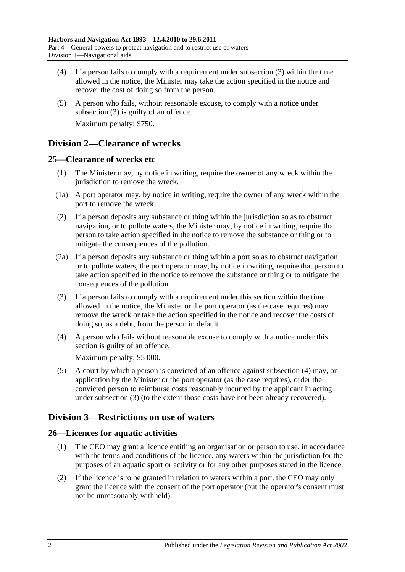- (4) If a person fails to comply with a requirement under [subsection](#page-20-7) (3) within the time allowed in the notice, the Minister may take the action specified in the notice and recover the cost of doing so from the person.
- (5) A person who fails, without reasonable excuse, to comply with a notice under [subsection](#page-20-7) (3) is guilty of an offence. Maximum penalty: \$750.

# <span id="page-21-0"></span>**Division 2—Clearance of wrecks**

## <span id="page-21-1"></span>**25—Clearance of wrecks etc**

- (1) The Minister may, by notice in writing, require the owner of any wreck within the jurisdiction to remove the wreck.
- (1a) A port operator may, by notice in writing, require the owner of any wreck within the port to remove the wreck.
- (2) If a person deposits any substance or thing within the jurisdiction so as to obstruct navigation, or to pollute waters, the Minister may, by notice in writing, require that person to take action specified in the notice to remove the substance or thing or to mitigate the consequences of the pollution.
- (2a) If a person deposits any substance or thing within a port so as to obstruct navigation, or to pollute waters, the port operator may, by notice in writing, require that person to take action specified in the notice to remove the substance or thing or to mitigate the consequences of the pollution.
- <span id="page-21-5"></span>(3) If a person fails to comply with a requirement under this section within the time allowed in the notice, the Minister or the port operator (as the case requires) may remove the wreck or take the action specified in the notice and recover the costs of doing so, as a debt, from the person in default.
- <span id="page-21-4"></span>(4) A person who fails without reasonable excuse to comply with a notice under this section is guilty of an offence.

Maximum penalty: \$5 000.

(5) A court by which a person is convicted of an offence against [subsection](#page-21-4) (4) may, on application by the Minister or the port operator (as the case requires), order the convicted person to reimburse costs reasonably incurred by the applicant in acting under [subsection](#page-21-5) (3) (to the extent those costs have not been already recovered).

# <span id="page-21-2"></span>**Division 3—Restrictions on use of waters**

# <span id="page-21-3"></span>**26—Licences for aquatic activities**

- (1) The CEO may grant a licence entitling an organisation or person to use, in accordance with the terms and conditions of the licence, any waters within the jurisdiction for the purposes of an aquatic sport or activity or for any other purposes stated in the licence.
- (2) If the licence is to be granted in relation to waters within a port, the CEO may only grant the licence with the consent of the port operator (but the operator's consent must not be unreasonably withheld).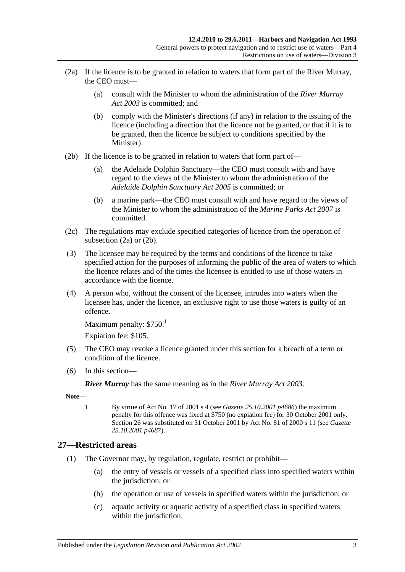- <span id="page-22-1"></span>(2a) If the licence is to be granted in relation to waters that form part of the River Murray, the CEO must—
	- (a) consult with the Minister to whom the administration of the *[River Murray](http://www.legislation.sa.gov.au/index.aspx?action=legref&type=act&legtitle=River%20Murray%20Act%202003)  Act [2003](http://www.legislation.sa.gov.au/index.aspx?action=legref&type=act&legtitle=River%20Murray%20Act%202003)* is committed; and
	- (b) comply with the Minister's directions (if any) in relation to the issuing of the licence (including a direction that the licence not be granted, or that if it is to be granted, then the licence be subject to conditions specified by the Minister).
- <span id="page-22-2"></span>(2b) If the licence is to be granted in relation to waters that form part of—
	- (a) the Adelaide Dolphin Sanctuary—the CEO must consult with and have regard to the views of the Minister to whom the administration of the *[Adelaide Dolphin Sanctuary Act](http://www.legislation.sa.gov.au/index.aspx?action=legref&type=act&legtitle=Adelaide%20Dolphin%20Sanctuary%20Act%202005) 2005* is committed; or
	- (b) a marine park—the CEO must consult with and have regard to the views of the Minister to whom the administration of the *[Marine Parks](http://www.legislation.sa.gov.au/index.aspx?action=legref&type=act&legtitle=Marine%20Parks%20Act%202007) Act 2007* is committed.
- (2c) The regulations may exclude specified categories of licence from the operation of [subsection](#page-22-1) (2a) or [\(2b\).](#page-22-2)
- (3) The licensee may be required by the terms and conditions of the licence to take specified action for the purposes of informing the public of the area of waters to which the licence relates and of the times the licensee is entitled to use of those waters in accordance with the licence.
- (4) A person who, without the consent of the licensee, intrudes into waters when the licensee has, under the licence, an exclusive right to use those waters is guilty of an offence.

```
Maximum penalty: $750<sup>1</sup>
```
Expiation fee: \$105.

- (5) The CEO may revoke a licence granted under this section for a breach of a term or condition of the licence.
- (6) In this section—

*River Murray* has the same meaning as in the *[River Murray Act](http://www.legislation.sa.gov.au/index.aspx?action=legref&type=act&legtitle=River%20Murray%20Act%202003) 2003*.

**Note—**

1 By virtue of Act No. 17 of 2001 s 4 (see *Gazette 25.10.2001 p4686*) the maximum penalty for this offence was fixed at \$750 (no expiation fee) for 30 October 2001 only. Section 26 was substituted on 31 October 2001 by Act No. 81 of 2000 s 11 (see *Gazette 25.10.2001 p4687*).

## <span id="page-22-3"></span><span id="page-22-0"></span>**27—Restricted areas**

- (1) The Governor may, by regulation, regulate, restrict or prohibit—
	- (a) the entry of vessels or vessels of a specified class into specified waters within the jurisdiction; or
	- (b) the operation or use of vessels in specified waters within the jurisdiction; or
	- (c) aquatic activity or aquatic activity of a specified class in specified waters within the jurisdiction.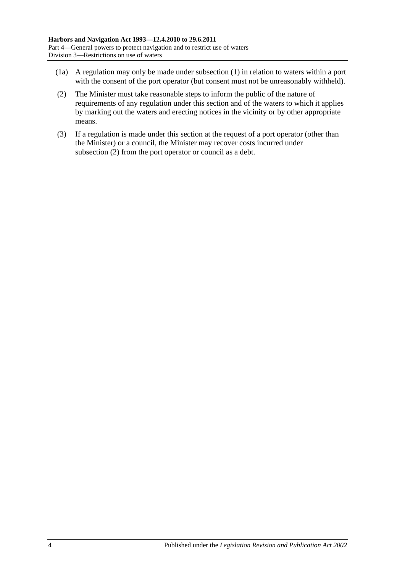- (1a) A regulation may only be made under [subsection](#page-22-3) (1) in relation to waters within a port with the consent of the port operator (but consent must not be unreasonably withheld).
- <span id="page-23-0"></span>(2) The Minister must take reasonable steps to inform the public of the nature of requirements of any regulation under this section and of the waters to which it applies by marking out the waters and erecting notices in the vicinity or by other appropriate means.
- (3) If a regulation is made under this section at the request of a port operator (other than the Minister) or a council, the Minister may recover costs incurred under [subsection](#page-23-0) (2) from the port operator or council as a debt.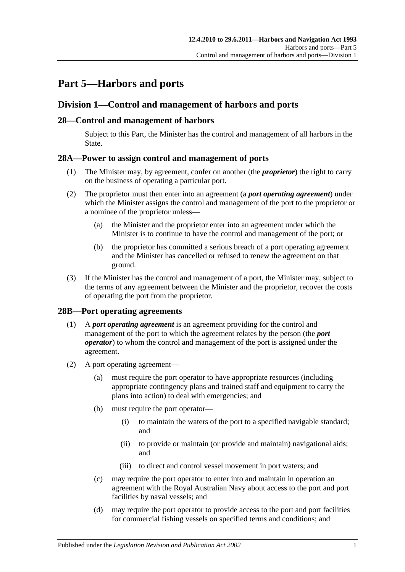# <span id="page-24-0"></span>**Part 5—Harbors and ports**

# <span id="page-24-1"></span>**Division 1—Control and management of harbors and ports**

## <span id="page-24-2"></span>**28—Control and management of harbors**

Subject to this Part, the Minister has the control and management of all harbors in the State.

## <span id="page-24-3"></span>**28A—Power to assign control and management of ports**

- (1) The Minister may, by agreement, confer on another (the *proprietor*) the right to carry on the business of operating a particular port.
- (2) The proprietor must then enter into an agreement (a *port operating agreement*) under which the Minister assigns the control and management of the port to the proprietor or a nominee of the proprietor unless—
	- (a) the Minister and the proprietor enter into an agreement under which the Minister is to continue to have the control and management of the port; or
	- (b) the proprietor has committed a serious breach of a port operating agreement and the Minister has cancelled or refused to renew the agreement on that ground.
- (3) If the Minister has the control and management of a port, the Minister may, subject to the terms of any agreement between the Minister and the proprietor, recover the costs of operating the port from the proprietor.

## <span id="page-24-4"></span>**28B—Port operating agreements**

- (1) A *port operating agreement* is an agreement providing for the control and management of the port to which the agreement relates by the person (the *port operator*) to whom the control and management of the port is assigned under the agreement.
- (2) A port operating agreement—
	- (a) must require the port operator to have appropriate resources (including appropriate contingency plans and trained staff and equipment to carry the plans into action) to deal with emergencies; and
	- (b) must require the port operator—
		- (i) to maintain the waters of the port to a specified navigable standard; and
		- (ii) to provide or maintain (or provide and maintain) navigational aids; and
		- (iii) to direct and control vessel movement in port waters; and
	- (c) may require the port operator to enter into and maintain in operation an agreement with the Royal Australian Navy about access to the port and port facilities by naval vessels; and
	- (d) may require the port operator to provide access to the port and port facilities for commercial fishing vessels on specified terms and conditions; and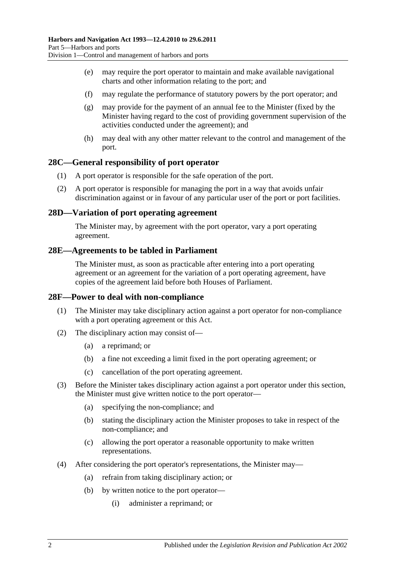- (e) may require the port operator to maintain and make available navigational charts and other information relating to the port; and
- (f) may regulate the performance of statutory powers by the port operator; and
- (g) may provide for the payment of an annual fee to the Minister (fixed by the Minister having regard to the cost of providing government supervision of the activities conducted under the agreement); and
- (h) may deal with any other matter relevant to the control and management of the port.

## <span id="page-25-0"></span>**28C—General responsibility of port operator**

- (1) A port operator is responsible for the safe operation of the port.
- (2) A port operator is responsible for managing the port in a way that avoids unfair discrimination against or in favour of any particular user of the port or port facilities.

#### <span id="page-25-1"></span>**28D—Variation of port operating agreement**

The Minister may, by agreement with the port operator, vary a port operating agreement.

#### <span id="page-25-2"></span>**28E—Agreements to be tabled in Parliament**

The Minister must, as soon as practicable after entering into a port operating agreement or an agreement for the variation of a port operating agreement, have copies of the agreement laid before both Houses of Parliament.

#### <span id="page-25-3"></span>**28F—Power to deal with non-compliance**

- (1) The Minister may take disciplinary action against a port operator for non-compliance with a port operating agreement or this Act.
- (2) The disciplinary action may consist of—
	- (a) a reprimand; or
	- (b) a fine not exceeding a limit fixed in the port operating agreement; or
	- (c) cancellation of the port operating agreement.
- (3) Before the Minister takes disciplinary action against a port operator under this section, the Minister must give written notice to the port operator—
	- (a) specifying the non-compliance; and
	- (b) stating the disciplinary action the Minister proposes to take in respect of the non-compliance; and
	- (c) allowing the port operator a reasonable opportunity to make written representations.
- (4) After considering the port operator's representations, the Minister may—
	- (a) refrain from taking disciplinary action; or
	- (b) by written notice to the port operator—
		- (i) administer a reprimand; or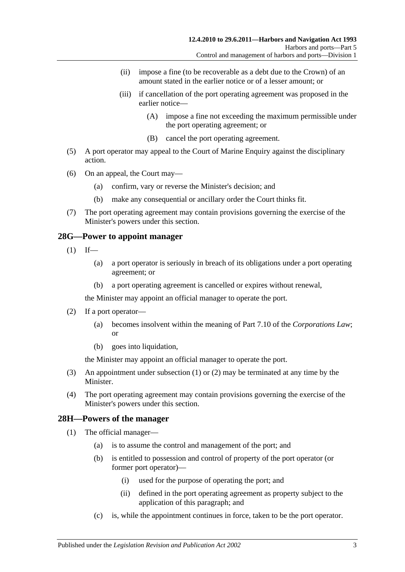- (ii) impose a fine (to be recoverable as a debt due to the Crown) of an amount stated in the earlier notice or of a lesser amount; or
- (iii) if cancellation of the port operating agreement was proposed in the earlier notice—
	- (A) impose a fine not exceeding the maximum permissible under the port operating agreement; or
	- (B) cancel the port operating agreement.
- (5) A port operator may appeal to the Court of Marine Enquiry against the disciplinary action.
- (6) On an appeal, the Court may—
	- (a) confirm, vary or reverse the Minister's decision; and
	- (b) make any consequential or ancillary order the Court thinks fit.
- (7) The port operating agreement may contain provisions governing the exercise of the Minister's powers under this section.

## <span id="page-26-2"></span><span id="page-26-0"></span>**28G—Power to appoint manager**

- $(1)$  If—
	- (a) a port operator is seriously in breach of its obligations under a port operating agreement; or
	- (b) a port operating agreement is cancelled or expires without renewal,

the Minister may appoint an official manager to operate the port.

- <span id="page-26-3"></span>(2) If a port operator—
	- (a) becomes insolvent within the meaning of Part 7.10 of the *Corporations Law*; or
	- (b) goes into liquidation,

the Minister may appoint an official manager to operate the port.

- (3) An appointment under [subsection](#page-26-2) (1) or [\(2\)](#page-26-3) may be terminated at any time by the Minister.
- (4) The port operating agreement may contain provisions governing the exercise of the Minister's powers under this section.

## <span id="page-26-4"></span><span id="page-26-1"></span>**28H—Powers of the manager**

- (1) The official manager—
	- (a) is to assume the control and management of the port; and
	- (b) is entitled to possession and control of property of the port operator (or former port operator)—
		- (i) used for the purpose of operating the port; and
		- (ii) defined in the port operating agreement as property subject to the application of this paragraph; and
	- (c) is, while the appointment continues in force, taken to be the port operator.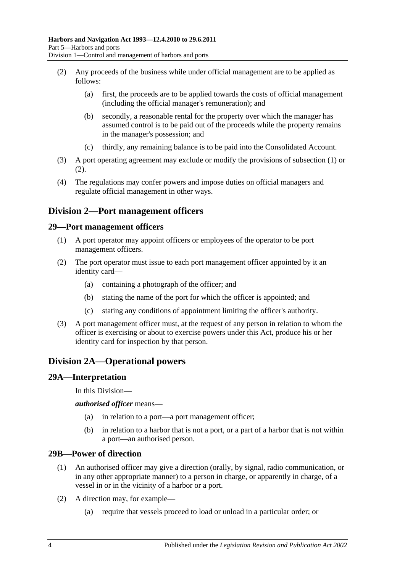- <span id="page-27-5"></span>(2) Any proceeds of the business while under official management are to be applied as follows:
	- (a) first, the proceeds are to be applied towards the costs of official management (including the official manager's remuneration); and
	- (b) secondly, a reasonable rental for the property over which the manager has assumed control is to be paid out of the proceeds while the property remains in the manager's possession; and
	- (c) thirdly, any remaining balance is to be paid into the Consolidated Account.
- (3) A port operating agreement may exclude or modify the provisions of [subsection](#page-26-4) (1) or [\(2\).](#page-27-5)
- (4) The regulations may confer powers and impose duties on official managers and regulate official management in other ways.

# <span id="page-27-0"></span>**Division 2—Port management officers**

#### <span id="page-27-1"></span>**29—Port management officers**

- (1) A port operator may appoint officers or employees of the operator to be port management officers.
- (2) The port operator must issue to each port management officer appointed by it an identity card—
	- (a) containing a photograph of the officer; and
	- (b) stating the name of the port for which the officer is appointed; and
	- (c) stating any conditions of appointment limiting the officer's authority.
- (3) A port management officer must, at the request of any person in relation to whom the officer is exercising or about to exercise powers under this Act, produce his or her identity card for inspection by that person.

# <span id="page-27-2"></span>**Division 2A—Operational powers**

#### <span id="page-27-3"></span>**29A—Interpretation**

In this Division—

*authorised officer* means—

- (a) in relation to a port—a port management officer;
- (b) in relation to a harbor that is not a port, or a part of a harbor that is not within a port—an authorised person.

#### <span id="page-27-4"></span>**29B—Power of direction**

- (1) An authorised officer may give a direction (orally, by signal, radio communication, or in any other appropriate manner) to a person in charge, or apparently in charge, of a vessel in or in the vicinity of a harbor or a port.
- (2) A direction may, for example—
	- (a) require that vessels proceed to load or unload in a particular order; or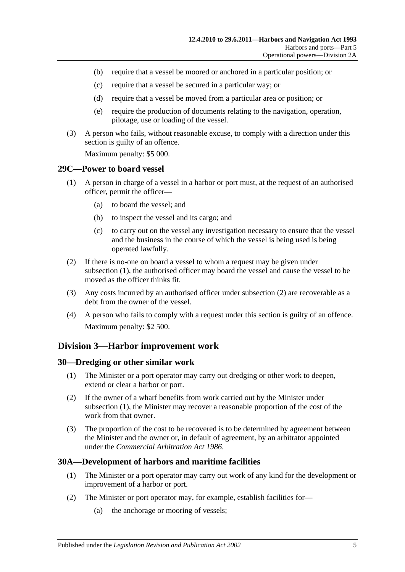- (b) require that a vessel be moored or anchored in a particular position; or
- (c) require that a vessel be secured in a particular way; or
- (d) require that a vessel be moved from a particular area or position; or
- (e) require the production of documents relating to the navigation, operation, pilotage, use or loading of the vessel.
- (3) A person who fails, without reasonable excuse, to comply with a direction under this section is guilty of an offence.

Maximum penalty: \$5 000.

#### <span id="page-28-4"></span><span id="page-28-0"></span>**29C—Power to board vessel**

- (1) A person in charge of a vessel in a harbor or port must, at the request of an authorised officer, permit the officer—
	- (a) to board the vessel; and
	- (b) to inspect the vessel and its cargo; and
	- (c) to carry out on the vessel any investigation necessary to ensure that the vessel and the business in the course of which the vessel is being used is being operated lawfully.
- <span id="page-28-5"></span>(2) If there is no-one on board a vessel to whom a request may be given under [subsection](#page-28-4) (1), the authorised officer may board the vessel and cause the vessel to be moved as the officer thinks fit.
- (3) Any costs incurred by an authorised officer under [subsection](#page-28-5) (2) are recoverable as a debt from the owner of the vessel.
- (4) A person who fails to comply with a request under this section is guilty of an offence. Maximum penalty: \$2 500.

## <span id="page-28-1"></span>**Division 3—Harbor improvement work**

#### <span id="page-28-6"></span><span id="page-28-2"></span>**30—Dredging or other similar work**

- (1) The Minister or a port operator may carry out dredging or other work to deepen, extend or clear a harbor or port.
- (2) If the owner of a wharf benefits from work carried out by the Minister under [subsection](#page-28-6) (1), the Minister may recover a reasonable proportion of the cost of the work from that owner.
- (3) The proportion of the cost to be recovered is to be determined by agreement between the Minister and the owner or, in default of agreement, by an arbitrator appointed under the *[Commercial Arbitration Act](http://www.legislation.sa.gov.au/index.aspx?action=legref&type=act&legtitle=Commercial%20Arbitration%20Act%201986) 1986*.

## <span id="page-28-3"></span>**30A—Development of harbors and maritime facilities**

- (1) The Minister or a port operator may carry out work of any kind for the development or improvement of a harbor or port.
- (2) The Minister or port operator may, for example, establish facilities for—
	- (a) the anchorage or mooring of vessels;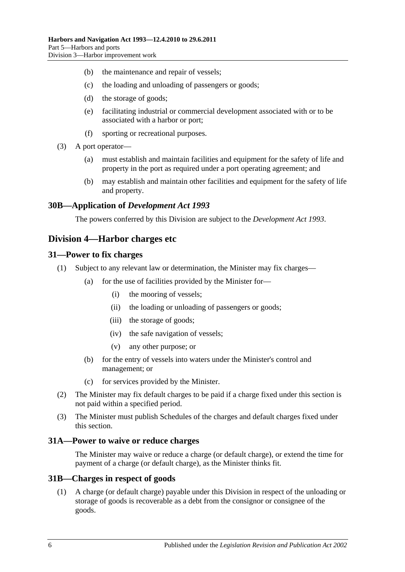- (b) the maintenance and repair of vessels;
- (c) the loading and unloading of passengers or goods;
- (d) the storage of goods;
- (e) facilitating industrial or commercial development associated with or to be associated with a harbor or port;
- (f) sporting or recreational purposes.
- (3) A port operator—
	- (a) must establish and maintain facilities and equipment for the safety of life and property in the port as required under a port operating agreement; and
	- (b) may establish and maintain other facilities and equipment for the safety of life and property.

## <span id="page-29-0"></span>**30B—Application of** *Development Act 1993*

The powers conferred by this Division are subject to the *[Development Act](http://www.legislation.sa.gov.au/index.aspx?action=legref&type=act&legtitle=Development%20Act%201993) 1993*.

## <span id="page-29-1"></span>**Division 4—Harbor charges etc**

#### <span id="page-29-2"></span>**31—Power to fix charges**

- (1) Subject to any relevant law or determination, the Minister may fix charges—
	- (a) for the use of facilities provided by the Minister for—
		- (i) the mooring of vessels;
		- (ii) the loading or unloading of passengers or goods;
		- (iii) the storage of goods;
		- (iv) the safe navigation of vessels;
		- (v) any other purpose; or
	- (b) for the entry of vessels into waters under the Minister's control and management; or
	- (c) for services provided by the Minister.
- (2) The Minister may fix default charges to be paid if a charge fixed under this section is not paid within a specified period.
- (3) The Minister must publish Schedules of the charges and default charges fixed under this section.

#### <span id="page-29-3"></span>**31A—Power to waive or reduce charges**

The Minister may waive or reduce a charge (or default charge), or extend the time for payment of a charge (or default charge), as the Minister thinks fit.

#### <span id="page-29-4"></span>**31B—Charges in respect of goods**

(1) A charge (or default charge) payable under this Division in respect of the unloading or storage of goods is recoverable as a debt from the consignor or consignee of the goods.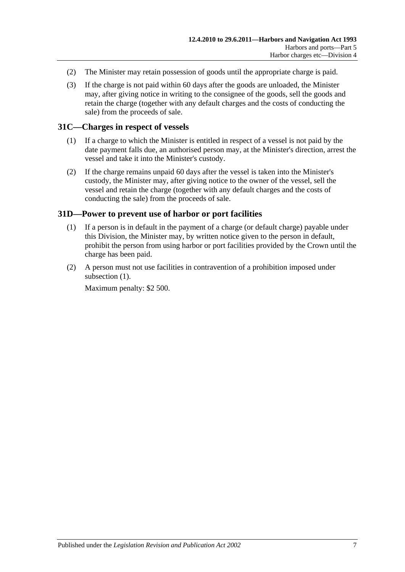- (2) The Minister may retain possession of goods until the appropriate charge is paid.
- (3) If the charge is not paid within 60 days after the goods are unloaded, the Minister may, after giving notice in writing to the consignee of the goods, sell the goods and retain the charge (together with any default charges and the costs of conducting the sale) from the proceeds of sale.

#### <span id="page-30-0"></span>**31C—Charges in respect of vessels**

- (1) If a charge to which the Minister is entitled in respect of a vessel is not paid by the date payment falls due, an authorised person may, at the Minister's direction, arrest the vessel and take it into the Minister's custody.
- (2) If the charge remains unpaid 60 days after the vessel is taken into the Minister's custody, the Minister may, after giving notice to the owner of the vessel, sell the vessel and retain the charge (together with any default charges and the costs of conducting the sale) from the proceeds of sale.

#### <span id="page-30-2"></span><span id="page-30-1"></span>**31D—Power to prevent use of harbor or port facilities**

- (1) If a person is in default in the payment of a charge (or default charge) payable under this Division, the Minister may, by written notice given to the person in default, prohibit the person from using harbor or port facilities provided by the Crown until the charge has been paid.
- (2) A person must not use facilities in contravention of a prohibition imposed under [subsection](#page-30-2)  $(1)$ .

Maximum penalty: \$2 500.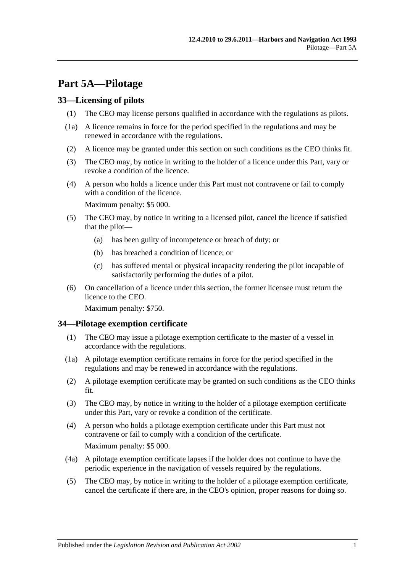# <span id="page-32-0"></span>**Part 5A—Pilotage**

## <span id="page-32-1"></span>**33—Licensing of pilots**

- (1) The CEO may license persons qualified in accordance with the regulations as pilots.
- (1a) A licence remains in force for the period specified in the regulations and may be renewed in accordance with the regulations.
- (2) A licence may be granted under this section on such conditions as the CEO thinks fit.
- (3) The CEO may, by notice in writing to the holder of a licence under this Part, vary or revoke a condition of the licence.
- (4) A person who holds a licence under this Part must not contravene or fail to comply with a condition of the licence.

Maximum penalty: \$5 000.

- (5) The CEO may, by notice in writing to a licensed pilot, cancel the licence if satisfied that the pilot—
	- (a) has been guilty of incompetence or breach of duty; or
	- (b) has breached a condition of licence; or
	- (c) has suffered mental or physical incapacity rendering the pilot incapable of satisfactorily performing the duties of a pilot.
- (6) On cancellation of a licence under this section, the former licensee must return the licence to the CEO.

Maximum penalty: \$750.

## <span id="page-32-2"></span>**34—Pilotage exemption certificate**

- (1) The CEO may issue a pilotage exemption certificate to the master of a vessel in accordance with the regulations.
- (1a) A pilotage exemption certificate remains in force for the period specified in the regulations and may be renewed in accordance with the regulations.
- (2) A pilotage exemption certificate may be granted on such conditions as the CEO thinks fit.
- (3) The CEO may, by notice in writing to the holder of a pilotage exemption certificate under this Part, vary or revoke a condition of the certificate.
- (4) A person who holds a pilotage exemption certificate under this Part must not contravene or fail to comply with a condition of the certificate. Maximum penalty: \$5 000.
- (4a) A pilotage exemption certificate lapses if the holder does not continue to have the periodic experience in the navigation of vessels required by the regulations.
- (5) The CEO may, by notice in writing to the holder of a pilotage exemption certificate, cancel the certificate if there are, in the CEO's opinion, proper reasons for doing so.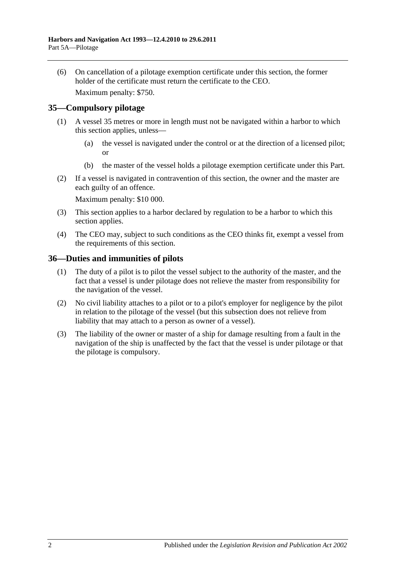(6) On cancellation of a pilotage exemption certificate under this section, the former holder of the certificate must return the certificate to the CEO.

Maximum penalty: \$750.

## <span id="page-33-0"></span>**35—Compulsory pilotage**

- (1) A vessel 35 metres or more in length must not be navigated within a harbor to which this section applies, unless—
	- (a) the vessel is navigated under the control or at the direction of a licensed pilot; or
	- (b) the master of the vessel holds a pilotage exemption certificate under this Part.
- (2) If a vessel is navigated in contravention of this section, the owner and the master are each guilty of an offence.

Maximum penalty: \$10 000.

- (3) This section applies to a harbor declared by regulation to be a harbor to which this section applies.
- (4) The CEO may, subject to such conditions as the CEO thinks fit, exempt a vessel from the requirements of this section.

## <span id="page-33-1"></span>**36—Duties and immunities of pilots**

- (1) The duty of a pilot is to pilot the vessel subject to the authority of the master, and the fact that a vessel is under pilotage does not relieve the master from responsibility for the navigation of the vessel.
- (2) No civil liability attaches to a pilot or to a pilot's employer for negligence by the pilot in relation to the pilotage of the vessel (but this subsection does not relieve from liability that may attach to a person as owner of a vessel).
- (3) The liability of the owner or master of a ship for damage resulting from a fault in the navigation of the ship is unaffected by the fact that the vessel is under pilotage or that the pilotage is compulsory.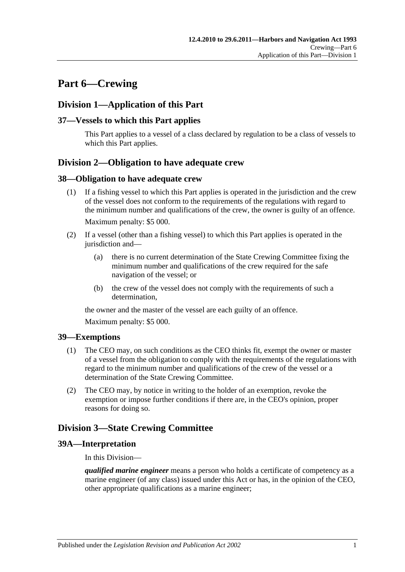# <span id="page-34-0"></span>**Part 6—Crewing**

# <span id="page-34-1"></span>**Division 1—Application of this Part**

## <span id="page-34-2"></span>**37—Vessels to which this Part applies**

This Part applies to a vessel of a class declared by regulation to be a class of vessels to which this Part applies.

# <span id="page-34-3"></span>**Division 2—Obligation to have adequate crew**

#### <span id="page-34-4"></span>**38—Obligation to have adequate crew**

- (1) If a fishing vessel to which this Part applies is operated in the jurisdiction and the crew of the vessel does not conform to the requirements of the regulations with regard to the minimum number and qualifications of the crew, the owner is guilty of an offence. Maximum penalty: \$5 000.
- (2) If a vessel (other than a fishing vessel) to which this Part applies is operated in the jurisdiction and—
	- (a) there is no current determination of the State Crewing Committee fixing the minimum number and qualifications of the crew required for the safe navigation of the vessel; or
	- (b) the crew of the vessel does not comply with the requirements of such a determination,

the owner and the master of the vessel are each guilty of an offence.

Maximum penalty: \$5 000.

## <span id="page-34-5"></span>**39—Exemptions**

- (1) The CEO may, on such conditions as the CEO thinks fit, exempt the owner or master of a vessel from the obligation to comply with the requirements of the regulations with regard to the minimum number and qualifications of the crew of the vessel or a determination of the State Crewing Committee.
- (2) The CEO may, by notice in writing to the holder of an exemption, revoke the exemption or impose further conditions if there are, in the CEO's opinion, proper reasons for doing so.

# <span id="page-34-6"></span>**Division 3—State Crewing Committee**

## <span id="page-34-7"></span>**39A—Interpretation**

In this Division—

*qualified marine engineer* means a person who holds a certificate of competency as a marine engineer (of any class) issued under this Act or has, in the opinion of the CEO, other appropriate qualifications as a marine engineer;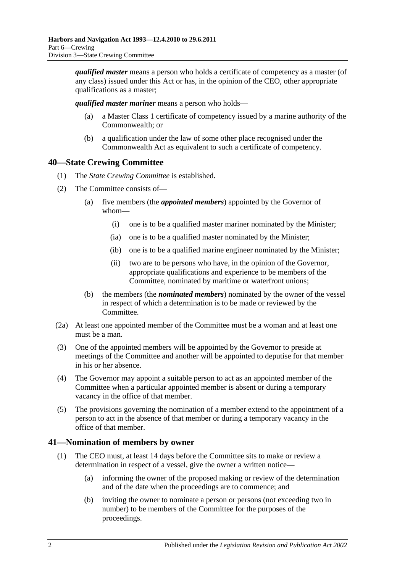*qualified master* means a person who holds a certificate of competency as a master (of any class) issued under this Act or has, in the opinion of the CEO, other appropriate qualifications as a master;

*qualified master mariner* means a person who holds—

- (a) a Master Class 1 certificate of competency issued by a marine authority of the Commonwealth; or
- (b) a qualification under the law of some other place recognised under the Commonwealth Act as equivalent to such a certificate of competency.

# <span id="page-35-0"></span>**40—State Crewing Committee**

- (1) The *State Crewing Committee* is established.
- (2) The Committee consists of—
	- (a) five members (the *appointed members*) appointed by the Governor of whom—
		- (i) one is to be a qualified master mariner nominated by the Minister;
		- (ia) one is to be a qualified master nominated by the Minister;
		- (ib) one is to be a qualified marine engineer nominated by the Minister;
		- (ii) two are to be persons who have, in the opinion of the Governor, appropriate qualifications and experience to be members of the Committee, nominated by maritime or waterfront unions;
	- (b) the members (the *nominated members*) nominated by the owner of the vessel in respect of which a determination is to be made or reviewed by the Committee.
- (2a) At least one appointed member of the Committee must be a woman and at least one must be a man.
- (3) One of the appointed members will be appointed by the Governor to preside at meetings of the Committee and another will be appointed to deputise for that member in his or her absence.
- (4) The Governor may appoint a suitable person to act as an appointed member of the Committee when a particular appointed member is absent or during a temporary vacancy in the office of that member.
- (5) The provisions governing the nomination of a member extend to the appointment of a person to act in the absence of that member or during a temporary vacancy in the office of that member.

## <span id="page-35-1"></span>**41—Nomination of members by owner**

- (1) The CEO must, at least 14 days before the Committee sits to make or review a determination in respect of a vessel, give the owner a written notice—
	- (a) informing the owner of the proposed making or review of the determination and of the date when the proceedings are to commence; and
	- (b) inviting the owner to nominate a person or persons (not exceeding two in number) to be members of the Committee for the purposes of the proceedings.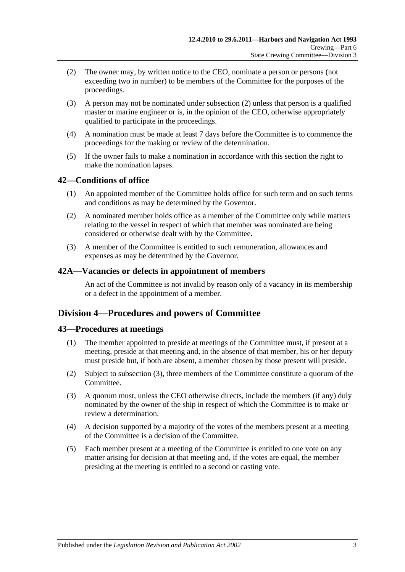- <span id="page-36-0"></span>(2) The owner may, by written notice to the CEO, nominate a person or persons (not exceeding two in number) to be members of the Committee for the purposes of the proceedings.
- (3) A person may not be nominated under [subsection](#page-36-0) (2) unless that person is a qualified master or marine engineer or is, in the opinion of the CEO, otherwise appropriately qualified to participate in the proceedings.
- (4) A nomination must be made at least 7 days before the Committee is to commence the proceedings for the making or review of the determination.
- (5) If the owner fails to make a nomination in accordance with this section the right to make the nomination lapses.

## **42—Conditions of office**

- (1) An appointed member of the Committee holds office for such term and on such terms and conditions as may be determined by the Governor.
- (2) A nominated member holds office as a member of the Committee only while matters relating to the vessel in respect of which that member was nominated are being considered or otherwise dealt with by the Committee.
- (3) A member of the Committee is entitled to such remuneration, allowances and expenses as may be determined by the Governor.

#### **42A—Vacancies or defects in appointment of members**

An act of the Committee is not invalid by reason only of a vacancy in its membership or a defect in the appointment of a member.

## **Division 4—Procedures and powers of Committee**

## **43—Procedures at meetings**

- (1) The member appointed to preside at meetings of the Committee must, if present at a meeting, preside at that meeting and, in the absence of that member, his or her deputy must preside but, if both are absent, a member chosen by those present will preside.
- (2) Subject to [subsection](#page-36-1) (3), three members of the Committee constitute a quorum of the Committee.
- <span id="page-36-1"></span>(3) A quorum must, unless the CEO otherwise directs, include the members (if any) duly nominated by the owner of the ship in respect of which the Committee is to make or review a determination.
- (4) A decision supported by a majority of the votes of the members present at a meeting of the Committee is a decision of the Committee.
- (5) Each member present at a meeting of the Committee is entitled to one vote on any matter arising for decision at that meeting and, if the votes are equal, the member presiding at the meeting is entitled to a second or casting vote.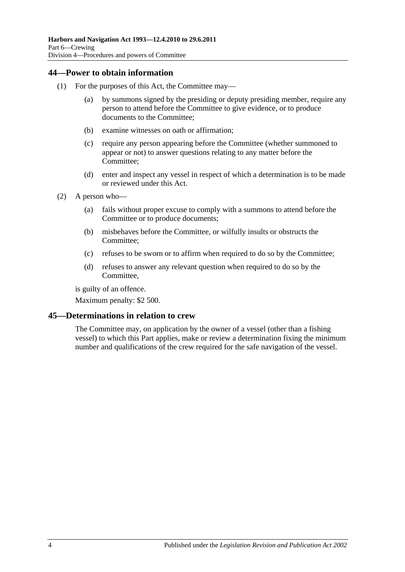## **44—Power to obtain information**

- (1) For the purposes of this Act, the Committee may—
	- (a) by summons signed by the presiding or deputy presiding member, require any person to attend before the Committee to give evidence, or to produce documents to the Committee;
	- (b) examine witnesses on oath or affirmation;
	- (c) require any person appearing before the Committee (whether summoned to appear or not) to answer questions relating to any matter before the Committee;
	- (d) enter and inspect any vessel in respect of which a determination is to be made or reviewed under this Act.
- (2) A person who—
	- (a) fails without proper excuse to comply with a summons to attend before the Committee or to produce documents;
	- (b) misbehaves before the Committee, or wilfully insults or obstructs the Committee;
	- (c) refuses to be sworn or to affirm when required to do so by the Committee;
	- (d) refuses to answer any relevant question when required to do so by the Committee,

is guilty of an offence.

Maximum penalty: \$2 500.

## **45—Determinations in relation to crew**

The Committee may, on application by the owner of a vessel (other than a fishing vessel) to which this Part applies, make or review a determination fixing the minimum number and qualifications of the crew required for the safe navigation of the vessel.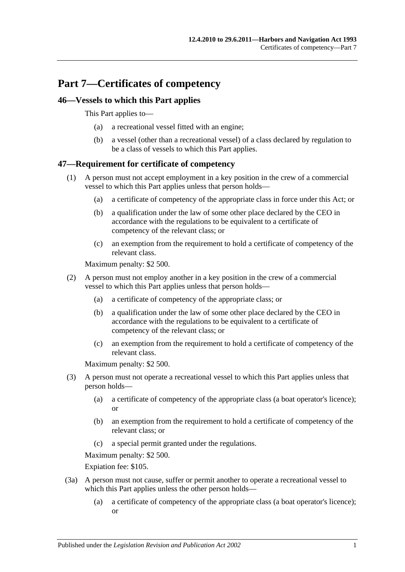# **Part 7—Certificates of competency**

## **46—Vessels to which this Part applies**

This Part applies to—

- (a) a recreational vessel fitted with an engine;
- (b) a vessel (other than a recreational vessel) of a class declared by regulation to be a class of vessels to which this Part applies.

## **47—Requirement for certificate of competency**

- (1) A person must not accept employment in a key position in the crew of a commercial vessel to which this Part applies unless that person holds—
	- (a) a certificate of competency of the appropriate class in force under this Act; or
	- (b) a qualification under the law of some other place declared by the CEO in accordance with the regulations to be equivalent to a certificate of competency of the relevant class; or
	- (c) an exemption from the requirement to hold a certificate of competency of the relevant class.

Maximum penalty: \$2 500.

- (2) A person must not employ another in a key position in the crew of a commercial vessel to which this Part applies unless that person holds—
	- (a) a certificate of competency of the appropriate class; or
	- (b) a qualification under the law of some other place declared by the CEO in accordance with the regulations to be equivalent to a certificate of competency of the relevant class; or
	- (c) an exemption from the requirement to hold a certificate of competency of the relevant class.

Maximum penalty: \$2 500.

- (3) A person must not operate a recreational vessel to which this Part applies unless that person holds—
	- (a) a certificate of competency of the appropriate class (a boat operator's licence); or
	- (b) an exemption from the requirement to hold a certificate of competency of the relevant class; or
	- (c) a special permit granted under the regulations.

Maximum penalty: \$2 500.

Expiation fee: \$105.

- (3a) A person must not cause, suffer or permit another to operate a recreational vessel to which this Part applies unless the other person holds—
	- (a) a certificate of competency of the appropriate class (a boat operator's licence); or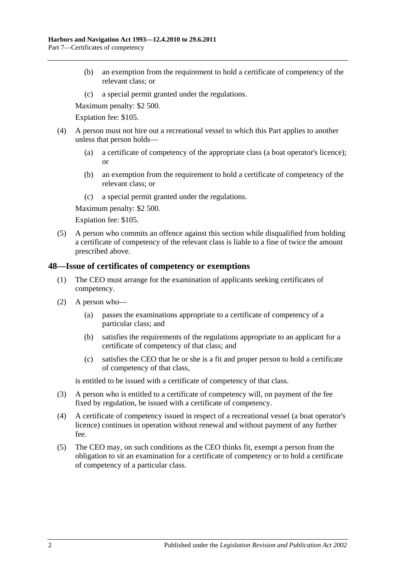- (b) an exemption from the requirement to hold a certificate of competency of the relevant class; or
- (c) a special permit granted under the regulations.

Maximum penalty: \$2 500.

Expiation fee: \$105.

- (4) A person must not hire out a recreational vessel to which this Part applies to another unless that person holds—
	- (a) a certificate of competency of the appropriate class (a boat operator's licence); or
	- (b) an exemption from the requirement to hold a certificate of competency of the relevant class; or
	- (c) a special permit granted under the regulations.

Maximum penalty: \$2 500.

Expiation fee: \$105.

(5) A person who commits an offence against this section while disqualified from holding a certificate of competency of the relevant class is liable to a fine of twice the amount prescribed above.

## **48—Issue of certificates of competency or exemptions**

- (1) The CEO must arrange for the examination of applicants seeking certificates of competency.
- (2) A person who—
	- (a) passes the examinations appropriate to a certificate of competency of a particular class; and
	- (b) satisfies the requirements of the regulations appropriate to an applicant for a certificate of competency of that class; and
	- (c) satisfies the CEO that he or she is a fit and proper person to hold a certificate of competency of that class,

is entitled to be issued with a certificate of competency of that class.

- (3) A person who is entitled to a certificate of competency will, on payment of the fee fixed by regulation, be issued with a certificate of competency.
- (4) A certificate of competency issued in respect of a recreational vessel (a boat operator's licence) continues in operation without renewal and without payment of any further fee.
- (5) The CEO may, on such conditions as the CEO thinks fit, exempt a person from the obligation to sit an examination for a certificate of competency or to hold a certificate of competency of a particular class.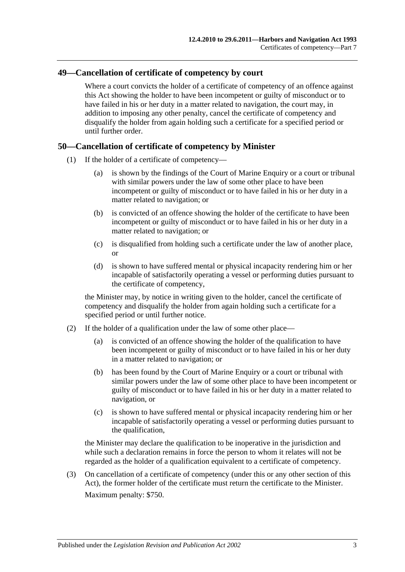## **49—Cancellation of certificate of competency by court**

Where a court convicts the holder of a certificate of competency of an offence against this Act showing the holder to have been incompetent or guilty of misconduct or to have failed in his or her duty in a matter related to navigation, the court may, in addition to imposing any other penalty, cancel the certificate of competency and disqualify the holder from again holding such a certificate for a specified period or until further order.

## **50—Cancellation of certificate of competency by Minister**

- (1) If the holder of a certificate of competency—
	- (a) is shown by the findings of the Court of Marine Enquiry or a court or tribunal with similar powers under the law of some other place to have been incompetent or guilty of misconduct or to have failed in his or her duty in a matter related to navigation; or
	- (b) is convicted of an offence showing the holder of the certificate to have been incompetent or guilty of misconduct or to have failed in his or her duty in a matter related to navigation; or
	- (c) is disqualified from holding such a certificate under the law of another place, or
	- (d) is shown to have suffered mental or physical incapacity rendering him or her incapable of satisfactorily operating a vessel or performing duties pursuant to the certificate of competency,

the Minister may, by notice in writing given to the holder, cancel the certificate of competency and disqualify the holder from again holding such a certificate for a specified period or until further notice.

- (2) If the holder of a qualification under the law of some other place—
	- (a) is convicted of an offence showing the holder of the qualification to have been incompetent or guilty of misconduct or to have failed in his or her duty in a matter related to navigation; or
	- (b) has been found by the Court of Marine Enquiry or a court or tribunal with similar powers under the law of some other place to have been incompetent or guilty of misconduct or to have failed in his or her duty in a matter related to navigation, or
	- (c) is shown to have suffered mental or physical incapacity rendering him or her incapable of satisfactorily operating a vessel or performing duties pursuant to the qualification,

the Minister may declare the qualification to be inoperative in the jurisdiction and while such a declaration remains in force the person to whom it relates will not be regarded as the holder of a qualification equivalent to a certificate of competency.

(3) On cancellation of a certificate of competency (under this or any other section of this Act), the former holder of the certificate must return the certificate to the Minister. Maximum penalty: \$750.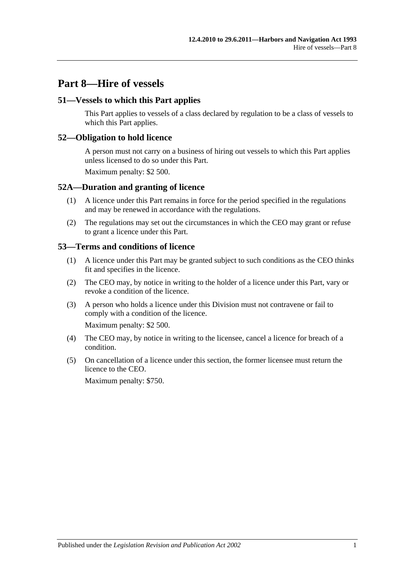# **Part 8—Hire of vessels**

## **51—Vessels to which this Part applies**

This Part applies to vessels of a class declared by regulation to be a class of vessels to which this Part applies.

#### **52—Obligation to hold licence**

A person must not carry on a business of hiring out vessels to which this Part applies unless licensed to do so under this Part.

Maximum penalty: \$2 500.

#### **52A—Duration and granting of licence**

- (1) A licence under this Part remains in force for the period specified in the regulations and may be renewed in accordance with the regulations.
- (2) The regulations may set out the circumstances in which the CEO may grant or refuse to grant a licence under this Part.

#### **53—Terms and conditions of licence**

- (1) A licence under this Part may be granted subject to such conditions as the CEO thinks fit and specifies in the licence.
- (2) The CEO may, by notice in writing to the holder of a licence under this Part, vary or revoke a condition of the licence.
- (3) A person who holds a licence under this Division must not contravene or fail to comply with a condition of the licence.

Maximum penalty: \$2 500.

- (4) The CEO may, by notice in writing to the licensee, cancel a licence for breach of a condition.
- (5) On cancellation of a licence under this section, the former licensee must return the licence to the CEO.

Maximum penalty: \$750.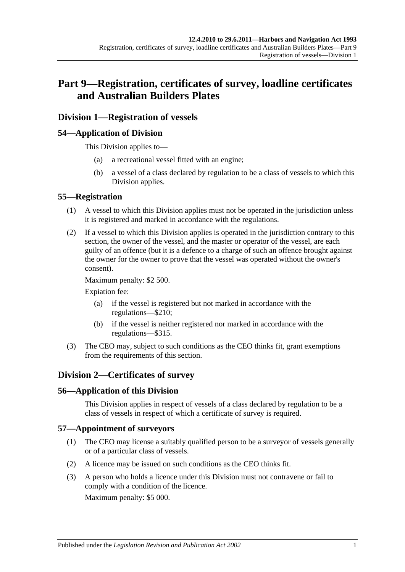# **Part 9—Registration, certificates of survey, loadline certificates and Australian Builders Plates**

## **Division 1—Registration of vessels**

## **54—Application of Division**

This Division applies to—

- (a) a recreational vessel fitted with an engine;
- (b) a vessel of a class declared by regulation to be a class of vessels to which this Division applies.

#### **55—Registration**

- (1) A vessel to which this Division applies must not be operated in the jurisdiction unless it is registered and marked in accordance with the regulations.
- (2) If a vessel to which this Division applies is operated in the jurisdiction contrary to this section, the owner of the vessel, and the master or operator of the vessel, are each guilty of an offence (but it is a defence to a charge of such an offence brought against the owner for the owner to prove that the vessel was operated without the owner's consent).

Maximum penalty: \$2 500.

Expiation fee:

- (a) if the vessel is registered but not marked in accordance with the regulations—\$210;
- (b) if the vessel is neither registered nor marked in accordance with the regulations—\$315.
- (3) The CEO may, subject to such conditions as the CEO thinks fit, grant exemptions from the requirements of this section.

## **Division 2—Certificates of survey**

## **56—Application of this Division**

This Division applies in respect of vessels of a class declared by regulation to be a class of vessels in respect of which a certificate of survey is required.

#### **57—Appointment of surveyors**

- (1) The CEO may license a suitably qualified person to be a surveyor of vessels generally or of a particular class of vessels.
- (2) A licence may be issued on such conditions as the CEO thinks fit.
- (3) A person who holds a licence under this Division must not contravene or fail to comply with a condition of the licence.

Maximum penalty: \$5 000.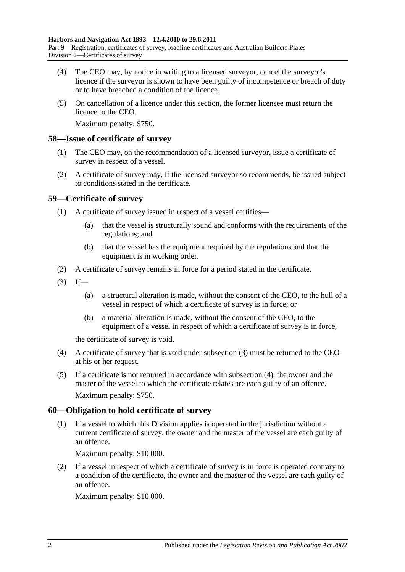- (4) The CEO may, by notice in writing to a licensed surveyor, cancel the surveyor's licence if the surveyor is shown to have been guilty of incompetence or breach of duty or to have breached a condition of the licence.
- (5) On cancellation of a licence under this section, the former licensee must return the licence to the CEO.

Maximum penalty: \$750.

#### **58—Issue of certificate of survey**

- (1) The CEO may, on the recommendation of a licensed surveyor, issue a certificate of survey in respect of a vessel.
- (2) A certificate of survey may, if the licensed surveyor so recommends, be issued subject to conditions stated in the certificate.

## **59—Certificate of survey**

- (1) A certificate of survey issued in respect of a vessel certifies—
	- (a) that the vessel is structurally sound and conforms with the requirements of the regulations; and
	- (b) that the vessel has the equipment required by the regulations and that the equipment is in working order.
- (2) A certificate of survey remains in force for a period stated in the certificate.
- <span id="page-45-0"></span> $(3)$  If—
	- (a) a structural alteration is made, without the consent of the CEO, to the hull of a vessel in respect of which a certificate of survey is in force; or
	- (b) a material alteration is made, without the consent of the CEO, to the equipment of a vessel in respect of which a certificate of survey is in force,

the certificate of survey is void.

- <span id="page-45-1"></span>(4) A certificate of survey that is void under [subsection](#page-45-0) (3) must be returned to the CEO at his or her request.
- (5) If a certificate is not returned in accordance with [subsection](#page-45-1) (4), the owner and the master of the vessel to which the certificate relates are each guilty of an offence. Maximum penalty: \$750.

## **60—Obligation to hold certificate of survey**

(1) If a vessel to which this Division applies is operated in the jurisdiction without a current certificate of survey, the owner and the master of the vessel are each guilty of an offence.

Maximum penalty: \$10 000.

(2) If a vessel in respect of which a certificate of survey is in force is operated contrary to a condition of the certificate, the owner and the master of the vessel are each guilty of an offence.

Maximum penalty: \$10 000.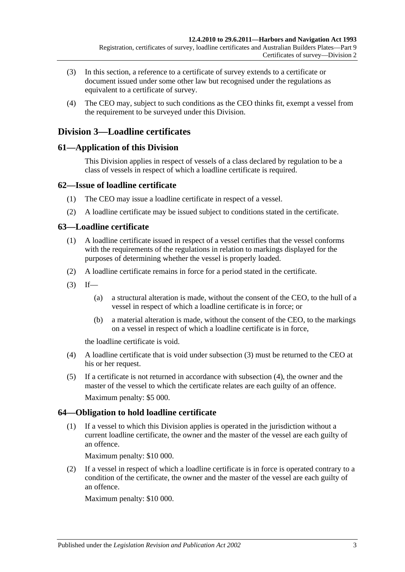- (3) In this section, a reference to a certificate of survey extends to a certificate or document issued under some other law but recognised under the regulations as equivalent to a certificate of survey.
- (4) The CEO may, subject to such conditions as the CEO thinks fit, exempt a vessel from the requirement to be surveyed under this Division.

## **Division 3—Loadline certificates**

## **61—Application of this Division**

This Division applies in respect of vessels of a class declared by regulation to be a class of vessels in respect of which a loadline certificate is required.

## **62—Issue of loadline certificate**

- (1) The CEO may issue a loadline certificate in respect of a vessel.
- (2) A loadline certificate may be issued subject to conditions stated in the certificate.

## **63—Loadline certificate**

- (1) A loadline certificate issued in respect of a vessel certifies that the vessel conforms with the requirements of the regulations in relation to markings displayed for the purposes of determining whether the vessel is properly loaded.
- (2) A loadline certificate remains in force for a period stated in the certificate.
- <span id="page-46-0"></span> $(3)$  If—
	- (a) a structural alteration is made, without the consent of the CEO, to the hull of a vessel in respect of which a loadline certificate is in force; or
	- (b) a material alteration is made, without the consent of the CEO, to the markings on a vessel in respect of which a loadline certificate is in force,

the loadline certificate is void.

- <span id="page-46-1"></span>(4) A loadline certificate that is void under [subsection](#page-46-0) (3) must be returned to the CEO at his or her request.
- (5) If a certificate is not returned in accordance with [subsection](#page-46-1) (4), the owner and the master of the vessel to which the certificate relates are each guilty of an offence. Maximum penalty: \$5 000.

## **64—Obligation to hold loadline certificate**

(1) If a vessel to which this Division applies is operated in the jurisdiction without a current loadline certificate, the owner and the master of the vessel are each guilty of an offence.

Maximum penalty: \$10 000.

(2) If a vessel in respect of which a loadline certificate is in force is operated contrary to a condition of the certificate, the owner and the master of the vessel are each guilty of an offence.

Maximum penalty: \$10 000.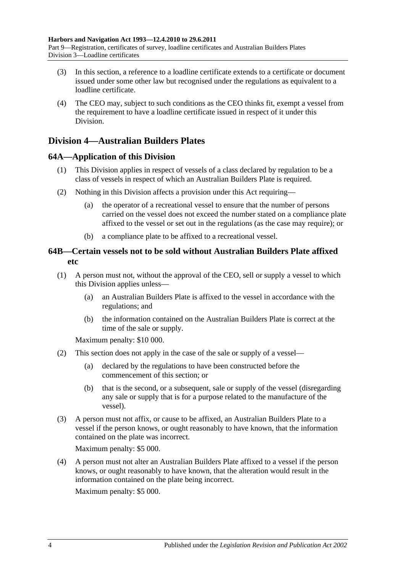- (3) In this section, a reference to a loadline certificate extends to a certificate or document issued under some other law but recognised under the regulations as equivalent to a loadline certificate.
- (4) The CEO may, subject to such conditions as the CEO thinks fit, exempt a vessel from the requirement to have a loadline certificate issued in respect of it under this Division.

## **Division 4—Australian Builders Plates**

## **64A—Application of this Division**

- (1) This Division applies in respect of vessels of a class declared by regulation to be a class of vessels in respect of which an Australian Builders Plate is required.
- (2) Nothing in this Division affects a provision under this Act requiring—
	- (a) the operator of a recreational vessel to ensure that the number of persons carried on the vessel does not exceed the number stated on a compliance plate affixed to the vessel or set out in the regulations (as the case may require); or
	- (b) a compliance plate to be affixed to a recreational vessel.

## **64B—Certain vessels not to be sold without Australian Builders Plate affixed etc**

- <span id="page-47-0"></span>(1) A person must not, without the approval of the CEO, sell or supply a vessel to which this Division applies unless—
	- (a) an Australian Builders Plate is affixed to the vessel in accordance with the regulations; and
	- (b) the information contained on the Australian Builders Plate is correct at the time of the sale or supply.

Maximum penalty: \$10 000.

- (2) This section does not apply in the case of the sale or supply of a vessel—
	- (a) declared by the regulations to have been constructed before the commencement of this section; or
	- (b) that is the second, or a subsequent, sale or supply of the vessel (disregarding any sale or supply that is for a purpose related to the manufacture of the vessel).
- (3) A person must not affix, or cause to be affixed, an Australian Builders Plate to a vessel if the person knows, or ought reasonably to have known, that the information contained on the plate was incorrect.

Maximum penalty: \$5 000.

(4) A person must not alter an Australian Builders Plate affixed to a vessel if the person knows, or ought reasonably to have known, that the alteration would result in the information contained on the plate being incorrect.

Maximum penalty: \$5 000.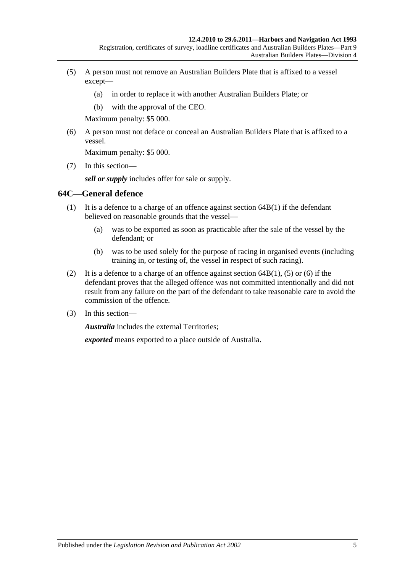- <span id="page-48-0"></span>(5) A person must not remove an Australian Builders Plate that is affixed to a vessel except—
	- (a) in order to replace it with another Australian Builders Plate; or
	- (b) with the approval of the CEO.

Maximum penalty: \$5 000.

<span id="page-48-1"></span>(6) A person must not deface or conceal an Australian Builders Plate that is affixed to a vessel.

Maximum penalty: \$5 000.

(7) In this section—

*sell or supply* includes offer for sale or supply.

#### **64C—General defence**

- (1) It is a defence to a charge of an offence against [section](#page-47-0) 64B(1) if the defendant believed on reasonable grounds that the vessel—
	- (a) was to be exported as soon as practicable after the sale of the vessel by the defendant; or
	- (b) was to be used solely for the purpose of racing in organised events (including training in, or testing of, the vessel in respect of such racing).
- (2) It is a defence to a charge of an offence against [section](#page-47-0)  $64B(1)$ , [\(5\)](#page-48-0) or [\(6\)](#page-48-1) if the defendant proves that the alleged offence was not committed intentionally and did not result from any failure on the part of the defendant to take reasonable care to avoid the commission of the offence.
- (3) In this section—

*Australia* includes the external Territories;

*exported* means exported to a place outside of Australia.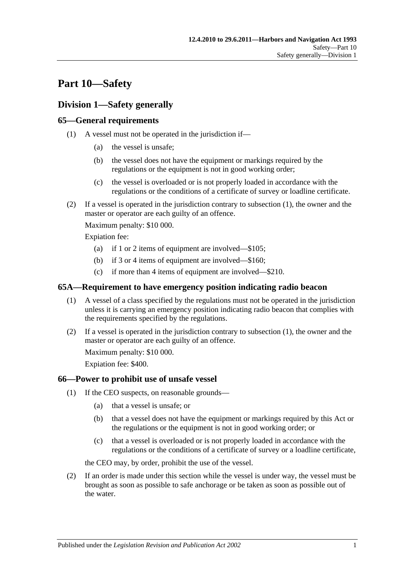# **Part 10—Safety**

## **Division 1—Safety generally**

## <span id="page-50-0"></span>**65—General requirements**

- (1) A vessel must not be operated in the jurisdiction if—
	- (a) the vessel is unsafe;
	- (b) the vessel does not have the equipment or markings required by the regulations or the equipment is not in good working order;
	- (c) the vessel is overloaded or is not properly loaded in accordance with the regulations or the conditions of a certificate of survey or loadline certificate.
- (2) If a vessel is operated in the jurisdiction contrary to [subsection](#page-50-0) (1), the owner and the master or operator are each guilty of an offence.

Maximum penalty: \$10 000.

Expiation fee:

- (a) if 1 or 2 items of equipment are involved—\$105;
- (b) if 3 or 4 items of equipment are involved—\$160;
- (c) if more than 4 items of equipment are involved—\$210.

## <span id="page-50-1"></span>**65A—Requirement to have emergency position indicating radio beacon**

- (1) A vessel of a class specified by the regulations must not be operated in the jurisdiction unless it is carrying an emergency position indicating radio beacon that complies with the requirements specified by the regulations.
- (2) If a vessel is operated in the jurisdiction contrary to [subsection](#page-50-1) (1), the owner and the master or operator are each guilty of an offence.

Maximum penalty: \$10 000.

Expiation fee: \$400.

## <span id="page-50-3"></span>**66—Power to prohibit use of unsafe vessel**

- (1) If the CEO suspects, on reasonable grounds—
	- (a) that a vessel is unsafe; or
	- (b) that a vessel does not have the equipment or markings required by this Act or the regulations or the equipment is not in good working order; or
	- (c) that a vessel is overloaded or is not properly loaded in accordance with the regulations or the conditions of a certificate of survey or a loadline certificate,

the CEO may, by order, prohibit the use of the vessel.

<span id="page-50-2"></span>(2) If an order is made under this section while the vessel is under way, the vessel must be brought as soon as possible to safe anchorage or be taken as soon as possible out of the water.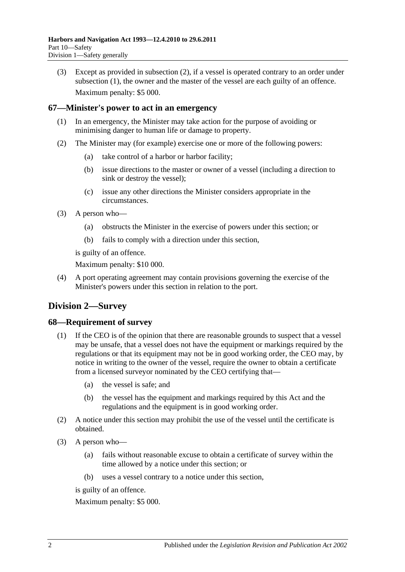(3) Except as provided in [subsection](#page-50-2) (2), if a vessel is operated contrary to an order under [subsection](#page-50-3) (1), the owner and the master of the vessel are each guilty of an offence. Maximum penalty: \$5 000.

## **67—Minister's power to act in an emergency**

- (1) In an emergency, the Minister may take action for the purpose of avoiding or minimising danger to human life or damage to property.
- (2) The Minister may (for example) exercise one or more of the following powers:
	- (a) take control of a harbor or harbor facility;
	- (b) issue directions to the master or owner of a vessel (including a direction to sink or destroy the vessel);
	- (c) issue any other directions the Minister considers appropriate in the circumstances.
- (3) A person who—
	- (a) obstructs the Minister in the exercise of powers under this section; or
	- (b) fails to comply with a direction under this section,

is guilty of an offence.

Maximum penalty: \$10 000.

(4) A port operating agreement may contain provisions governing the exercise of the Minister's powers under this section in relation to the port.

# **Division 2—Survey**

## **68—Requirement of survey**

- (1) If the CEO is of the opinion that there are reasonable grounds to suspect that a vessel may be unsafe, that a vessel does not have the equipment or markings required by the regulations or that its equipment may not be in good working order, the CEO may, by notice in writing to the owner of the vessel, require the owner to obtain a certificate from a licensed surveyor nominated by the CEO certifying that—
	- (a) the vessel is safe; and
	- (b) the vessel has the equipment and markings required by this Act and the regulations and the equipment is in good working order.
- (2) A notice under this section may prohibit the use of the vessel until the certificate is obtained.
- (3) A person who—
	- (a) fails without reasonable excuse to obtain a certificate of survey within the time allowed by a notice under this section; or
	- (b) uses a vessel contrary to a notice under this section,

is guilty of an offence.

Maximum penalty: \$5 000.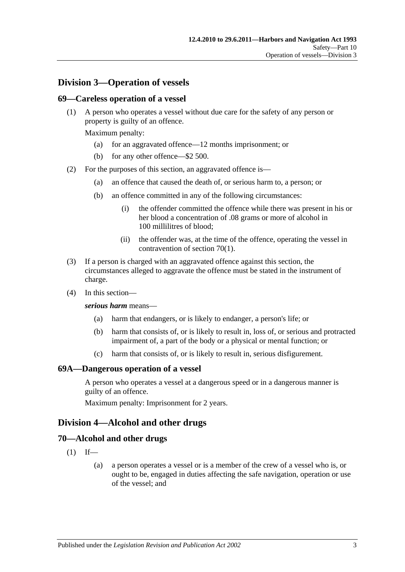## **Division 3—Operation of vessels**

#### **69—Careless operation of a vessel**

(1) A person who operates a vessel without due care for the safety of any person or property is guilty of an offence.

Maximum penalty:

- (a) for an aggravated offence—12 months imprisonment; or
- (b) for any other offence—\$2 500.
- (2) For the purposes of this section, an aggravated offence is—
	- (a) an offence that caused the death of, or serious harm to, a person; or
	- (b) an offence committed in any of the following circumstances:
		- (i) the offender committed the offence while there was present in his or her blood a concentration of .08 grams or more of alcohol in 100 millilitres of blood;
		- (ii) the offender was, at the time of the offence, operating the vessel in contravention of [section](#page-52-0) 70(1).
- (3) If a person is charged with an aggravated offence against this section, the circumstances alleged to aggravate the offence must be stated in the instrument of charge.
- (4) In this section—

#### *serious harm* means—

- (a) harm that endangers, or is likely to endanger, a person's life; or
- (b) harm that consists of, or is likely to result in, loss of, or serious and protracted impairment of, a part of the body or a physical or mental function; or
- (c) harm that consists of, or is likely to result in, serious disfigurement.

#### **69A—Dangerous operation of a vessel**

A person who operates a vessel at a dangerous speed or in a dangerous manner is guilty of an offence.

Maximum penalty: Imprisonment for 2 years.

## **Division 4—Alcohol and other drugs**

#### <span id="page-52-0"></span>**70—Alcohol and other drugs**

- $(1)$  If—
	- (a) a person operates a vessel or is a member of the crew of a vessel who is, or ought to be, engaged in duties affecting the safe navigation, operation or use of the vessel; and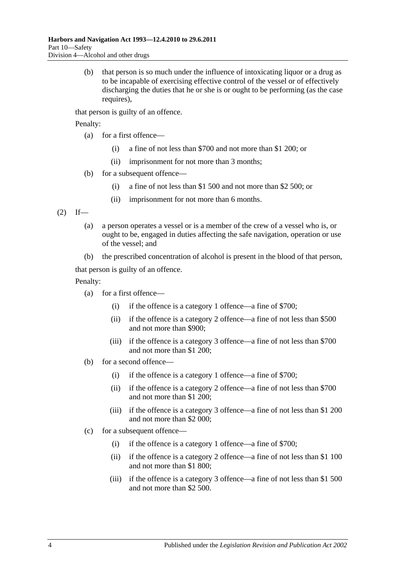(b) that person is so much under the influence of intoxicating liquor or a drug as to be incapable of exercising effective control of the vessel or of effectively discharging the duties that he or she is or ought to be performing (as the case requires).

that person is guilty of an offence.

Penalty:

- (a) for a first offence—
	- (i) a fine of not less than \$700 and not more than \$1 200; or
	- (ii) imprisonment for not more than 3 months;
- (b) for a subsequent offence—
	- (i) a fine of not less than \$1 500 and not more than \$2 500; or
	- (ii) imprisonment for not more than 6 months.

<span id="page-53-0"></span> $(2)$  If—

- (a) a person operates a vessel or is a member of the crew of a vessel who is, or ought to be, engaged in duties affecting the safe navigation, operation or use of the vessel; and
- (b) the prescribed concentration of alcohol is present in the blood of that person,

that person is guilty of an offence.

Penalty:

- (a) for a first offence—
	- (i) if the offence is a category 1 offence—a fine of \$700;
	- (ii) if the offence is a category 2 offence—a fine of not less than \$500 and not more than \$900;
	- (iii) if the offence is a category 3 offence—a fine of not less than \$700 and not more than \$1 200;
- (b) for a second offence—
	- (i) if the offence is a category 1 offence—a fine of \$700;
	- (ii) if the offence is a category 2 offence—a fine of not less than \$700 and not more than \$1 200;
	- (iii) if the offence is a category 3 offence—a fine of not less than \$1 200 and not more than \$2 000;
- (c) for a subsequent offence—
	- (i) if the offence is a category 1 offence—a fine of \$700;
	- (ii) if the offence is a category 2 offence—a fine of not less than \$1 100 and not more than \$1 800;
	- (iii) if the offence is a category 3 offence—a fine of not less than \$1 500 and not more than \$2 500.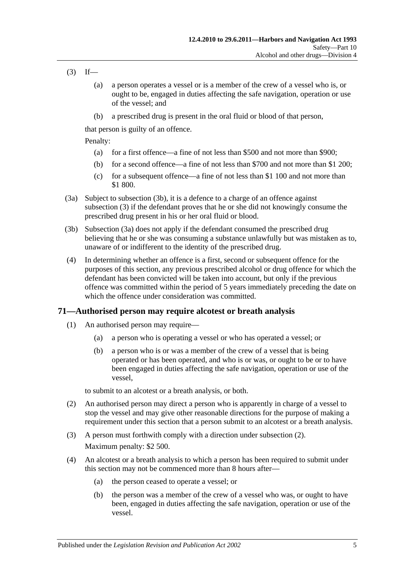- <span id="page-54-1"></span> $(3)$  If—
	- (a) a person operates a vessel or is a member of the crew of a vessel who is, or ought to be, engaged in duties affecting the safe navigation, operation or use of the vessel; and
	- (b) a prescribed drug is present in the oral fluid or blood of that person,

that person is guilty of an offence.

Penalty:

- (a) for a first offence—a fine of not less than \$500 and not more than \$900;
- (b) for a second offence—a fine of not less than \$700 and not more than \$1 200;
- (c) for a subsequent offence—a fine of not less than \$1 100 and not more than \$1 800.
- <span id="page-54-2"></span>(3a) Subject to [subsection](#page-54-0) (3b), it is a defence to a charge of an offence against [subsection](#page-54-1) (3) if the defendant proves that he or she did not knowingly consume the prescribed drug present in his or her oral fluid or blood.
- <span id="page-54-0"></span>(3b) [Subsection \(3a\)](#page-54-2) does not apply if the defendant consumed the prescribed drug believing that he or she was consuming a substance unlawfully but was mistaken as to, unaware of or indifferent to the identity of the prescribed drug.
- (4) In determining whether an offence is a first, second or subsequent offence for the purposes of this section, any previous prescribed alcohol or drug offence for which the defendant has been convicted will be taken into account, but only if the previous offence was committed within the period of 5 years immediately preceding the date on which the offence under consideration was committed.

## <span id="page-54-5"></span><span id="page-54-4"></span>**71—Authorised person may require alcotest or breath analysis**

- (1) An authorised person may require—
	- (a) a person who is operating a vessel or who has operated a vessel; or
	- (b) a person who is or was a member of the crew of a vessel that is being operated or has been operated, and who is or was, or ought to be or to have been engaged in duties affecting the safe navigation, operation or use of the vessel,

to submit to an alcotest or a breath analysis, or both.

- <span id="page-54-3"></span>(2) An authorised person may direct a person who is apparently in charge of a vessel to stop the vessel and may give other reasonable directions for the purpose of making a requirement under this section that a person submit to an alcotest or a breath analysis.
- (3) A person must forthwith comply with a direction under [subsection](#page-54-3) (2). Maximum penalty: \$2 500.
- (4) An alcotest or a breath analysis to which a person has been required to submit under this section may not be commenced more than 8 hours after—
	- (a) the person ceased to operate a vessel; or
	- (b) the person was a member of the crew of a vessel who was, or ought to have been, engaged in duties affecting the safe navigation, operation or use of the vessel.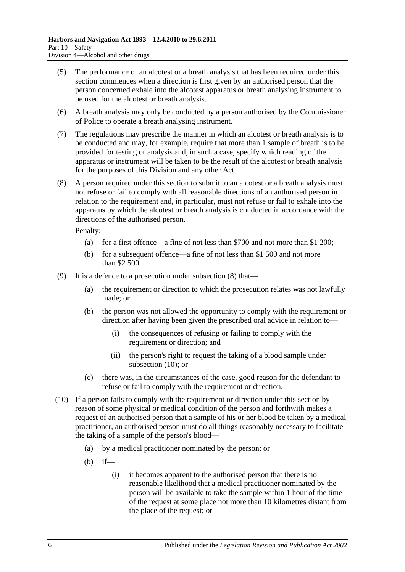- (5) The performance of an alcotest or a breath analysis that has been required under this section commences when a direction is first given by an authorised person that the person concerned exhale into the alcotest apparatus or breath analysing instrument to be used for the alcotest or breath analysis.
- (6) A breath analysis may only be conducted by a person authorised by the Commissioner of Police to operate a breath analysing instrument.
- (7) The regulations may prescribe the manner in which an alcotest or breath analysis is to be conducted and may, for example, require that more than 1 sample of breath is to be provided for testing or analysis and, in such a case, specify which reading of the apparatus or instrument will be taken to be the result of the alcotest or breath analysis for the purposes of this Division and any other Act.
- <span id="page-55-0"></span>(8) A person required under this section to submit to an alcotest or a breath analysis must not refuse or fail to comply with all reasonable directions of an authorised person in relation to the requirement and, in particular, must not refuse or fail to exhale into the apparatus by which the alcotest or breath analysis is conducted in accordance with the directions of the authorised person.

Penalty:

- (a) for a first offence—a fine of not less than \$700 and not more than \$1 200;
- (b) for a subsequent offence—a fine of not less than \$1 500 and not more than \$2 500.
- (9) It is a defence to a prosecution under [subsection](#page-55-0) (8) that—
	- (a) the requirement or direction to which the prosecution relates was not lawfully made; or
	- (b) the person was not allowed the opportunity to comply with the requirement or direction after having been given the prescribed oral advice in relation to—
		- (i) the consequences of refusing or failing to comply with the requirement or direction; and
		- (ii) the person's right to request the taking of a blood sample under [subsection](#page-55-1) (10); or
	- (c) there was, in the circumstances of the case, good reason for the defendant to refuse or fail to comply with the requirement or direction.
- <span id="page-55-1"></span>(10) If a person fails to comply with the requirement or direction under this section by reason of some physical or medical condition of the person and forthwith makes a request of an authorised person that a sample of his or her blood be taken by a medical practitioner, an authorised person must do all things reasonably necessary to facilitate the taking of a sample of the person's blood—
	- (a) by a medical practitioner nominated by the person; or
	- (b) if—
		- (i) it becomes apparent to the authorised person that there is no reasonable likelihood that a medical practitioner nominated by the person will be available to take the sample within 1 hour of the time of the request at some place not more than 10 kilometres distant from the place of the request; or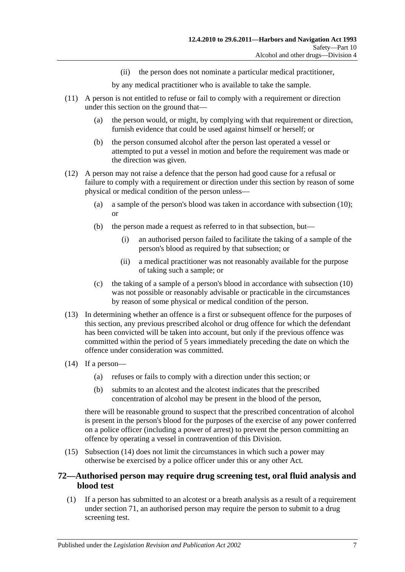(ii) the person does not nominate a particular medical practitioner,

by any medical practitioner who is available to take the sample.

- (11) A person is not entitled to refuse or fail to comply with a requirement or direction under this section on the ground that—
	- (a) the person would, or might, by complying with that requirement or direction, furnish evidence that could be used against himself or herself; or
	- (b) the person consumed alcohol after the person last operated a vessel or attempted to put a vessel in motion and before the requirement was made or the direction was given.
- (12) A person may not raise a defence that the person had good cause for a refusal or failure to comply with a requirement or direction under this section by reason of some physical or medical condition of the person unless—
	- (a) a sample of the person's blood was taken in accordance with [subsection](#page-55-1) (10); or
	- (b) the person made a request as referred to in that subsection, but—
		- (i) an authorised person failed to facilitate the taking of a sample of the person's blood as required by that subsection; or
		- (ii) a medical practitioner was not reasonably available for the purpose of taking such a sample; or
	- (c) the taking of a sample of a person's blood in accordance with [subsection](#page-55-1) (10) was not possible or reasonably advisable or practicable in the circumstances by reason of some physical or medical condition of the person.
- (13) In determining whether an offence is a first or subsequent offence for the purposes of this section, any previous prescribed alcohol or drug offence for which the defendant has been convicted will be taken into account, but only if the previous offence was committed within the period of 5 years immediately preceding the date on which the offence under consideration was committed.
- <span id="page-56-0"></span>(14) If a person—
	- (a) refuses or fails to comply with a direction under this section; or
	- (b) submits to an alcotest and the alcotest indicates that the prescribed concentration of alcohol may be present in the blood of the person,

there will be reasonable ground to suspect that the prescribed concentration of alcohol is present in the person's blood for the purposes of the exercise of any power conferred on a police officer (including a power of arrest) to prevent the person committing an offence by operating a vessel in contravention of this Division.

(15) [Subsection \(14\)](#page-56-0) does not limit the circumstances in which such a power may otherwise be exercised by a police officer under this or any other Act.

## <span id="page-56-2"></span>**72—Authorised person may require drug screening test, oral fluid analysis and blood test**

<span id="page-56-1"></span>(1) If a person has submitted to an alcotest or a breath analysis as a result of a requirement under [section](#page-54-4) 71, an authorised person may require the person to submit to a drug screening test.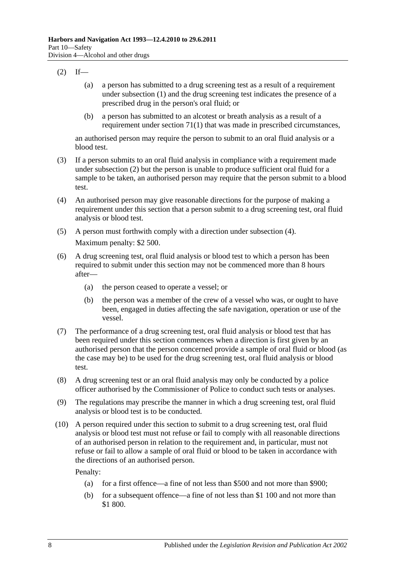- <span id="page-57-0"></span> $(2)$  If—
	- (a) a person has submitted to a drug screening test as a result of a requirement under [subsection](#page-56-1) (1) and the drug screening test indicates the presence of a prescribed drug in the person's oral fluid; or
	- (b) a person has submitted to an alcotest or breath analysis as a result of a requirement under [section](#page-54-5) 71(1) that was made in prescribed circumstances,

an authorised person may require the person to submit to an oral fluid analysis or a blood test.

- (3) If a person submits to an oral fluid analysis in compliance with a requirement made under [subsection](#page-57-0) (2) but the person is unable to produce sufficient oral fluid for a sample to be taken, an authorised person may require that the person submit to a blood test.
- <span id="page-57-1"></span>(4) An authorised person may give reasonable directions for the purpose of making a requirement under this section that a person submit to a drug screening test, oral fluid analysis or blood test.
- (5) A person must forthwith comply with a direction under [subsection](#page-57-1) (4). Maximum penalty: \$2 500.
- (6) A drug screening test, oral fluid analysis or blood test to which a person has been required to submit under this section may not be commenced more than 8 hours after—
	- (a) the person ceased to operate a vessel; or
	- (b) the person was a member of the crew of a vessel who was, or ought to have been, engaged in duties affecting the safe navigation, operation or use of the vessel.
- (7) The performance of a drug screening test, oral fluid analysis or blood test that has been required under this section commences when a direction is first given by an authorised person that the person concerned provide a sample of oral fluid or blood (as the case may be) to be used for the drug screening test, oral fluid analysis or blood test.
- (8) A drug screening test or an oral fluid analysis may only be conducted by a police officer authorised by the Commissioner of Police to conduct such tests or analyses.
- (9) The regulations may prescribe the manner in which a drug screening test, oral fluid analysis or blood test is to be conducted.
- <span id="page-57-2"></span>(10) A person required under this section to submit to a drug screening test, oral fluid analysis or blood test must not refuse or fail to comply with all reasonable directions of an authorised person in relation to the requirement and, in particular, must not refuse or fail to allow a sample of oral fluid or blood to be taken in accordance with the directions of an authorised person.

Penalty:

- (a) for a first offence—a fine of not less than \$500 and not more than \$900;
- (b) for a subsequent offence—a fine of not less than \$1 100 and not more than \$1 800.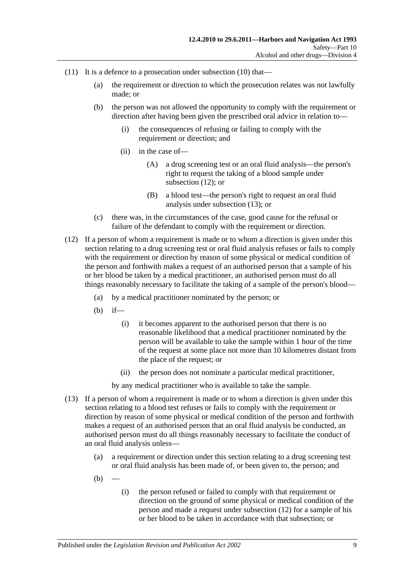- (11) It is a defence to a prosecution under [subsection](#page-57-2) (10) that—
	- (a) the requirement or direction to which the prosecution relates was not lawfully made; or
	- (b) the person was not allowed the opportunity to comply with the requirement or direction after having been given the prescribed oral advice in relation to—
		- (i) the consequences of refusing or failing to comply with the requirement or direction; and
		- (ii) in the case of—
			- (A) a drug screening test or an oral fluid analysis—the person's right to request the taking of a blood sample under [subsection](#page-58-0) (12); or
			- (B) a blood test—the person's right to request an oral fluid analysis under [subsection](#page-58-1) (13); or
	- (c) there was, in the circumstances of the case, good cause for the refusal or failure of the defendant to comply with the requirement or direction.
- <span id="page-58-0"></span>(12) If a person of whom a requirement is made or to whom a direction is given under this section relating to a drug screening test or oral fluid analysis refuses or fails to comply with the requirement or direction by reason of some physical or medical condition of the person and forthwith makes a request of an authorised person that a sample of his or her blood be taken by a medical practitioner, an authorised person must do all things reasonably necessary to facilitate the taking of a sample of the person's blood—
	- (a) by a medical practitioner nominated by the person; or
	- (b) if—
		- (i) it becomes apparent to the authorised person that there is no reasonable likelihood that a medical practitioner nominated by the person will be available to take the sample within 1 hour of the time of the request at some place not more than 10 kilometres distant from the place of the request; or
		- (ii) the person does not nominate a particular medical practitioner,

by any medical practitioner who is available to take the sample.

- <span id="page-58-1"></span>(13) If a person of whom a requirement is made or to whom a direction is given under this section relating to a blood test refuses or fails to comply with the requirement or direction by reason of some physical or medical condition of the person and forthwith makes a request of an authorised person that an oral fluid analysis be conducted, an authorised person must do all things reasonably necessary to facilitate the conduct of an oral fluid analysis unless—
	- (a) a requirement or direction under this section relating to a drug screening test or oral fluid analysis has been made of, or been given to, the person; and
	- $(b)$
- (i) the person refused or failed to comply with that requirement or direction on the ground of some physical or medical condition of the person and made a request under [subsection](#page-58-0) (12) for a sample of his or her blood to be taken in accordance with that subsection; or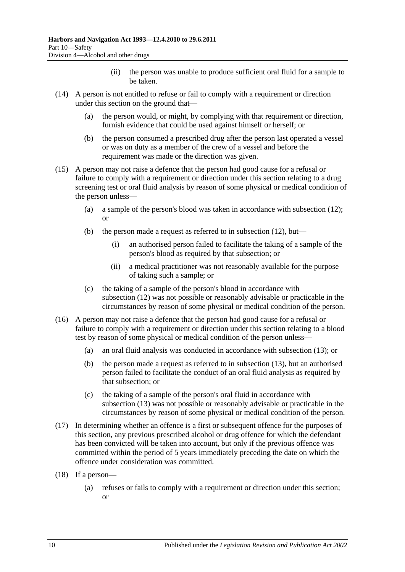- (ii) the person was unable to produce sufficient oral fluid for a sample to be taken.
- (14) A person is not entitled to refuse or fail to comply with a requirement or direction under this section on the ground that—
	- (a) the person would, or might, by complying with that requirement or direction, furnish evidence that could be used against himself or herself; or
	- (b) the person consumed a prescribed drug after the person last operated a vessel or was on duty as a member of the crew of a vessel and before the requirement was made or the direction was given.
- (15) A person may not raise a defence that the person had good cause for a refusal or failure to comply with a requirement or direction under this section relating to a drug screening test or oral fluid analysis by reason of some physical or medical condition of the person unless—
	- (a) a sample of the person's blood was taken in accordance with [subsection](#page-58-0) (12); or
	- (b) the person made a request as referred to in [subsection](#page-58-0)  $(12)$ , but—
		- (i) an authorised person failed to facilitate the taking of a sample of the person's blood as required by that subsection; or
		- (ii) a medical practitioner was not reasonably available for the purpose of taking such a sample; or
	- (c) the taking of a sample of the person's blood in accordance with [subsection](#page-58-0) (12) was not possible or reasonably advisable or practicable in the circumstances by reason of some physical or medical condition of the person.
- (16) A person may not raise a defence that the person had good cause for a refusal or failure to comply with a requirement or direction under this section relating to a blood test by reason of some physical or medical condition of the person unless—
	- (a) an oral fluid analysis was conducted in accordance with [subsection](#page-58-1) (13); or
	- (b) the person made a request as referred to in [subsection](#page-58-1) (13), but an authorised person failed to facilitate the conduct of an oral fluid analysis as required by that subsection; or
	- (c) the taking of a sample of the person's oral fluid in accordance with [subsection](#page-58-1) (13) was not possible or reasonably advisable or practicable in the circumstances by reason of some physical or medical condition of the person.
- (17) In determining whether an offence is a first or subsequent offence for the purposes of this section, any previous prescribed alcohol or drug offence for which the defendant has been convicted will be taken into account, but only if the previous offence was committed within the period of 5 years immediately preceding the date on which the offence under consideration was committed.
- <span id="page-59-0"></span>(18) If a person—
	- (a) refuses or fails to comply with a requirement or direction under this section; or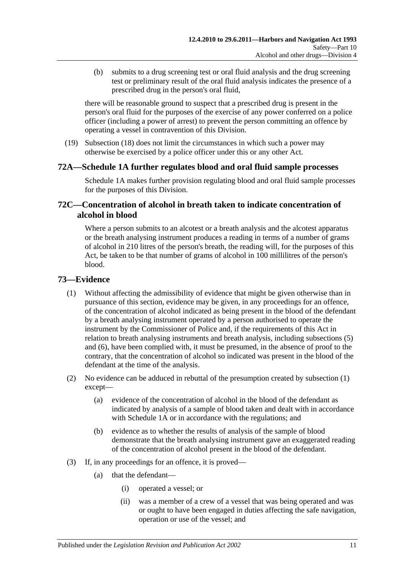(b) submits to a drug screening test or oral fluid analysis and the drug screening test or preliminary result of the oral fluid analysis indicates the presence of a prescribed drug in the person's oral fluid,

there will be reasonable ground to suspect that a prescribed drug is present in the person's oral fluid for the purposes of the exercise of any power conferred on a police officer (including a power of arrest) to prevent the person committing an offence by operating a vessel in contravention of this Division.

(19) [Subsection](#page-59-0) (18) does not limit the circumstances in which such a power may otherwise be exercised by a police officer under this or any other Act.

## **72A[—Schedule 1A](#page-81-0) further regulates blood and oral fluid sample processes**

[Schedule 1A](#page-81-0) makes further provision regulating blood and oral fluid sample processes for the purposes of this Division.

## **72C—Concentration of alcohol in breath taken to indicate concentration of alcohol in blood**

Where a person submits to an alcotest or a breath analysis and the alcotest apparatus or the breath analysing instrument produces a reading in terms of a number of grams of alcohol in 210 litres of the person's breath, the reading will, for the purposes of this Act, be taken to be that number of grams of alcohol in 100 millilitres of the person's blood.

## <span id="page-60-0"></span>**73—Evidence**

- (1) Without affecting the admissibility of evidence that might be given otherwise than in pursuance of this section, evidence may be given, in any proceedings for an offence, of the concentration of alcohol indicated as being present in the blood of the defendant by a breath analysing instrument operated by a person authorised to operate the instrument by the Commissioner of Police and, if the requirements of this Act in relation to breath analysing instruments and breath analysis, including [subsections \(5\)](#page-61-0) and [\(6\),](#page-61-1) have been complied with, it must be presumed, in the absence of proof to the contrary, that the concentration of alcohol so indicated was present in the blood of the defendant at the time of the analysis.
- <span id="page-60-2"></span>(2) No evidence can be adduced in rebuttal of the presumption created by [subsection](#page-60-0) (1) except—
	- (a) evidence of the concentration of alcohol in the blood of the defendant as indicated by analysis of a sample of blood taken and dealt with in accordance with [Schedule 1A](#page-81-0) or in accordance with the regulations; and
	- (b) evidence as to whether the results of analysis of the sample of blood demonstrate that the breath analysing instrument gave an exaggerated reading of the concentration of alcohol present in the blood of the defendant.
- <span id="page-60-1"></span>(3) If, in any proceedings for an offence, it is proved—
	- (a) that the defendant—
		- (i) operated a vessel; or
		- (ii) was a member of a crew of a vessel that was being operated and was or ought to have been engaged in duties affecting the safe navigation, operation or use of the vessel; and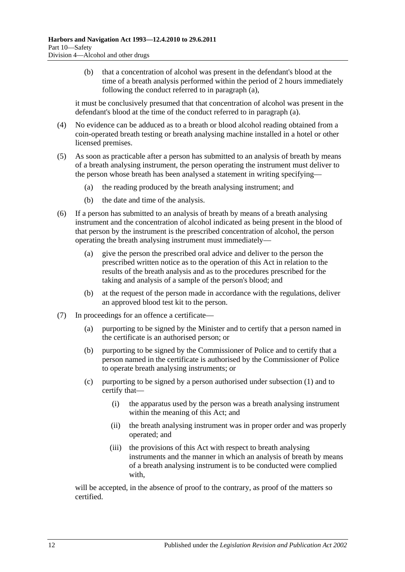(b) that a concentration of alcohol was present in the defendant's blood at the time of a breath analysis performed within the period of 2 hours immediately following the conduct referred to in [paragraph](#page-60-1) (a),

it must be conclusively presumed that that concentration of alcohol was present in the defendant's blood at the time of the conduct referred to in [paragraph](#page-60-1) (a).

- (4) No evidence can be adduced as to a breath or blood alcohol reading obtained from a coin-operated breath testing or breath analysing machine installed in a hotel or other licensed premises.
- <span id="page-61-0"></span>(5) As soon as practicable after a person has submitted to an analysis of breath by means of a breath analysing instrument, the person operating the instrument must deliver to the person whose breath has been analysed a statement in writing specifying—
	- (a) the reading produced by the breath analysing instrument; and
	- (b) the date and time of the analysis.
- <span id="page-61-2"></span><span id="page-61-1"></span>(6) If a person has submitted to an analysis of breath by means of a breath analysing instrument and the concentration of alcohol indicated as being present in the blood of that person by the instrument is the prescribed concentration of alcohol, the person operating the breath analysing instrument must immediately—
	- (a) give the person the prescribed oral advice and deliver to the person the prescribed written notice as to the operation of this Act in relation to the results of the breath analysis and as to the procedures prescribed for the taking and analysis of a sample of the person's blood; and
	- (b) at the request of the person made in accordance with the regulations, deliver an approved blood test kit to the person.
- <span id="page-61-3"></span>(7) In proceedings for an offence a certificate—
	- (a) purporting to be signed by the Minister and to certify that a person named in the certificate is an authorised person; or
	- (b) purporting to be signed by the Commissioner of Police and to certify that a person named in the certificate is authorised by the Commissioner of Police to operate breath analysing instruments; or
	- (c) purporting to be signed by a person authorised under [subsection](#page-60-0) (1) and to certify that—
		- (i) the apparatus used by the person was a breath analysing instrument within the meaning of this Act; and
		- (ii) the breath analysing instrument was in proper order and was properly operated; and
		- (iii) the provisions of this Act with respect to breath analysing instruments and the manner in which an analysis of breath by means of a breath analysing instrument is to be conducted were complied with.

will be accepted, in the absence of proof to the contrary, as proof of the matters so certified.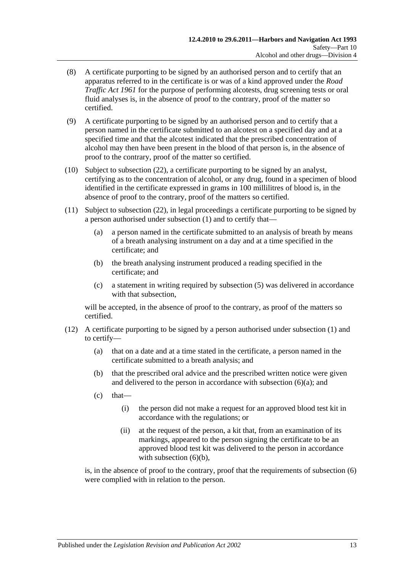- (8) A certificate purporting to be signed by an authorised person and to certify that an apparatus referred to in the certificate is or was of a kind approved under the *[Road](http://www.legislation.sa.gov.au/index.aspx?action=legref&type=act&legtitle=Road%20Traffic%20Act%201961)  [Traffic Act](http://www.legislation.sa.gov.au/index.aspx?action=legref&type=act&legtitle=Road%20Traffic%20Act%201961) 1961* for the purpose of performing alcotests, drug screening tests or oral fluid analyses is, in the absence of proof to the contrary, proof of the matter so certified.
- (9) A certificate purporting to be signed by an authorised person and to certify that a person named in the certificate submitted to an alcotest on a specified day and at a specified time and that the alcotest indicated that the prescribed concentration of alcohol may then have been present in the blood of that person is, in the absence of proof to the contrary, proof of the matter so certified.
- <span id="page-62-0"></span>(10) Subject to [subsection](#page-64-0) (22), a certificate purporting to be signed by an analyst, certifying as to the concentration of alcohol, or any drug, found in a specimen of blood identified in the certificate expressed in grams in 100 millilitres of blood is, in the absence of proof to the contrary, proof of the matters so certified.
- <span id="page-62-1"></span>(11) Subject to [subsection](#page-64-0) (22), in legal proceedings a certificate purporting to be signed by a person authorised under [subsection](#page-60-0) (1) and to certify that—
	- (a) a person named in the certificate submitted to an analysis of breath by means of a breath analysing instrument on a day and at a time specified in the certificate; and
	- (b) the breath analysing instrument produced a reading specified in the certificate; and
	- (c) a statement in writing required by [subsection](#page-61-0) (5) was delivered in accordance with that subsection,

will be accepted, in the absence of proof to the contrary, as proof of the matters so certified.

- (12) A certificate purporting to be signed by a person authorised under [subsection](#page-60-0) (1) and to certify—
	- (a) that on a date and at a time stated in the certificate, a person named in the certificate submitted to a breath analysis; and
	- (b) that the prescribed oral advice and the prescribed written notice were given and delivered to the person in accordance with [subsection](#page-61-2)  $(6)(a)$ ; and
	- $(c)$  that—
		- (i) the person did not make a request for an approved blood test kit in accordance with the regulations; or
		- (ii) at the request of the person, a kit that, from an examination of its markings, appeared to the person signing the certificate to be an approved blood test kit was delivered to the person in accordance with [subsection](#page-61-3)  $(6)(b)$ ,

is, in the absence of proof to the contrary, proof that the requirements of [subsection](#page-61-1) (6) were complied with in relation to the person.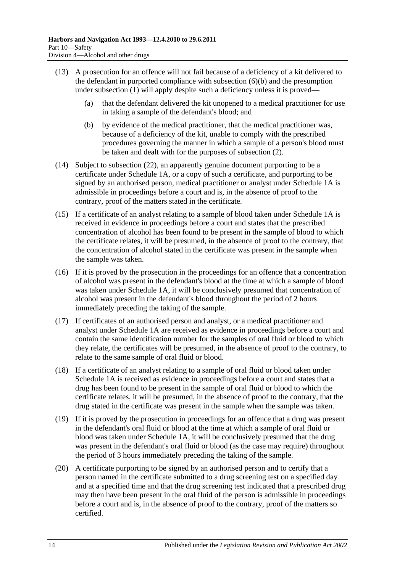- (13) A prosecution for an offence will not fail because of a deficiency of a kit delivered to the defendant in purported compliance with [subsection](#page-61-3) (6)(b) and the presumption under [subsection](#page-60-0) (1) will apply despite such a deficiency unless it is proved—
	- (a) that the defendant delivered the kit unopened to a medical practitioner for use in taking a sample of the defendant's blood; and
	- (b) by evidence of the medical practitioner, that the medical practitioner was, because of a deficiency of the kit, unable to comply with the prescribed procedures governing the manner in which a sample of a person's blood must be taken and dealt with for the purposes of [subsection](#page-60-2) (2).
- <span id="page-63-0"></span>(14) Subject to [subsection](#page-64-0) (22), an apparently genuine document purporting to be a certificate under [Schedule 1A,](#page-81-0) or a copy of such a certificate, and purporting to be signed by an authorised person, medical practitioner or analyst under [Schedule 1A](#page-81-0) is admissible in proceedings before a court and is, in the absence of proof to the contrary, proof of the matters stated in the certificate.
- (15) If a certificate of an analyst relating to a sample of blood taken under [Schedule 1A](#page-81-0) is received in evidence in proceedings before a court and states that the prescribed concentration of alcohol has been found to be present in the sample of blood to which the certificate relates, it will be presumed, in the absence of proof to the contrary, that the concentration of alcohol stated in the certificate was present in the sample when the sample was taken.
- (16) If it is proved by the prosecution in the proceedings for an offence that a concentration of alcohol was present in the defendant's blood at the time at which a sample of blood was taken under [Schedule 1A,](#page-81-0) it will be conclusively presumed that concentration of alcohol was present in the defendant's blood throughout the period of 2 hours immediately preceding the taking of the sample.
- (17) If certificates of an authorised person and analyst, or a medical practitioner and analyst under [Schedule 1A](#page-81-0) are received as evidence in proceedings before a court and contain the same identification number for the samples of oral fluid or blood to which they relate, the certificates will be presumed, in the absence of proof to the contrary, to relate to the same sample of oral fluid or blood.
- (18) If a certificate of an analyst relating to a sample of oral fluid or blood taken under [Schedule 1A](#page-81-0) is received as evidence in proceedings before a court and states that a drug has been found to be present in the sample of oral fluid or blood to which the certificate relates, it will be presumed, in the absence of proof to the contrary, that the drug stated in the certificate was present in the sample when the sample was taken.
- (19) If it is proved by the prosecution in proceedings for an offence that a drug was present in the defendant's oral fluid or blood at the time at which a sample of oral fluid or blood was taken under [Schedule 1A,](#page-81-0) it will be conclusively presumed that the drug was present in the defendant's oral fluid or blood (as the case may require) throughout the period of 3 hours immediately preceding the taking of the sample.
- (20) A certificate purporting to be signed by an authorised person and to certify that a person named in the certificate submitted to a drug screening test on a specified day and at a specified time and that the drug screening test indicated that a prescribed drug may then have been present in the oral fluid of the person is admissible in proceedings before a court and is, in the absence of proof to the contrary, proof of the matters so certified.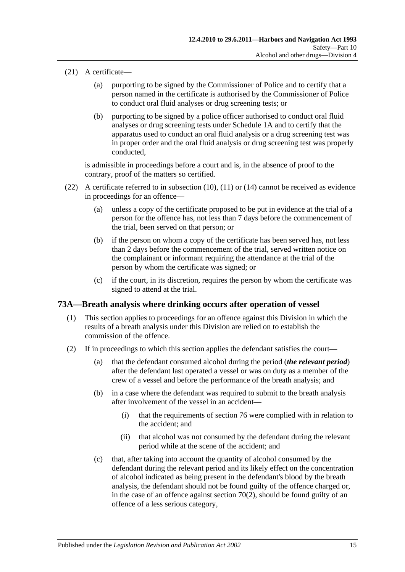- (21) A certificate—
	- (a) purporting to be signed by the Commissioner of Police and to certify that a person named in the certificate is authorised by the Commissioner of Police to conduct oral fluid analyses or drug screening tests; or
	- (b) purporting to be signed by a police officer authorised to conduct oral fluid analyses or drug screening tests under [Schedule 1A](#page-81-0) and to certify that the apparatus used to conduct an oral fluid analysis or a drug screening test was in proper order and the oral fluid analysis or drug screening test was properly conducted,

is admissible in proceedings before a court and is, in the absence of proof to the contrary, proof of the matters so certified.

- <span id="page-64-0"></span>(22) A certificate referred to in [subsection](#page-62-0) (10), [\(11\)](#page-62-1) or [\(14\)](#page-63-0) cannot be received as evidence in proceedings for an offence—
	- (a) unless a copy of the certificate proposed to be put in evidence at the trial of a person for the offence has, not less than 7 days before the commencement of the trial, been served on that person; or
	- (b) if the person on whom a copy of the certificate has been served has, not less than 2 days before the commencement of the trial, served written notice on the complainant or informant requiring the attendance at the trial of the person by whom the certificate was signed; or
	- (c) if the court, in its discretion, requires the person by whom the certificate was signed to attend at the trial.

## **73A—Breath analysis where drinking occurs after operation of vessel**

- (1) This section applies to proceedings for an offence against this Division in which the results of a breath analysis under this Division are relied on to establish the commission of the offence.
- (2) If in proceedings to which this section applies the defendant satisfies the court—
	- (a) that the defendant consumed alcohol during the period (*the relevant period*) after the defendant last operated a vessel or was on duty as a member of the crew of a vessel and before the performance of the breath analysis; and
	- (b) in a case where the defendant was required to submit to the breath analysis after involvement of the vessel in an accident—
		- (i) that the requirements of [section](#page-68-0) 76 were complied with in relation to the accident; and
		- (ii) that alcohol was not consumed by the defendant during the relevant period while at the scene of the accident; and
	- (c) that, after taking into account the quantity of alcohol consumed by the defendant during the relevant period and its likely effect on the concentration of alcohol indicated as being present in the defendant's blood by the breath analysis, the defendant should not be found guilty of the offence charged or, in the case of an offence against [section](#page-53-0)  $70(2)$ , should be found guilty of an offence of a less serious category,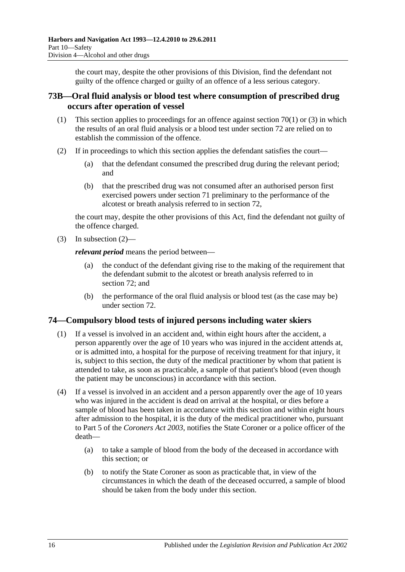the court may, despite the other provisions of this Division, find the defendant not guilty of the offence charged or guilty of an offence of a less serious category.

## **73B—Oral fluid analysis or blood test where consumption of prescribed drug occurs after operation of vessel**

- (1) This section applies to proceedings for an offence against [section](#page-52-0) 70(1) or [\(3\)](#page-54-1) in which the results of an oral fluid analysis or a blood test under [section](#page-56-2) 72 are relied on to establish the commission of the offence.
- <span id="page-65-0"></span>(2) If in proceedings to which this section applies the defendant satisfies the court—
	- (a) that the defendant consumed the prescribed drug during the relevant period; and
	- (b) that the prescribed drug was not consumed after an authorised person first exercised powers under [section](#page-54-4) 71 preliminary to the performance of the alcotest or breath analysis referred to in [section](#page-56-2) 72,

the court may, despite the other provisions of this Act, find the defendant not guilty of the offence charged.

(3) In [subsection](#page-65-0)  $(2)$ —

*relevant period* means the period between—

- (a) the conduct of the defendant giving rise to the making of the requirement that the defendant submit to the alcotest or breath analysis referred to in [section](#page-56-2) 72; and
- (b) the performance of the oral fluid analysis or blood test (as the case may be) under [section](#page-56-2) 72.

## **74—Compulsory blood tests of injured persons including water skiers**

- (1) If a vessel is involved in an accident and, within eight hours after the accident, a person apparently over the age of 10 years who was injured in the accident attends at, or is admitted into, a hospital for the purpose of receiving treatment for that injury, it is, subject to this section, the duty of the medical practitioner by whom that patient is attended to take, as soon as practicable, a sample of that patient's blood (even though the patient may be unconscious) in accordance with this section.
- <span id="page-65-1"></span>(4) If a vessel is involved in an accident and a person apparently over the age of 10 years who was injured in the accident is dead on arrival at the hospital, or dies before a sample of blood has been taken in accordance with this section and within eight hours after admission to the hospital, it is the duty of the medical practitioner who, pursuant to Part 5 of the *[Coroners Act](http://www.legislation.sa.gov.au/index.aspx?action=legref&type=act&legtitle=Coroners%20Act%202003) 2003*, notifies the State Coroner or a police officer of the death—
	- (a) to take a sample of blood from the body of the deceased in accordance with this section; or
	- (b) to notify the State Coroner as soon as practicable that, in view of the circumstances in which the death of the deceased occurred, a sample of blood should be taken from the body under this section.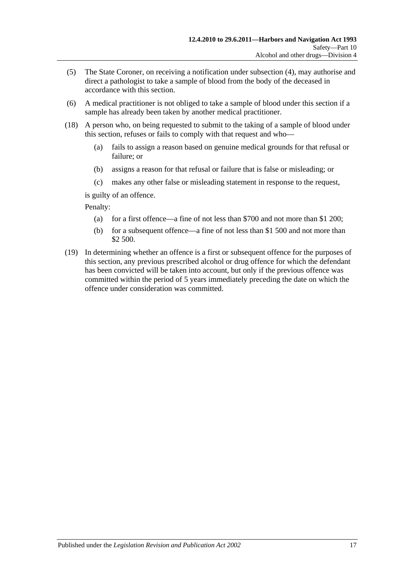- (5) The State Coroner, on receiving a notification under [subsection](#page-65-1) (4), may authorise and direct a pathologist to take a sample of blood from the body of the deceased in accordance with this section.
- (6) A medical practitioner is not obliged to take a sample of blood under this section if a sample has already been taken by another medical practitioner.
- (18) A person who, on being requested to submit to the taking of a sample of blood under this section, refuses or fails to comply with that request and who—
	- (a) fails to assign a reason based on genuine medical grounds for that refusal or failure; or
	- (b) assigns a reason for that refusal or failure that is false or misleading; or
	- (c) makes any other false or misleading statement in response to the request,

is guilty of an offence.

Penalty:

- (a) for a first offence—a fine of not less than \$700 and not more than \$1 200;
- (b) for a subsequent offence—a fine of not less than \$1 500 and not more than \$2 500.
- (19) In determining whether an offence is a first or subsequent offence for the purposes of this section, any previous prescribed alcohol or drug offence for which the defendant has been convicted will be taken into account, but only if the previous offence was committed within the period of 5 years immediately preceding the date on which the offence under consideration was committed.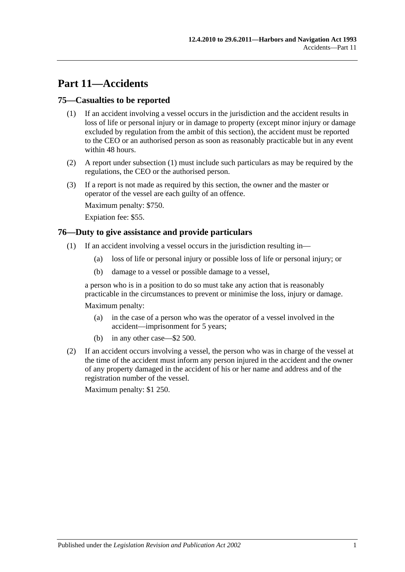# **Part 11—Accidents**

## <span id="page-68-1"></span>**75—Casualties to be reported**

- (1) If an accident involving a vessel occurs in the jurisdiction and the accident results in loss of life or personal injury or in damage to property (except minor injury or damage excluded by regulation from the ambit of this section), the accident must be reported to the CEO or an authorised person as soon as reasonably practicable but in any event within 48 hours.
- (2) A report under [subsection](#page-68-1) (1) must include such particulars as may be required by the regulations, the CEO or the authorised person.
- (3) If a report is not made as required by this section, the owner and the master or operator of the vessel are each guilty of an offence.

Maximum penalty: \$750.

Expiation fee: \$55.

#### <span id="page-68-0"></span>**76—Duty to give assistance and provide particulars**

- (1) If an accident involving a vessel occurs in the jurisdiction resulting in—
	- (a) loss of life or personal injury or possible loss of life or personal injury; or
	- (b) damage to a vessel or possible damage to a vessel,

a person who is in a position to do so must take any action that is reasonably practicable in the circumstances to prevent or minimise the loss, injury or damage.

Maximum penalty:

- (a) in the case of a person who was the operator of a vessel involved in the accident—imprisonment for 5 years;
- (b) in any other case—\$2 500.
- (2) If an accident occurs involving a vessel, the person who was in charge of the vessel at the time of the accident must inform any person injured in the accident and the owner of any property damaged in the accident of his or her name and address and of the registration number of the vessel.

Maximum penalty: \$1 250.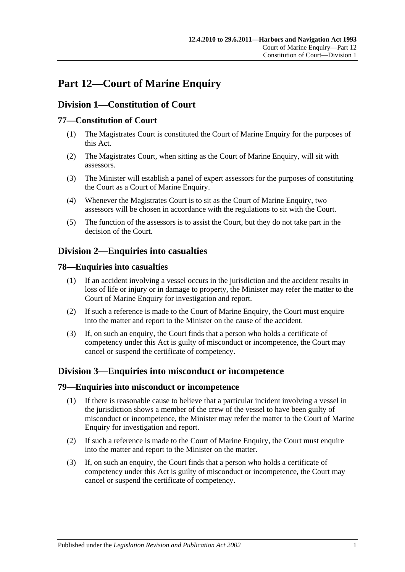# **Part 12—Court of Marine Enquiry**

## **Division 1—Constitution of Court**

## **77—Constitution of Court**

- (1) The Magistrates Court is constituted the Court of Marine Enquiry for the purposes of this Act.
- (2) The Magistrates Court, when sitting as the Court of Marine Enquiry, will sit with assessors.
- (3) The Minister will establish a panel of expert assessors for the purposes of constituting the Court as a Court of Marine Enquiry.
- (4) Whenever the Magistrates Court is to sit as the Court of Marine Enquiry, two assessors will be chosen in accordance with the regulations to sit with the Court.
- (5) The function of the assessors is to assist the Court, but they do not take part in the decision of the Court.

## **Division 2—Enquiries into casualties**

#### **78—Enquiries into casualties**

- (1) If an accident involving a vessel occurs in the jurisdiction and the accident results in loss of life or injury or in damage to property, the Minister may refer the matter to the Court of Marine Enquiry for investigation and report.
- (2) If such a reference is made to the Court of Marine Enquiry, the Court must enquire into the matter and report to the Minister on the cause of the accident.
- (3) If, on such an enquiry, the Court finds that a person who holds a certificate of competency under this Act is guilty of misconduct or incompetence, the Court may cancel or suspend the certificate of competency.

## **Division 3—Enquiries into misconduct or incompetence**

#### **79—Enquiries into misconduct or incompetence**

- (1) If there is reasonable cause to believe that a particular incident involving a vessel in the jurisdiction shows a member of the crew of the vessel to have been guilty of misconduct or incompetence, the Minister may refer the matter to the Court of Marine Enquiry for investigation and report.
- (2) If such a reference is made to the Court of Marine Enquiry, the Court must enquire into the matter and report to the Minister on the matter.
- (3) If, on such an enquiry, the Court finds that a person who holds a certificate of competency under this Act is guilty of misconduct or incompetence, the Court may cancel or suspend the certificate of competency.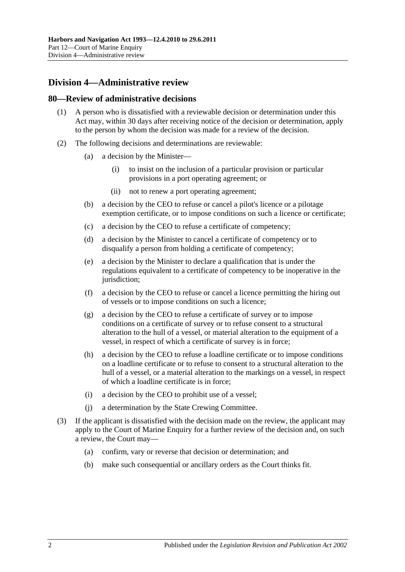# **Division 4—Administrative review**

#### **80—Review of administrative decisions**

- (1) A person who is dissatisfied with a reviewable decision or determination under this Act may, within 30 days after receiving notice of the decision or determination, apply to the person by whom the decision was made for a review of the decision.
- (2) The following decisions and determinations are reviewable:
	- (a) a decision by the Minister—
		- (i) to insist on the inclusion of a particular provision or particular provisions in a port operating agreement; or
		- (ii) not to renew a port operating agreement;
	- (b) a decision by the CEO to refuse or cancel a pilot's licence or a pilotage exemption certificate, or to impose conditions on such a licence or certificate;
	- (c) a decision by the CEO to refuse a certificate of competency;
	- (d) a decision by the Minister to cancel a certificate of competency or to disqualify a person from holding a certificate of competency;
	- (e) a decision by the Minister to declare a qualification that is under the regulations equivalent to a certificate of competency to be inoperative in the jurisdiction:
	- (f) a decision by the CEO to refuse or cancel a licence permitting the hiring out of vessels or to impose conditions on such a licence;
	- (g) a decision by the CEO to refuse a certificate of survey or to impose conditions on a certificate of survey or to refuse consent to a structural alteration to the hull of a vessel, or material alteration to the equipment of a vessel, in respect of which a certificate of survey is in force;
	- (h) a decision by the CEO to refuse a loadline certificate or to impose conditions on a loadline certificate or to refuse to consent to a structural alteration to the hull of a vessel, or a material alteration to the markings on a vessel, in respect of which a loadline certificate is in force;
	- (i) a decision by the CEO to prohibit use of a vessel;
	- (j) a determination by the State Crewing Committee.
- (3) If the applicant is dissatisfied with the decision made on the review, the applicant may apply to the Court of Marine Enquiry for a further review of the decision and, on such a review, the Court may—
	- (a) confirm, vary or reverse that decision or determination; and
	- (b) make such consequential or ancillary orders as the Court thinks fit.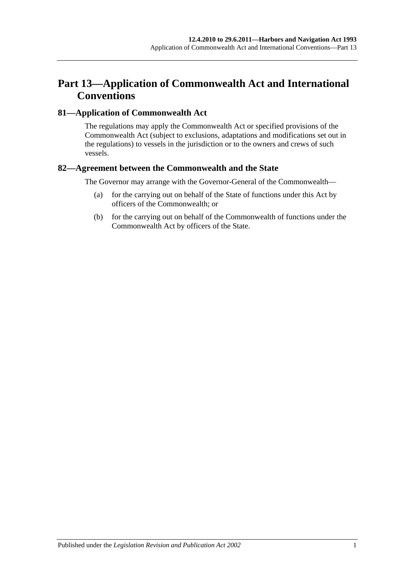# **Part 13—Application of Commonwealth Act and International Conventions**

## **81—Application of Commonwealth Act**

The regulations may apply the Commonwealth Act or specified provisions of the Commonwealth Act (subject to exclusions, adaptations and modifications set out in the regulations) to vessels in the jurisdiction or to the owners and crews of such vessels.

## **82—Agreement between the Commonwealth and the State**

The Governor may arrange with the Governor-General of the Commonwealth—

- (a) for the carrying out on behalf of the State of functions under this Act by officers of the Commonwealth; or
- (b) for the carrying out on behalf of the Commonwealth of functions under the Commonwealth Act by officers of the State.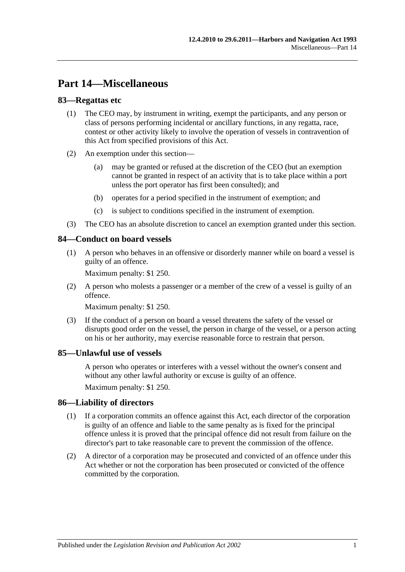# **Part 14—Miscellaneous**

## **83—Regattas etc**

- (1) The CEO may, by instrument in writing, exempt the participants, and any person or class of persons performing incidental or ancillary functions, in any regatta, race, contest or other activity likely to involve the operation of vessels in contravention of this Act from specified provisions of this Act.
- (2) An exemption under this section—
	- (a) may be granted or refused at the discretion of the CEO (but an exemption cannot be granted in respect of an activity that is to take place within a port unless the port operator has first been consulted); and
	- (b) operates for a period specified in the instrument of exemption; and
	- (c) is subject to conditions specified in the instrument of exemption.
- (3) The CEO has an absolute discretion to cancel an exemption granted under this section.

### **84—Conduct on board vessels**

(1) A person who behaves in an offensive or disorderly manner while on board a vessel is guilty of an offence.

Maximum penalty: \$1 250.

(2) A person who molests a passenger or a member of the crew of a vessel is guilty of an offence.

Maximum penalty: \$1 250.

(3) If the conduct of a person on board a vessel threatens the safety of the vessel or disrupts good order on the vessel, the person in charge of the vessel, or a person acting on his or her authority, may exercise reasonable force to restrain that person.

### **85—Unlawful use of vessels**

A person who operates or interferes with a vessel without the owner's consent and without any other lawful authority or excuse is guilty of an offence.

Maximum penalty: \$1 250.

### **86—Liability of directors**

- (1) If a corporation commits an offence against this Act, each director of the corporation is guilty of an offence and liable to the same penalty as is fixed for the principal offence unless it is proved that the principal offence did not result from failure on the director's part to take reasonable care to prevent the commission of the offence.
- (2) A director of a corporation may be prosecuted and convicted of an offence under this Act whether or not the corporation has been prosecuted or convicted of the offence committed by the corporation.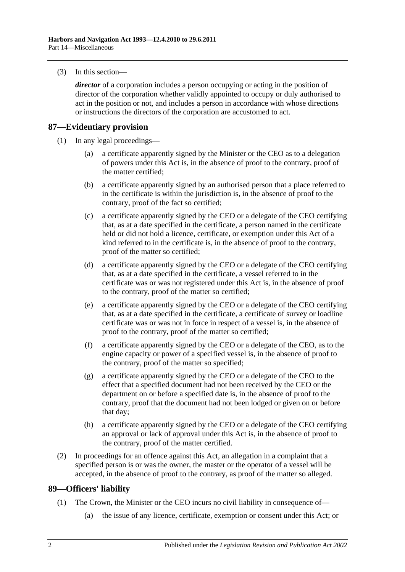(3) In this section—

*director* of a corporation includes a person occupying or acting in the position of director of the corporation whether validly appointed to occupy or duly authorised to act in the position or not, and includes a person in accordance with whose directions or instructions the directors of the corporation are accustomed to act.

## **87—Evidentiary provision**

- (1) In any legal proceedings—
	- (a) a certificate apparently signed by the Minister or the CEO as to a delegation of powers under this Act is, in the absence of proof to the contrary, proof of the matter certified;
	- (b) a certificate apparently signed by an authorised person that a place referred to in the certificate is within the jurisdiction is, in the absence of proof to the contrary, proof of the fact so certified;
	- (c) a certificate apparently signed by the CEO or a delegate of the CEO certifying that, as at a date specified in the certificate, a person named in the certificate held or did not hold a licence, certificate, or exemption under this Act of a kind referred to in the certificate is, in the absence of proof to the contrary, proof of the matter so certified;
	- (d) a certificate apparently signed by the CEO or a delegate of the CEO certifying that, as at a date specified in the certificate, a vessel referred to in the certificate was or was not registered under this Act is, in the absence of proof to the contrary, proof of the matter so certified;
	- (e) a certificate apparently signed by the CEO or a delegate of the CEO certifying that, as at a date specified in the certificate, a certificate of survey or loadline certificate was or was not in force in respect of a vessel is, in the absence of proof to the contrary, proof of the matter so certified;
	- (f) a certificate apparently signed by the CEO or a delegate of the CEO, as to the engine capacity or power of a specified vessel is, in the absence of proof to the contrary, proof of the matter so specified;
	- (g) a certificate apparently signed by the CEO or a delegate of the CEO to the effect that a specified document had not been received by the CEO or the department on or before a specified date is, in the absence of proof to the contrary, proof that the document had not been lodged or given on or before that day;
	- (h) a certificate apparently signed by the CEO or a delegate of the CEO certifying an approval or lack of approval under this Act is, in the absence of proof to the contrary, proof of the matter certified.
- (2) In proceedings for an offence against this Act, an allegation in a complaint that a specified person is or was the owner, the master or the operator of a vessel will be accepted, in the absence of proof to the contrary, as proof of the matter so alleged.

## **89—Officers' liability**

- (1) The Crown, the Minister or the CEO incurs no civil liability in consequence of—
	- (a) the issue of any licence, certificate, exemption or consent under this Act; or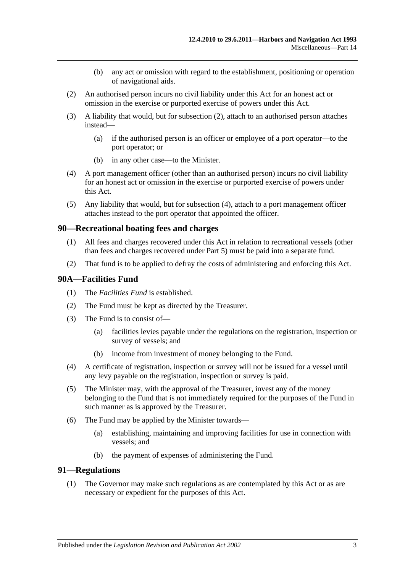- (b) any act or omission with regard to the establishment, positioning or operation of navigational aids.
- <span id="page-76-0"></span>(2) An authorised person incurs no civil liability under this Act for an honest act or omission in the exercise or purported exercise of powers under this Act.
- (3) A liability that would, but for [subsection](#page-76-0) (2), attach to an authorised person attaches instead—
	- (a) if the authorised person is an officer or employee of a port operator—to the port operator; or
	- (b) in any other case—to the Minister.
- <span id="page-76-1"></span>(4) A port management officer (other than an authorised person) incurs no civil liability for an honest act or omission in the exercise or purported exercise of powers under this Act.
- (5) Any liability that would, but for [subsection](#page-76-1) (4), attach to a port management officer attaches instead to the port operator that appointed the officer.

### **90—Recreational boating fees and charges**

- (1) All fees and charges recovered under this Act in relation to recreational vessels (other than fees and charges recovered under [Part 5\)](#page-24-0) must be paid into a separate fund.
- (2) That fund is to be applied to defray the costs of administering and enforcing this Act.

## <span id="page-76-2"></span>**90A—Facilities Fund**

- (1) The *Facilities Fund* is established.
- (2) The Fund must be kept as directed by the Treasurer.
- (3) The Fund is to consist of—
	- (a) facilities levies payable under the regulations on the registration, inspection or survey of vessels; and
	- (b) income from investment of money belonging to the Fund.
- (4) A certificate of registration, inspection or survey will not be issued for a vessel until any levy payable on the registration, inspection or survey is paid.
- (5) The Minister may, with the approval of the Treasurer, invest any of the money belonging to the Fund that is not immediately required for the purposes of the Fund in such manner as is approved by the Treasurer.
- (6) The Fund may be applied by the Minister towards—
	- (a) establishing, maintaining and improving facilities for use in connection with vessels; and
	- (b) the payment of expenses of administering the Fund.

### **91—Regulations**

(1) The Governor may make such regulations as are contemplated by this Act or as are necessary or expedient for the purposes of this Act.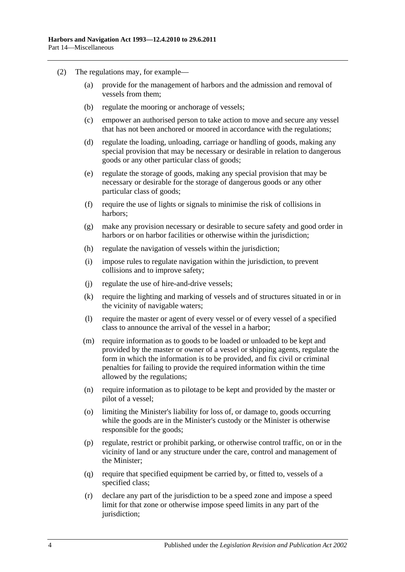- (2) The regulations may, for example—
	- (a) provide for the management of harbors and the admission and removal of vessels from them;
	- (b) regulate the mooring or anchorage of vessels;
	- (c) empower an authorised person to take action to move and secure any vessel that has not been anchored or moored in accordance with the regulations;
	- (d) regulate the loading, unloading, carriage or handling of goods, making any special provision that may be necessary or desirable in relation to dangerous goods or any other particular class of goods;
	- (e) regulate the storage of goods, making any special provision that may be necessary or desirable for the storage of dangerous goods or any other particular class of goods;
	- (f) require the use of lights or signals to minimise the risk of collisions in harbors;
	- (g) make any provision necessary or desirable to secure safety and good order in harbors or on harbor facilities or otherwise within the jurisdiction;
	- (h) regulate the navigation of vessels within the jurisdiction;
	- (i) impose rules to regulate navigation within the jurisdiction, to prevent collisions and to improve safety;
	- (j) regulate the use of hire-and-drive vessels;
	- (k) require the lighting and marking of vessels and of structures situated in or in the vicinity of navigable waters;
	- (l) require the master or agent of every vessel or of every vessel of a specified class to announce the arrival of the vessel in a harbor;
	- (m) require information as to goods to be loaded or unloaded to be kept and provided by the master or owner of a vessel or shipping agents, regulate the form in which the information is to be provided, and fix civil or criminal penalties for failing to provide the required information within the time allowed by the regulations;
	- (n) require information as to pilotage to be kept and provided by the master or pilot of a vessel;
	- (o) limiting the Minister's liability for loss of, or damage to, goods occurring while the goods are in the Minister's custody or the Minister is otherwise responsible for the goods;
	- (p) regulate, restrict or prohibit parking, or otherwise control traffic, on or in the vicinity of land or any structure under the care, control and management of the Minister;
	- (q) require that specified equipment be carried by, or fitted to, vessels of a specified class;
	- (r) declare any part of the jurisdiction to be a speed zone and impose a speed limit for that zone or otherwise impose speed limits in any part of the jurisdiction;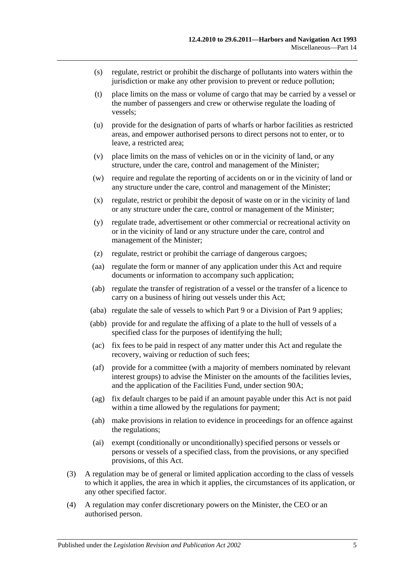- (s) regulate, restrict or prohibit the discharge of pollutants into waters within the jurisdiction or make any other provision to prevent or reduce pollution;
- (t) place limits on the mass or volume of cargo that may be carried by a vessel or the number of passengers and crew or otherwise regulate the loading of vessels;
- (u) provide for the designation of parts of wharfs or harbor facilities as restricted areas, and empower authorised persons to direct persons not to enter, or to leave, a restricted area;
- (v) place limits on the mass of vehicles on or in the vicinity of land, or any structure, under the care, control and management of the Minister;
- (w) require and regulate the reporting of accidents on or in the vicinity of land or any structure under the care, control and management of the Minister;
- (x) regulate, restrict or prohibit the deposit of waste on or in the vicinity of land or any structure under the care, control or management of the Minister;
- (y) regulate trade, advertisement or other commercial or recreational activity on or in the vicinity of land or any structure under the care, control and management of the Minister;
- (z) regulate, restrict or prohibit the carriage of dangerous cargoes;
- (aa) regulate the form or manner of any application under this Act and require documents or information to accompany such application;
- (ab) regulate the transfer of registration of a vessel or the transfer of a licence to carry on a business of hiring out vessels under this Act;
- (aba) regulate the sale of vessels to which [Part 9](#page-44-0) or a Division of [Part 9](#page-44-0) applies;
- (abb) provide for and regulate the affixing of a plate to the hull of vessels of a specified class for the purposes of identifying the hull;
- (ac) fix fees to be paid in respect of any matter under this Act and regulate the recovery, waiving or reduction of such fees;
- (af) provide for a committee (with a majority of members nominated by relevant interest groups) to advise the Minister on the amounts of the facilities levies, and the application of the Facilities Fund, under [section](#page-76-2) 90A;
- (ag) fix default charges to be paid if an amount payable under this Act is not paid within a time allowed by the regulations for payment;
- (ah) make provisions in relation to evidence in proceedings for an offence against the regulations;
- (ai) exempt (conditionally or unconditionally) specified persons or vessels or persons or vessels of a specified class, from the provisions, or any specified provisions, of this Act.
- (3) A regulation may be of general or limited application according to the class of vessels to which it applies, the area in which it applies, the circumstances of its application, or any other specified factor.
- (4) A regulation may confer discretionary powers on the Minister, the CEO or an authorised person.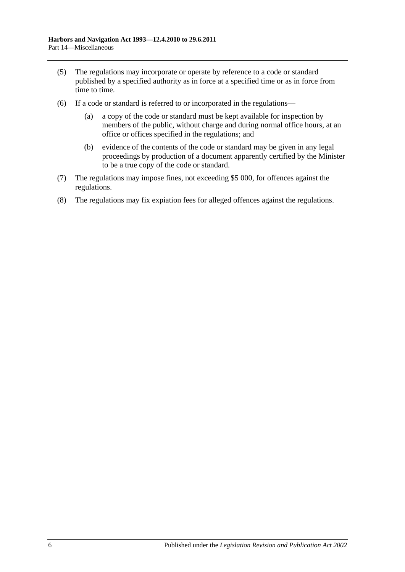- (5) The regulations may incorporate or operate by reference to a code or standard published by a specified authority as in force at a specified time or as in force from time to time.
- (6) If a code or standard is referred to or incorporated in the regulations—
	- (a) a copy of the code or standard must be kept available for inspection by members of the public, without charge and during normal office hours, at an office or offices specified in the regulations; and
	- (b) evidence of the contents of the code or standard may be given in any legal proceedings by production of a document apparently certified by the Minister to be a true copy of the code or standard.
- (7) The regulations may impose fines, not exceeding \$5 000, for offences against the regulations.
- (8) The regulations may fix expiation fees for alleged offences against the regulations.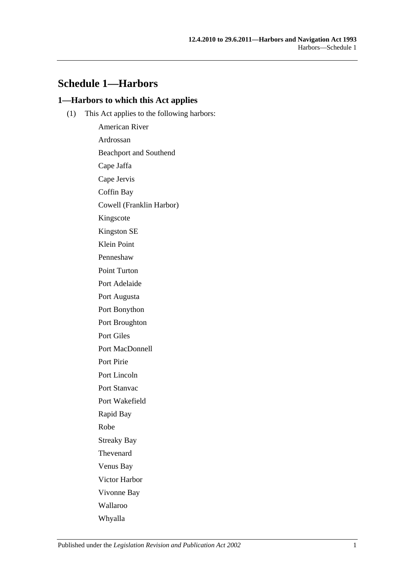## **Schedule 1—Harbors**

## **1—Harbors to which this Act applies**

(1) This Act applies to the following harbors:

American River Ardrossan Beachport and Southend Cape Jaffa Cape Jervis Coffin Bay Cowell (Franklin Harbor) Kingscote Kingston SE Klein Point Penneshaw Point Turton Port Adelaide Port Augusta Port Bonython Port Broughton Port Giles Port MacDonnell Port Pirie Port Lincoln Port Stanvac Port Wakefield Rapid Bay Robe Streaky Bay Thevenard Venus Bay Victor Harbor Vivonne Bay Wallaroo Whyalla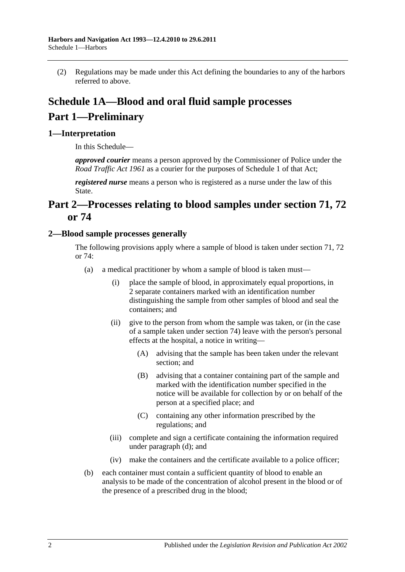(2) Regulations may be made under this Act defining the boundaries to any of the harbors referred to above.

# **Schedule 1A—Blood and oral fluid sample processes Part 1—Preliminary**

## **1—Interpretation**

In this Schedule—

*approved courier* means a person approved by the Commissioner of Police under the *[Road Traffic Act](http://www.legislation.sa.gov.au/index.aspx?action=legref&type=act&legtitle=Road%20Traffic%20Act%201961) 1961* as a courier for the purposes of Schedule 1 of that Act;

*registered nurse* means a person who is registered as a nurse under the law of this State.

## **Part 2—Processes relating to blood samples under [section](#page-54-0) 71, [72](#page-56-0) or [74](#page-65-0)**

## <span id="page-81-0"></span>**2—Blood sample processes generally**

The following provisions apply where a sample of blood is taken under [section](#page-54-0) 71, [72](#page-56-0) or [74:](#page-65-0)

- (a) a medical practitioner by whom a sample of blood is taken must—
	- (i) place the sample of blood, in approximately equal proportions, in 2 separate containers marked with an identification number distinguishing the sample from other samples of blood and seal the containers; and
	- (ii) give to the person from whom the sample was taken, or (in the case of a sample taken under [section](#page-65-0) 74) leave with the person's personal effects at the hospital, a notice in writing—
		- (A) advising that the sample has been taken under the relevant section; and
		- (B) advising that a container containing part of the sample and marked with the identification number specified in the notice will be available for collection by or on behalf of the person at a specified place; and
		- (C) containing any other information prescribed by the regulations; and
	- (iii) complete and sign a certificate containing the information required under [paragraph](#page-82-0) (d); and
	- (iv) make the containers and the certificate available to a police officer;
- (b) each container must contain a sufficient quantity of blood to enable an analysis to be made of the concentration of alcohol present in the blood or of the presence of a prescribed drug in the blood;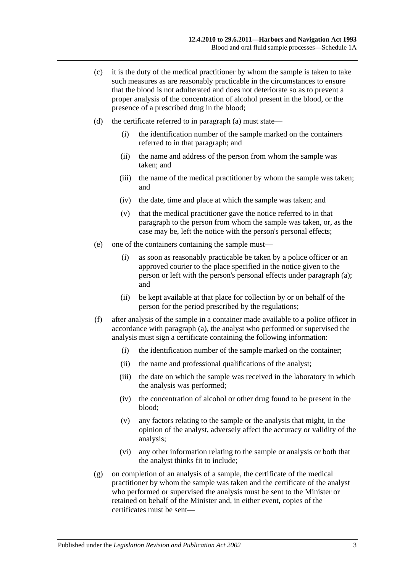- (c) it is the duty of the medical practitioner by whom the sample is taken to take such measures as are reasonably practicable in the circumstances to ensure that the blood is not adulterated and does not deteriorate so as to prevent a proper analysis of the concentration of alcohol present in the blood, or the presence of a prescribed drug in the blood;
- <span id="page-82-0"></span>(d) the certificate referred to in [paragraph](#page-81-0) (a) must state—
	- (i) the identification number of the sample marked on the containers referred to in that paragraph; and
	- (ii) the name and address of the person from whom the sample was taken; and
	- (iii) the name of the medical practitioner by whom the sample was taken; and
	- (iv) the date, time and place at which the sample was taken; and
	- (v) that the medical practitioner gave the notice referred to in that paragraph to the person from whom the sample was taken, or, as the case may be, left the notice with the person's personal effects;
- (e) one of the containers containing the sample must—
	- (i) as soon as reasonably practicable be taken by a police officer or an approved courier to the place specified in the notice given to the person or left with the person's personal effects under [paragraph](#page-81-0) (a); and
	- (ii) be kept available at that place for collection by or on behalf of the person for the period prescribed by the regulations;
- (f) after analysis of the sample in a container made available to a police officer in accordance with [paragraph](#page-81-0) (a), the analyst who performed or supervised the analysis must sign a certificate containing the following information:
	- (i) the identification number of the sample marked on the container;
	- (ii) the name and professional qualifications of the analyst;
	- (iii) the date on which the sample was received in the laboratory in which the analysis was performed;
	- (iv) the concentration of alcohol or other drug found to be present in the blood;
	- (v) any factors relating to the sample or the analysis that might, in the opinion of the analyst, adversely affect the accuracy or validity of the analysis;
	- (vi) any other information relating to the sample or analysis or both that the analyst thinks fit to include;
- (g) on completion of an analysis of a sample, the certificate of the medical practitioner by whom the sample was taken and the certificate of the analyst who performed or supervised the analysis must be sent to the Minister or retained on behalf of the Minister and, in either event, copies of the certificates must be sent—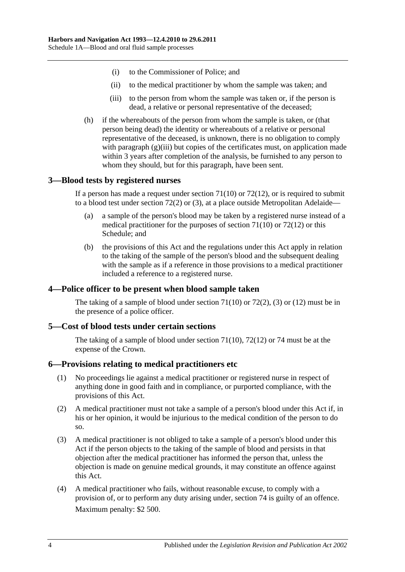- (i) to the Commissioner of Police; and
- (ii) to the medical practitioner by whom the sample was taken; and
- (iii) to the person from whom the sample was taken or, if the person is dead, a relative or personal representative of the deceased;
- <span id="page-83-0"></span>(h) if the whereabouts of the person from whom the sample is taken, or (that person being dead) the identity or whereabouts of a relative or personal representative of the deceased, is unknown, there is no obligation to comply with [paragraph](#page-83-0) (g)(iii) but copies of the certificates must, on application made within 3 years after completion of the analysis, be furnished to any person to whom they should, but for this paragraph, have been sent.

## **3—Blood tests by registered nurses**

If a person has made a request under [section](#page-55-0)  $71(10)$  or  $72(12)$ , or is required to submit to a blood test under [section](#page-57-0) 72(2) or [\(3\),](#page-57-1) at a place outside Metropolitan Adelaide—

- (a) a sample of the person's blood may be taken by a registered nurse instead of a medical practitioner for the purposes of [section](#page-55-0) 71(10) or [72\(12\)](#page-58-0) or this Schedule; and
- (b) the provisions of this Act and the regulations under this Act apply in relation to the taking of the sample of the person's blood and the subsequent dealing with the sample as if a reference in those provisions to a medical practitioner included a reference to a registered nurse.

## **4—Police officer to be present when blood sample taken**

The taking of a sample of blood under [section](#page-55-0)  $71(10)$  or  $72(2)$ , [\(3\)](#page-57-1) or [\(12\)](#page-58-0) must be in the presence of a police officer.

## **5—Cost of blood tests under certain sections**

The taking of a sample of blood under [section](#page-55-0) 71(10), [72\(12\)](#page-58-0) or [74](#page-65-0) must be at the expense of the Crown.

### **6—Provisions relating to medical practitioners etc**

- (1) No proceedings lie against a medical practitioner or registered nurse in respect of anything done in good faith and in compliance, or purported compliance, with the provisions of this Act.
- (2) A medical practitioner must not take a sample of a person's blood under this Act if, in his or her opinion, it would be injurious to the medical condition of the person to do so.
- (3) A medical practitioner is not obliged to take a sample of a person's blood under this Act if the person objects to the taking of the sample of blood and persists in that objection after the medical practitioner has informed the person that, unless the objection is made on genuine medical grounds, it may constitute an offence against this Act.
- <span id="page-83-1"></span>(4) A medical practitioner who fails, without reasonable excuse, to comply with a provision of, or to perform any duty arising under, [section](#page-65-0) 74 is guilty of an offence. Maximum penalty: \$2 500.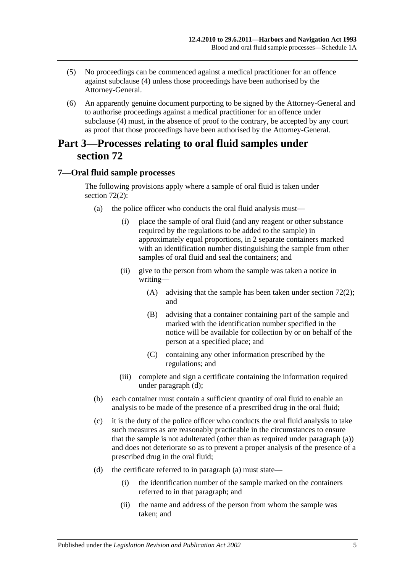- (5) No proceedings can be commenced against a medical practitioner for an offence against [subclause](#page-83-1) (4) unless those proceedings have been authorised by the Attorney-General.
- (6) An apparently genuine document purporting to be signed by the Attorney-General and to authorise proceedings against a medical practitioner for an offence under [subclause](#page-83-1) (4) must, in the absence of proof to the contrary, be accepted by any court as proof that those proceedings have been authorised by the Attorney-General.

## **Part 3—Processes relating to oral fluid samples under [section](#page-56-0) 72**

## <span id="page-84-0"></span>**7—Oral fluid sample processes**

The following provisions apply where a sample of oral fluid is taken under [section](#page-57-0) 72(2):

- (a) the police officer who conducts the oral fluid analysis must—
	- (i) place the sample of oral fluid (and any reagent or other substance required by the regulations to be added to the sample) in approximately equal proportions, in 2 separate containers marked with an identification number distinguishing the sample from other samples of oral fluid and seal the containers; and
	- (ii) give to the person from whom the sample was taken a notice in writing—
		- (A) advising that the sample has been taken under [section](#page-57-0) 72(2); and
		- (B) advising that a container containing part of the sample and marked with the identification number specified in the notice will be available for collection by or on behalf of the person at a specified place; and
		- (C) containing any other information prescribed by the regulations; and
	- (iii) complete and sign a certificate containing the information required under [paragraph](#page-82-0) (d);
- (b) each container must contain a sufficient quantity of oral fluid to enable an analysis to be made of the presence of a prescribed drug in the oral fluid;
- (c) it is the duty of the police officer who conducts the oral fluid analysis to take such measures as are reasonably practicable in the circumstances to ensure that the sample is not adulterated (other than as required under [paragraph](#page-84-0) (a)) and does not deteriorate so as to prevent a proper analysis of the presence of a prescribed drug in the oral fluid;
- (d) the certificate referred to in [paragraph](#page-81-0) (a) must state—
	- (i) the identification number of the sample marked on the containers referred to in that paragraph; and
	- (ii) the name and address of the person from whom the sample was taken; and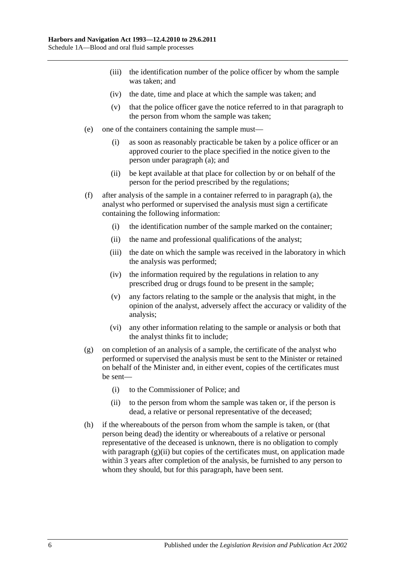- (iii) the identification number of the police officer by whom the sample was taken; and
- (iv) the date, time and place at which the sample was taken; and
- (v) that the police officer gave the notice referred to in that paragraph to the person from whom the sample was taken;
- (e) one of the containers containing the sample must—
	- (i) as soon as reasonably practicable be taken by a police officer or an approved courier to the place specified in the notice given to the person under [paragraph](#page-84-0) (a); and
	- (ii) be kept available at that place for collection by or on behalf of the person for the period prescribed by the regulations;
- (f) after analysis of the sample in a container referred to in [paragraph](#page-84-0) (a), the analyst who performed or supervised the analysis must sign a certificate containing the following information:
	- (i) the identification number of the sample marked on the container;
	- (ii) the name and professional qualifications of the analyst;
	- (iii) the date on which the sample was received in the laboratory in which the analysis was performed;
	- (iv) the information required by the regulations in relation to any prescribed drug or drugs found to be present in the sample;
	- (v) any factors relating to the sample or the analysis that might, in the opinion of the analyst, adversely affect the accuracy or validity of the analysis;
	- (vi) any other information relating to the sample or analysis or both that the analyst thinks fit to include;
- (g) on completion of an analysis of a sample, the certificate of the analyst who performed or supervised the analysis must be sent to the Minister or retained on behalf of the Minister and, in either event, copies of the certificates must be sent—
	- (i) to the Commissioner of Police; and
	- (ii) to the person from whom the sample was taken or, if the person is dead, a relative or personal representative of the deceased;
- <span id="page-85-0"></span>(h) if the whereabouts of the person from whom the sample is taken, or (that person being dead) the identity or whereabouts of a relative or personal representative of the deceased is unknown, there is no obligation to comply with [paragraph](#page-85-0)  $(g)(ii)$  but copies of the certificates must, on application made within 3 years after completion of the analysis, be furnished to any person to whom they should, but for this paragraph, have been sent.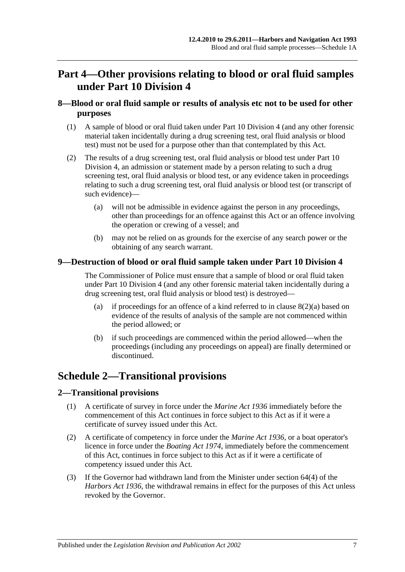# **Part 4—Other provisions relating to blood or oral fluid samples under [Part 10 Division 4](#page-52-0)**

## **8—Blood or oral fluid sample or results of analysis etc not to be used for other purposes**

- (1) A sample of blood or oral fluid taken under [Part 10 Division 4](#page-52-0) (and any other forensic material taken incidentally during a drug screening test, oral fluid analysis or blood test) must not be used for a purpose other than that contemplated by this Act.
- <span id="page-86-0"></span>(2) The results of a drug screening test, oral fluid analysis or blood test under [Part 10](#page-52-0)  [Division 4,](#page-52-0) an admission or statement made by a person relating to such a drug screening test, oral fluid analysis or blood test, or any evidence taken in proceedings relating to such a drug screening test, oral fluid analysis or blood test (or transcript of such evidence)—
	- (a) will not be admissible in evidence against the person in any proceedings, other than proceedings for an offence against this Act or an offence involving the operation or crewing of a vessel; and
	- (b) may not be relied on as grounds for the exercise of any search power or the obtaining of any search warrant.

## **9—Destruction of blood or oral fluid sample taken under [Part 10 Division 4](#page-52-0)**

The Commissioner of Police must ensure that a sample of blood or oral fluid taken under [Part 10 Division 4](#page-52-0) (and any other forensic material taken incidentally during a drug screening test, oral fluid analysis or blood test) is destroyed—

- (a) if proceedings for an offence of a kind referred to in clause  $8(2)(a)$  based on evidence of the results of analysis of the sample are not commenced within the period allowed; or
- (b) if such proceedings are commenced within the period allowed—when the proceedings (including any proceedings on appeal) are finally determined or discontinued.

# **Schedule 2—Transitional provisions**

## **2—Transitional provisions**

- (1) A certificate of survey in force under the *[Marine Act](http://www.legislation.sa.gov.au/index.aspx?action=legref&type=act&legtitle=Marine%20Act%201936) 1936* immediately before the commencement of this Act continues in force subject to this Act as if it were a certificate of survey issued under this Act.
- (2) A certificate of competency in force under the *[Marine Act](http://www.legislation.sa.gov.au/index.aspx?action=legref&type=act&legtitle=Marine%20Act%201936) 1936*, or a boat operator's licence in force under the *[Boating Act](http://www.legislation.sa.gov.au/index.aspx?action=legref&type=act&legtitle=Boating%20Act%201974) 1974*, immediately before the commencement of this Act, continues in force subject to this Act as if it were a certificate of competency issued under this Act.
- (3) If the Governor had withdrawn land from the Minister under section 64(4) of the *[Harbors Act](http://www.legislation.sa.gov.au/index.aspx?action=legref&type=act&legtitle=Harbors%20Act%201936) 1936*, the withdrawal remains in effect for the purposes of this Act unless revoked by the Governor.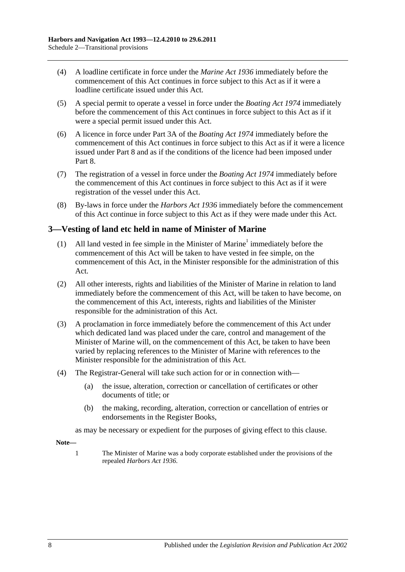- (4) A loadline certificate in force under the *[Marine Act](http://www.legislation.sa.gov.au/index.aspx?action=legref&type=act&legtitle=Marine%20Act%201936) 1936* immediately before the commencement of this Act continues in force subject to this Act as if it were a loadline certificate issued under this Act.
- (5) A special permit to operate a vessel in force under the *[Boating Act](http://www.legislation.sa.gov.au/index.aspx?action=legref&type=act&legtitle=Boating%20Act%201974) 1974* immediately before the commencement of this Act continues in force subject to this Act as if it were a special permit issued under this Act.
- (6) A licence in force under Part 3A of the *[Boating Act](http://www.legislation.sa.gov.au/index.aspx?action=legref&type=act&legtitle=Boating%20Act%201974) 1974* immediately before the commencement of this Act continues in force subject to this Act as if it were a licence issued under [Part 8](#page-42-0) and as if the conditions of the licence had been imposed under [Part](#page-42-0) 8.
- (7) The registration of a vessel in force under the *[Boating Act](http://www.legislation.sa.gov.au/index.aspx?action=legref&type=act&legtitle=Boating%20Act%201974) 1974* immediately before the commencement of this Act continues in force subject to this Act as if it were registration of the vessel under this Act.
- (8) By-laws in force under the *[Harbors Act](http://www.legislation.sa.gov.au/index.aspx?action=legref&type=act&legtitle=Harbors%20Act%201936) 1936* immediately before the commencement of this Act continue in force subject to this Act as if they were made under this Act.

## **3—Vesting of land etc held in name of Minister of Marine**

- (1) All land vested in fee simple in the Minister of Marine<sup>1</sup> immediately before the commencement of this Act will be taken to have vested in fee simple, on the commencement of this Act, in the Minister responsible for the administration of this Act.
- (2) All other interests, rights and liabilities of the Minister of Marine in relation to land immediately before the commencement of this Act, will be taken to have become, on the commencement of this Act, interests, rights and liabilities of the Minister responsible for the administration of this Act.
- (3) A proclamation in force immediately before the commencement of this Act under which dedicated land was placed under the care, control and management of the Minister of Marine will, on the commencement of this Act, be taken to have been varied by replacing references to the Minister of Marine with references to the Minister responsible for the administration of this Act.
- (4) The Registrar-General will take such action for or in connection with—
	- (a) the issue, alteration, correction or cancellation of certificates or other documents of title; or
	- (b) the making, recording, alteration, correction or cancellation of entries or endorsements in the Register Books,

as may be necessary or expedient for the purposes of giving effect to this clause.

**Note—**

1 The Minister of Marine was a body corporate established under the provisions of the repealed *[Harbors Act](http://www.legislation.sa.gov.au/index.aspx?action=legref&type=act&legtitle=Harbors%20Act%201936) 1936*.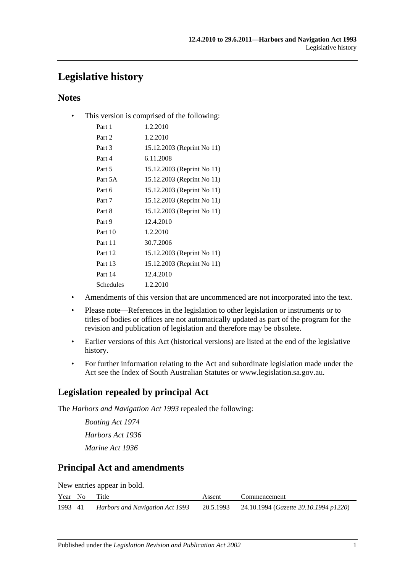# **Legislative history**

## **Notes**

• This version is comprised of the following:

| Part 1    | 1.2.2010                   |
|-----------|----------------------------|
| Part 2    | 1.2.2010                   |
| Part 3    | 15.12.2003 (Reprint No 11) |
| Part 4    | 6.11.2008                  |
| Part 5    | 15.12.2003 (Reprint No 11) |
| Part 5A   | 15.12.2003 (Reprint No 11) |
| Part 6    | 15.12.2003 (Reprint No 11) |
| Part 7    | 15.12.2003 (Reprint No 11) |
| Part 8    | 15.12.2003 (Reprint No 11) |
| Part 9    | 12.4.2010                  |
| Part 10   | 1.2.2010                   |
| Part 11   | 30.7.2006                  |
| Part 12   | 15.12.2003 (Reprint No 11) |
| Part 13   | 15.12.2003 (Reprint No 11) |
| Part 14   | 12.4.2010                  |
| Schedules | 1.2.2010                   |
|           |                            |

- Amendments of this version that are uncommenced are not incorporated into the text.
- Please note—References in the legislation to other legislation or instruments or to titles of bodies or offices are not automatically updated as part of the program for the revision and publication of legislation and therefore may be obsolete.
- Earlier versions of this Act (historical versions) are listed at the end of the legislative history.
- For further information relating to the Act and subordinate legislation made under the Act see the Index of South Australian Statutes or www.legislation.sa.gov.au.

## **Legislation repealed by principal Act**

The *Harbors and Navigation Act 1993* repealed the following:

*Boating Act 1974 Harbors Act 1936 Marine Act 1936*

## **Principal Act and amendments**

New entries appear in bold.

|         | Year No | Title                           | Assent | Commencement                                    |
|---------|---------|---------------------------------|--------|-------------------------------------------------|
| 1993 41 |         | Harbors and Navigation Act 1993 |        | 20.5.1993 24.10.1994 (Gazette 20.10.1994 p1220) |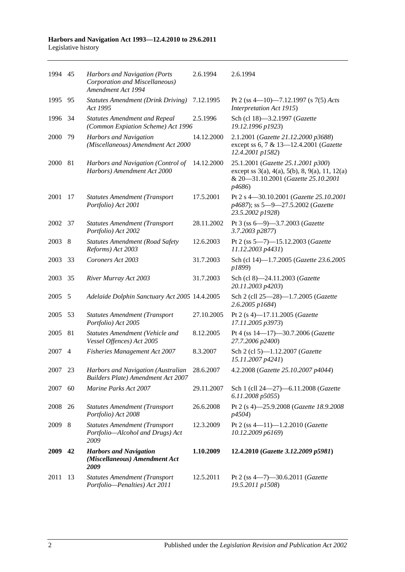| 1994 45 |                | Harbors and Navigation (Ports<br>Corporation and Miscellaneous)<br>Amendment Act 1994 | 2.6.1994   | 2.6.1994                                                                                                                                                          |
|---------|----------------|---------------------------------------------------------------------------------------|------------|-------------------------------------------------------------------------------------------------------------------------------------------------------------------|
| 1995    | 95             | <b>Statutes Amendment (Drink Driving)</b><br>Act 1995                                 | 7.12.1995  | Pt 2 (ss 4-10)-7.12.1997 (s 7(5) Acts<br>Interpretation Act 1915)                                                                                                 |
| 1996    | 34             | <b>Statutes Amendment and Repeal</b><br>(Common Expiation Scheme) Act 1996            | 2.5.1996   | Sch (cl 18)-3.2.1997 (Gazette<br>19.12.1996 p1923)                                                                                                                |
| 2000    | 79             | Harbors and Navigation<br>(Miscellaneous) Amendment Act 2000                          | 14.12.2000 | 2.1.2001 (Gazette 21.12.2000 p3688)<br>except ss 6, 7 & 13-12.4.2001 (Gazette<br>12.4.2001 p1582)                                                                 |
| 2000    | 81             | Harbors and Navigation (Control of<br>Harbors) Amendment Act 2000                     | 14.12.2000 | 25.1.2001 (Gazette 25.1.2001 p300)<br>except ss $3(a)$ , $4(a)$ , $5(b)$ , $8$ , $9(a)$ , $11$ , $12(a)$<br>& 20-31.10.2001 (Gazette 25.10.2001<br><i>p</i> 4686) |
| 2001    | 17             | <b>Statutes Amendment (Transport</b><br>Portfolio) Act 2001                           | 17.5.2001  | Pt 2 s 4-30.10.2001 (Gazette 25.10.2001<br>p4687); ss 5-9-27.5.2002 (Gazette<br>23.5.2002 p1928)                                                                  |
| 2002    | 37             | <b>Statutes Amendment (Transport</b><br>Portfolio) Act 2002                           | 28.11.2002 | Pt 3 (ss 6-9)-3.7.2003 (Gazette<br>3.7.2003 p2877)                                                                                                                |
| 2003    | 8              | <b>Statutes Amendment (Road Safety</b><br>Reforms) Act 2003                           | 12.6.2003  | Pt 2 (ss 5-7)-15.12.2003 (Gazette<br>11.12.2003 p4431)                                                                                                            |
| 2003    | 33             | Coroners Act 2003                                                                     | 31.7.2003  | Sch (cl 14)-1.7.2005 (Gazette 23.6.2005<br>p1899)                                                                                                                 |
| 2003    | 35             | River Murray Act 2003                                                                 | 31.7.2003  | Sch (cl 8)-24.11.2003 (Gazette<br>20.11.2003 p4203)                                                                                                               |
| 2005    | 5              | Adelaide Dolphin Sanctuary Act 2005 14.4.2005                                         |            | Sch 2 (cll 25-28)-1.7.2005 (Gazette<br>2.6.2005 p1684)                                                                                                            |
| 2005    | 53             | <b>Statutes Amendment (Transport</b><br>Portfolio) Act 2005                           | 27.10.2005 | Pt 2 (s 4)-17.11.2005 (Gazette<br>17.11.2005 p3973)                                                                                                               |
| 2005    | 81             | Statutes Amendment (Vehicle and<br>Vessel Offences) Act 2005                          | 8.12.2005  | Pt 4 (ss 14-17)-30.7.2006 (Gazette<br>27.7.2006 p2400)                                                                                                            |
| 2007    | $\overline{4}$ | <b>Fisheries Management Act 2007</b>                                                  | 8.3.2007   | Sch 2 (cl 5)-1.12.2007 (Gazette<br>15.11.2007 p4241)                                                                                                              |
| 2007    | 23             | Harbors and Navigation (Australian<br><b>Builders Plate) Amendment Act 2007</b>       | 28.6.2007  | 4.2.2008 (Gazette 25.10.2007 p4044)                                                                                                                               |
| 2007    | 60             | Marine Parks Act 2007                                                                 | 29.11.2007 | Sch 1 (cll 24-27)-6.11.2008 (Gazette<br>6.11.2008 p5055)                                                                                                          |
| 2008    | 26             | <b>Statutes Amendment (Transport</b><br>Portfolio) Act 2008                           | 26.6.2008  | Pt 2 (s 4)-25.9.2008 (Gazette 18.9.2008<br><i>p4504</i> )                                                                                                         |
| 2009    | 8              | <b>Statutes Amendment (Transport</b><br>Portfolio-Alcohol and Drugs) Act<br>2009      | 12.3.2009  | Pt 2 (ss 4-11)-1.2.2010 (Gazette<br>10.12.2009 p6169)                                                                                                             |
| 2009    | 42             | <b>Harbors and Navigation</b><br>(Miscellaneous) Amendment Act<br>2009                | 1.10.2009  | 12.4.2010 (Gazette 3.12.2009 p5981)                                                                                                                               |
| 2011    | 13             | <b>Statutes Amendment (Transport</b><br>Portfolio-Penalties) Act 2011                 | 12.5.2011  | Pt 2 (ss $4 - 7$ ) -30.6.2011 ( <i>Gazette</i><br>19.5.2011 p1508)                                                                                                |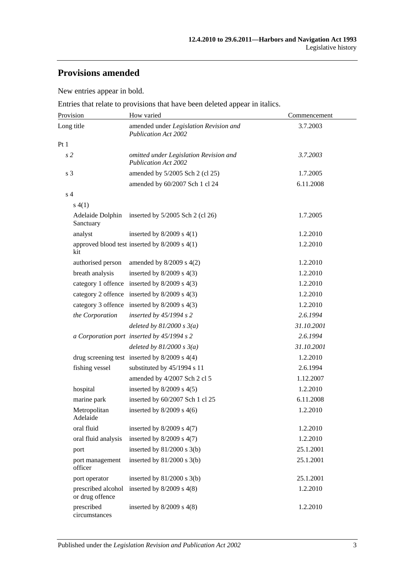# **Provisions amended**

New entries appear in bold.

Entries that relate to provisions that have been deleted appear in italics.

| Provision                             | How varied                                                            | Commencement |
|---------------------------------------|-----------------------------------------------------------------------|--------------|
| Long title                            | amended under Legislation Revision and<br><b>Publication Act 2002</b> | 3.7.2003     |
| Pt1                                   |                                                                       |              |
| s <sub>2</sub>                        | omitted under Legislation Revision and<br><b>Publication Act 2002</b> | 3.7.2003     |
| s 3                                   | amended by 5/2005 Sch 2 (cl 25)                                       | 1.7.2005     |
|                                       | amended by 60/2007 Sch 1 cl 24                                        | 6.11.2008    |
| s <sub>4</sub>                        |                                                                       |              |
| s(4(1))                               |                                                                       |              |
| Sanctuary                             | Adelaide Dolphin inserted by 5/2005 Sch 2 (cl 26)                     | 1.7.2005     |
| analyst                               | inserted by $8/2009$ s $4(1)$                                         | 1.2.2010     |
| kit                                   | approved blood test inserted by $8/2009$ s $4(1)$                     | 1.2.2010     |
| authorised person                     | amended by $8/2009$ s $4(2)$                                          | 1.2.2010     |
| breath analysis                       | inserted by $8/2009$ s $4(3)$                                         | 1.2.2010     |
|                                       | category 1 offence inserted by 8/2009 s 4(3)                          | 1.2.2010     |
|                                       | category 2 offence inserted by 8/2009 s 4(3)                          | 1.2.2010     |
|                                       | category 3 offence inserted by 8/2009 s 4(3)                          | 1.2.2010     |
| the Corporation                       | inserted by $45/1994 s 2$                                             | 2.6.1994     |
|                                       | deleted by $81/2000 s 3(a)$                                           | 31.10.2001   |
|                                       | a Corporation port inserted by 45/1994 s 2                            | 2.6.1994     |
|                                       | deleted by $81/2000 s 3(a)$                                           | 31.10.2001   |
|                                       | drug screening test inserted by $8/2009$ s $4(4)$                     | 1.2.2010     |
| fishing vessel                        | substituted by 45/1994 s 11                                           | 2.6.1994     |
|                                       | amended by 4/2007 Sch 2 cl 5                                          | 1.12.2007    |
| hospital                              | inserted by $8/2009$ s $4(5)$                                         | 1.2.2010     |
| marine park                           | inserted by 60/2007 Sch 1 cl 25                                       | 6.11.2008    |
| Metropolitan<br>Adelaide              | inserted by $8/2009$ s $4(6)$                                         | 1.2.2010     |
| oral fluid                            | inserted by $8/2009$ s $4(7)$                                         | 1.2.2010     |
| oral fluid analysis                   | inserted by $8/2009$ s $4(7)$                                         | 1.2.2010     |
| port                                  | inserted by $81/2000$ s $3(b)$                                        | 25.1.2001    |
| port management<br>officer            | inserted by $81/2000$ s $3(b)$                                        | 25.1.2001    |
| port operator                         | inserted by $81/2000$ s $3(b)$                                        | 25.1.2001    |
| prescribed alcohol<br>or drug offence | inserted by $8/2009$ s $4(8)$                                         | 1.2.2010     |
| prescribed<br>circumstances           | inserted by $8/2009$ s $4(8)$                                         | 1.2.2010     |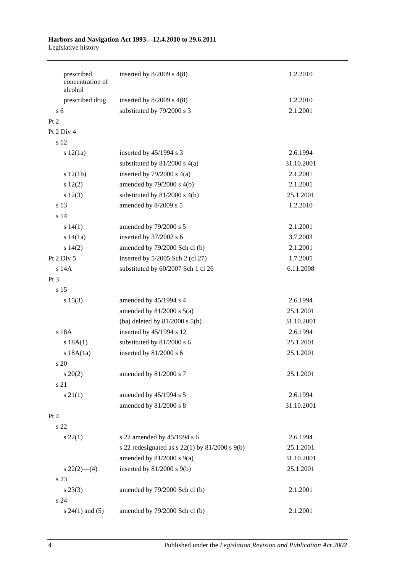| prescribed<br>concentration of<br>alcohol |                           | inserted by $8/2009$ s $4(8)$                        | 1.2.2010   |
|-------------------------------------------|---------------------------|------------------------------------------------------|------------|
| prescribed drug                           |                           | inserted by $8/2009$ s $4(8)$                        | 1.2.2010   |
| $\overline{s}$ 6                          |                           | substituted by 79/2000 s 3                           | 2.1.2001   |
| Pt 2                                      |                           |                                                      |            |
| Pt 2 Div 4                                |                           |                                                      |            |
| s 12                                      |                           |                                                      |            |
| s 12(1a)                                  | inserted by 45/1994 s 3   |                                                      | 2.6.1994   |
|                                           |                           | substituted by $81/2000$ s $4(a)$                    | 31.10.2001 |
| s 12(1b)                                  |                           | inserted by $79/2000$ s $4(a)$                       | 2.1.2001   |
| s 12(2)                                   |                           | amended by $79/2000$ s $4(b)$                        | 2.1.2001   |
| s 12(3)                                   |                           | substituted by $81/2000$ s $4(b)$                    | 25.1.2001  |
| s 13                                      | amended by 8/2009 s 5     |                                                      | 1.2.2010   |
| s <sub>14</sub>                           |                           |                                                      |            |
| s 14(1)                                   |                           | amended by 79/2000 s 5                               | 2.1.2001   |
| s 14(1a)                                  | inserted by $37/2002$ s 6 |                                                      | 3.7.2003   |
| s 14(2)                                   |                           | amended by 79/2000 Sch cl (b)                        | 2.1.2001   |
| Pt 2 Div 5                                |                           | inserted by 5/2005 Sch 2 (cl 27)                     | 1.7.2005   |
| s 14A                                     |                           | substituted by 60/2007 Sch 1 cl 26                   | 6.11.2008  |
| Pt 3                                      |                           |                                                      |            |
| s <sub>15</sub>                           |                           |                                                      |            |
| s 15(3)                                   |                           | amended by 45/1994 s 4                               | 2.6.1994   |
|                                           |                           | amended by $81/2000$ s $5(a)$                        | 25.1.2001  |
|                                           |                           | (ba) deleted by $81/2000$ s $5(b)$                   | 31.10.2001 |
| s 18A                                     |                           | inserted by 45/1994 s 12                             | 2.6.1994   |
| s 18A(1)                                  |                           | substituted by 81/2000 s 6                           | 25.1.2001  |
| $s$ 18A $(1a)$                            | inserted by 81/2000 s 6   |                                                      | 25.1.2001  |
| s <sub>20</sub>                           |                           |                                                      |            |
| $s \ 20(2)$                               |                           | amended by 81/2000 s 7                               | 25.1.2001  |
| s 21                                      |                           |                                                      |            |
| $s \, 21(1)$                              |                           | amended by 45/1994 s 5                               | 2.6.1994   |
|                                           |                           | amended by 81/2000 s 8                               | 31.10.2001 |
| Pt 4                                      |                           |                                                      |            |
| s 22                                      |                           |                                                      |            |
| $s\ 22(1)$                                |                           | s 22 amended by 45/1994 s 6                          | 2.6.1994   |
|                                           |                           | s 22 redesignated as s $22(1)$ by $81/2000$ s $9(b)$ | 25.1.2001  |
|                                           |                           | amended by $81/2000$ s $9(a)$                        | 31.10.2001 |
| $s\,22(2)$ —(4)                           |                           | inserted by $81/2000$ s $9(b)$                       | 25.1.2001  |
| s 23                                      |                           |                                                      |            |
| $s\,23(3)$                                |                           | amended by 79/2000 Sch cl (b)                        | 2.1.2001   |
| s 24                                      |                           |                                                      |            |
| $s 24(1)$ and $(5)$                       |                           | amended by 79/2000 Sch cl (b)                        | 2.1.2001   |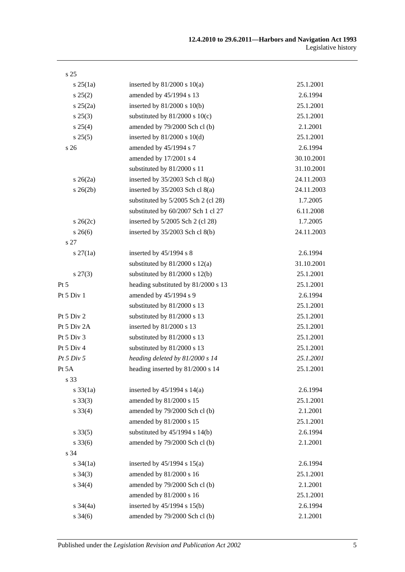| s <sub>25</sub>   |                                     |            |
|-------------------|-------------------------------------|------------|
| $s \, 25(1a)$     | inserted by $81/2000$ s $10(a)$     | 25.1.2001  |
| s 25(2)           | amended by 45/1994 s 13             | 2.6.1994   |
| $s \, 25(2a)$     | inserted by $81/2000$ s $10(b)$     | 25.1.2001  |
| $s\,25(3)$        | substituted by $81/2000$ s $10(c)$  | 25.1.2001  |
| s 25(4)           | amended by 79/2000 Sch cl (b)       | 2.1.2001   |
| s 25(5)           | inserted by $81/2000$ s $10(d)$     | 25.1.2001  |
| s 26              | amended by 45/1994 s 7              | 2.6.1994   |
|                   | amended by 17/2001 s 4              | 30.10.2001 |
|                   | substituted by 81/2000 s 11         | 31.10.2001 |
| $s \; 26(2a)$     | inserted by $35/2003$ Sch cl $8(a)$ | 24.11.2003 |
| $s \, 26(2b)$     | inserted by $35/2003$ Sch cl $8(a)$ | 24.11.2003 |
|                   | substituted by 5/2005 Sch 2 (cl 28) | 1.7.2005   |
|                   | substituted by 60/2007 Sch 1 cl 27  | 6.11.2008  |
| $s \, 26(2c)$     | inserted by 5/2005 Sch 2 (cl 28)    | 1.7.2005   |
| $s \; 26(6)$      | inserted by $35/2003$ Sch cl $8(b)$ | 24.11.2003 |
| s 27              |                                     |            |
| $s \, 27(1a)$     | inserted by 45/1994 s 8             | 2.6.1994   |
|                   | substituted by $81/2000$ s $12(a)$  | 31.10.2001 |
| $s\,27(3)$        | substituted by $81/2000$ s $12(b)$  | 25.1.2001  |
| Pt 5              | heading substituted by 81/2000 s 13 | 25.1.2001  |
| Pt 5 Div 1        | amended by 45/1994 s 9              | 2.6.1994   |
|                   | substituted by 81/2000 s 13         | 25.1.2001  |
| Pt 5 Div 2        | substituted by 81/2000 s 13         | 25.1.2001  |
| Pt 5 Div 2A       | inserted by 81/2000 s 13            | 25.1.2001  |
| Pt 5 Div 3        | substituted by 81/2000 s 13         | 25.1.2001  |
| Pt 5 Div 4        | substituted by 81/2000 s 13         | 25.1.2001  |
| Pt 5 Div 5        | heading deleted by 81/2000 s 14     | 25.1.2001  |
| Pt 5A             | heading inserted by 81/2000 s 14    | 25.1.2001  |
| s 33              |                                     |            |
| $s \, 33(1a)$     | inserted by $45/1994$ s $14(a)$     | 2.6.1994   |
| $s \, 33(3)$      | amended by 81/2000 s 15             | 25.1.2001  |
| $s \, 33(4)$      | amended by 79/2000 Sch cl (b)       | 2.1.2001   |
|                   | amended by 81/2000 s 15             | 25.1.2001  |
| $s \, 33(5)$      | substituted by $45/1994$ s $14(b)$  | 2.6.1994   |
| $s \, 33(6)$      | amended by 79/2000 Sch cl (b)       | 2.1.2001   |
| s 34              |                                     |            |
| $s \frac{34}{1a}$ | inserted by $45/1994$ s $15(a)$     | 2.6.1994   |
| $s \; 34(3)$      | amended by 81/2000 s 16             | 25.1.2001  |
| $s \; 34(4)$      | amended by 79/2000 Sch cl (b)       | 2.1.2001   |
|                   | amended by 81/2000 s 16             | 25.1.2001  |
| $s \frac{34}{4a}$ | inserted by 45/1994 s 15(b)         | 2.6.1994   |
| $s \, 34(6)$      | amended by 79/2000 Sch cl (b)       | 2.1.2001   |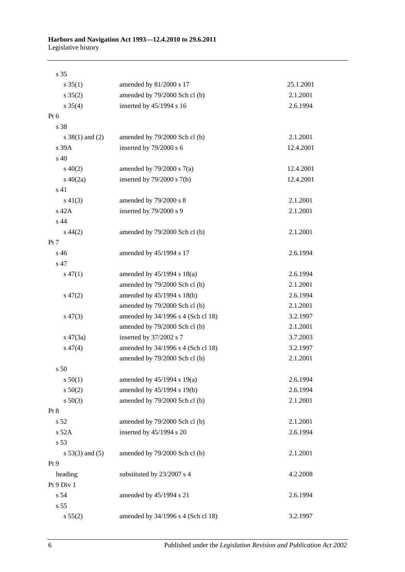| s 35                |                                    |           |
|---------------------|------------------------------------|-----------|
| $s \, 35(1)$        | amended by 81/2000 s 17            | 25.1.2001 |
| $s \, 35(2)$        | amended by 79/2000 Sch cl (b)      | 2.1.2001  |
| $s \; 35(4)$        | inserted by 45/1994 s 16           | 2.6.1994  |
| Pt 6                |                                    |           |
| s 38                |                                    |           |
| s $38(1)$ and $(2)$ | amended by 79/2000 Sch cl (b)      | 2.1.2001  |
| s 39A               | inserted by 79/2000 s 6            | 12.4.2001 |
| s 40                |                                    |           |
| $s\ 40(2)$          | amended by $79/2000$ s $7(a)$      | 12.4.2001 |
| $s\ 40(2a)$         | inserted by $79/2000$ s $7(b)$     | 12.4.2001 |
| s 41                |                                    |           |
| $s\ 41(3)$          | amended by 79/2000 s 8             | 2.1.2001  |
| s 42A               | inserted by 79/2000 s 9            | 2.1.2001  |
| s 44                |                                    |           |
| $s\,44(2)$          | amended by 79/2000 Sch cl (b)      | 2.1.2001  |
| Pt 7                |                                    |           |
| s 46                | amended by 45/1994 s 17            | 2.6.1994  |
| s 47                |                                    |           |
| $s\,47(1)$          | amended by $45/1994$ s $18(a)$     | 2.6.1994  |
|                     | amended by 79/2000 Sch cl (b)      | 2.1.2001  |
| $s\,47(2)$          | amended by 45/1994 s 18(b)         | 2.6.1994  |
|                     | amended by 79/2000 Sch cl (b)      | 2.1.2001  |
| $s\,47(3)$          | amended by 34/1996 s 4 (Sch cl 18) | 3.2.1997  |
|                     | amended by 79/2000 Sch cl (b)      | 2.1.2001  |
| $s\,47(3a)$         | inserted by 37/2002 s 7            | 3.7.2003  |
| $s\,47(4)$          | amended by 34/1996 s 4 (Sch cl 18) | 3.2.1997  |
|                     | amended by 79/2000 Sch cl (b)      | 2.1.2001  |
| s <sub>50</sub>     |                                    |           |
| s 50(1)             | amended by 45/1994 s 19(a)         | 2.6.1994  |
| s 50(2)             | amended by 45/1994 s 19(b)         | 2.6.1994  |
| $s\ 50(3)$          | amended by 79/2000 Sch cl (b)      | 2.1.2001  |
| Pt 8                |                                    |           |
| s 52                | amended by 79/2000 Sch cl (b)      | 2.1.2001  |
| s 52A               | inserted by 45/1994 s 20           | 2.6.1994  |
| s 53                |                                    |           |
| $s 53(3)$ and $(5)$ | amended by 79/2000 Sch cl (b)      | 2.1.2001  |
| Pt <sub>9</sub>     |                                    |           |
| heading             | substituted by 23/2007 s 4         | 4.2.2008  |
| Pt 9 Div 1          |                                    |           |
| s 54                | amended by 45/1994 s 21            | 2.6.1994  |
| s 55                |                                    |           |
| s 55(2)             | amended by 34/1996 s 4 (Sch cl 18) | 3.2.1997  |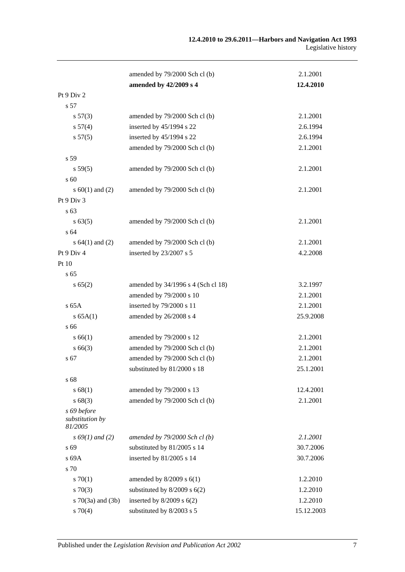|                                           | amended by 79/2000 Sch cl (b)      | 2.1.2001   |
|-------------------------------------------|------------------------------------|------------|
|                                           | amended by 42/2009 s 4             | 12.4.2010  |
| Pt 9 Div 2                                |                                    |            |
| s 57                                      |                                    |            |
| $s\,57(3)$                                | amended by 79/2000 Sch cl (b)      | 2.1.2001   |
| s 57(4)                                   | inserted by 45/1994 s 22           | 2.6.1994   |
| s 57(5)                                   | inserted by 45/1994 s 22           | 2.6.1994   |
|                                           | amended by 79/2000 Sch cl (b)      | 2.1.2001   |
| s 59                                      |                                    |            |
| s 59(5)                                   | amended by 79/2000 Sch cl (b)      | 2.1.2001   |
| s 60                                      |                                    |            |
| s $60(1)$ and $(2)$                       | amended by 79/2000 Sch cl (b)      | 2.1.2001   |
| Pt 9 Div 3                                |                                    |            |
| s 63                                      |                                    |            |
| s 63(5)                                   | amended by 79/2000 Sch cl (b)      | 2.1.2001   |
| s 64                                      |                                    |            |
| s $64(1)$ and $(2)$                       | amended by 79/2000 Sch cl (b)      | 2.1.2001   |
| Pt 9 Div 4                                | inserted by 23/2007 s 5            | 4.2.2008   |
| Pt 10                                     |                                    |            |
| s <sub>65</sub>                           |                                    |            |
| s 65(2)                                   | amended by 34/1996 s 4 (Sch cl 18) | 3.2.1997   |
|                                           | amended by 79/2000 s 10            | 2.1.2001   |
| $s$ 65A                                   | inserted by 79/2000 s 11           | 2.1.2001   |
| s 65A(1)                                  | amended by 26/2008 s 4             | 25.9.2008  |
| s 66                                      |                                    |            |
| s 66(1)                                   | amended by 79/2000 s 12            | 2.1.2001   |
| $s\,66(3)$                                | amended by 79/2000 Sch cl (b)      | 2.1.2001   |
| s 67                                      | amended by 79/2000 Sch cl (b)      | 2.1.2001   |
|                                           | substituted by 81/2000 s 18        | 25.1.2001  |
| s 68                                      |                                    |            |
| s 68(1)                                   | amended by 79/2000 s 13            | 12.4.2001  |
| s68(3)                                    | amended by 79/2000 Sch cl (b)      | 2.1.2001   |
| s 69 before<br>substitution by<br>81/2005 |                                    |            |
| $s\,69(1)$ and (2)                        | amended by $79/2000$ Sch cl (b)    | 2.1.2001   |
| s 69                                      | substituted by 81/2005 s 14        | 30.7.2006  |
| s 69A                                     | inserted by 81/2005 s 14           | 30.7.2006  |
| s 70                                      |                                    |            |
| 570(1)                                    | amended by $8/2009$ s $6(1)$       | 1.2.2010   |
| $s \, 70(3)$                              | substituted by $8/2009$ s $6(2)$   | 1.2.2010   |
| $s \, 70(3a)$ and $(3b)$                  | inserted by $8/2009$ s $6(2)$      | 1.2.2010   |
| $s \, 70(4)$                              | substituted by 8/2003 s 5          | 15.12.2003 |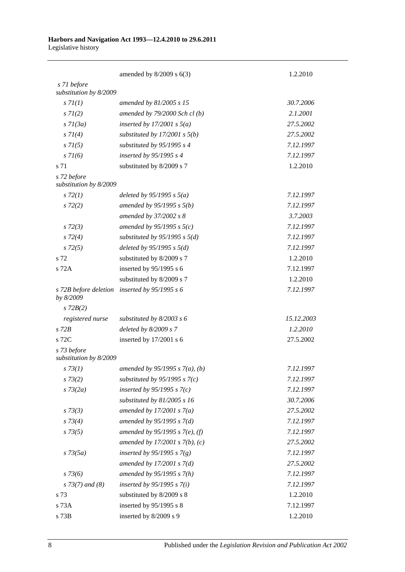|                                       | amended by $8/2009$ s $6(3)$      | 1.2.2010   |
|---------------------------------------|-----------------------------------|------------|
| s 71 before<br>substitution by 8/2009 |                                   |            |
| s 7l(1)                               | amended by 81/2005 s 15           | 30.7.2006  |
| $s \, 7l(2)$                          | amended by $79/2000$ Sch cl(b)    | 2.1.2001   |
| $s \, 7l(3a)$                         | inserted by $17/2001$ s $5(a)$    | 27.5.2002  |
| $s \, 7I(4)$                          | substituted by $17/2001$ s $5(b)$ | 27.5.2002  |
| $s \, 71(5)$                          | substituted by $95/1995 s 4$      | 7.12.1997  |
| $s \, 7l(6)$                          | inserted by 95/1995 s 4           | 7.12.1997  |
| s 71                                  | substituted by 8/2009 s 7         | 1.2.2010   |
| s 72 before<br>substitution by 8/2009 |                                   |            |
| $s\,72(1)$                            | deleted by $95/1995 s 5(a)$       | 7.12.1997  |
| $s\,72(2)$                            | amended by $95/1995 s 5(b)$       | 7.12.1997  |
|                                       | amended by 37/2002 s 8            | 3.7.2003   |
| $s\,72(3)$                            | amended by 95/1995 s $5(c)$       | 7.12.1997  |
| $s\,72(4)$                            | substituted by $95/1995$ s $5(d)$ | 7.12.1997  |
| $s\,72(5)$                            | deleted by $95/1995 s 5(d)$       | 7.12.1997  |
| s 72                                  | substituted by 8/2009 s 7         | 1.2.2010   |
| s 72A                                 | inserted by 95/1995 s 6           | 7.12.1997  |
|                                       | substituted by 8/2009 s 7         | 1.2.2010   |
| s 72B before deletion<br>by 8/2009    | inserted by $95/1995 s 6$         | 7.12.1997  |
| $s$ 72 $B(2)$                         |                                   |            |
| registered nurse                      | substituted by $8/2003$ s 6       | 15.12.2003 |
| $s$ 72 $B$                            | deleted by $8/2009 s 7$           | 1.2.2010   |
| s 72C                                 | inserted by 17/2001 s 6           | 27.5.2002  |
| s 73 before<br>substitution by 8/2009 |                                   |            |
| $s \, 73(1)$                          | amended by 95/1995 s $7(a)$ , (b) | 7.12.1997  |
| $s \, 73(2)$                          | substituted by $95/1995$ s $7(c)$ | 7.12.1997  |
| $s \, 73(2a)$                         | inserted by $95/1995 s 7(c)$      | 7.12.1997  |
|                                       | substituted by $81/2005$ s 16     | 30.7.2006  |
| $s \, 73(3)$                          | amended by $17/2001 s 7(a)$       | 27.5.2002  |
| $s \, 73(4)$                          | amended by $95/1995 s 7(d)$       | 7.12.1997  |
| $s \, 73(5)$                          | amended by 95/1995 s 7(e), (f)    | 7.12.1997  |
|                                       | amended by $17/2001 s 7(b)$ , (c) | 27.5.2002  |
| $s \, 73(5a)$                         | inserted by $95/1995 s 7(g)$      | 7.12.1997  |
|                                       | amended by $17/2001 s 7(d)$       | 27.5.2002  |
| $s \, 73(6)$                          | amended by $95/1995 s 7(h)$       | 7.12.1997  |
| $s$ 73(7) and (8)                     | inserted by $95/1995 s 7(i)$      | 7.12.1997  |
| s 73                                  | substituted by 8/2009 s 8         | 1.2.2010   |
| s 73A                                 | inserted by 95/1995 s 8           | 7.12.1997  |
| s 73B                                 | inserted by 8/2009 s 9            | 1.2.2010   |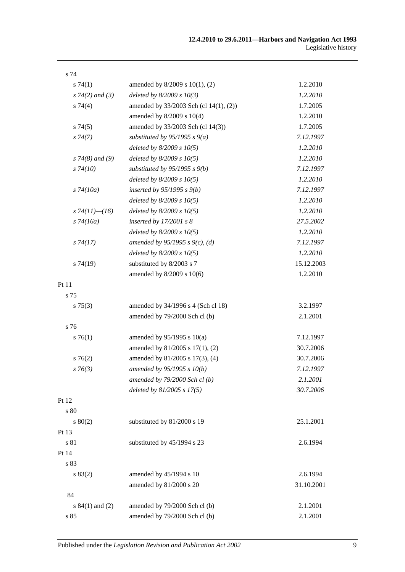| s 74                 |                                        |            |
|----------------------|----------------------------------------|------------|
| s74(1)               | amended by 8/2009 s 10(1), (2)         | 1.2.2010   |
| $s \, 74(2)$ and (3) | deleted by $8/2009 s 10(3)$            | 1.2.2010   |
| s 74(4)              | amended by 33/2003 Sch (cl 14(1), (2)) | 1.7.2005   |
|                      | amended by 8/2009 s 10(4)              | 1.2.2010   |
| s74(5)               | amended by 33/2003 Sch (cl 14(3))      | 1.7.2005   |
| $s\,74(7)$           | substituted by $95/1995 s 9(a)$        | 7.12.1997  |
|                      | deleted by $8/2009 s 10(5)$            | 1.2.2010   |
| $s$ 74(8) and (9)    | deleted by $8/2009 s 10(5)$            | 1.2.2010   |
| $s\,74(10)$          | substituted by $95/1995$ s $9(b)$      | 7.12.1997  |
|                      | deleted by $8/2009 s 10(5)$            | 1.2.2010   |
| $s\,74(10a)$         | inserted by $95/1995 s 9(b)$           | 7.12.1997  |
|                      | deleted by $8/2009 s 10(5)$            | 1.2.2010   |
| s $74(11)$ — $(16)$  | deleted by $8/2009 s 10(5)$            | 1.2.2010   |
| $s\,74(16a)$         | inserted by $17/2001 s 8$              | 27.5.2002  |
|                      | deleted by $8/2009 s 10(5)$            | 1.2.2010   |
| $s\,74(17)$          | amended by 95/1995 s 9(c), (d)         | 7.12.1997  |
|                      | deleted by $8/2009 s 10(5)$            | 1.2.2010   |
| s74(19)              | substituted by 8/2003 s 7              | 15.12.2003 |
|                      | amended by 8/2009 s 10(6)              | 1.2.2010   |
| Pt 11                |                                        |            |
| s 75                 |                                        |            |
| $s \, 75(3)$         | amended by 34/1996 s 4 (Sch cl 18)     | 3.2.1997   |
|                      | amended by 79/2000 Sch cl (b)          | 2.1.2001   |
| s 76                 |                                        |            |
| $s \, 76(1)$         | amended by $95/1995$ s $10(a)$         | 7.12.1997  |
|                      | amended by 81/2005 s 17(1), (2)        | 30.7.2006  |
| $s \, 76(2)$         | amended by 81/2005 s 17(3), (4)        | 30.7.2006  |
| $s \, 76(3)$         | amended by 95/1995 s 10(b)             | 7.12.1997  |
|                      | amended by 79/2000 Sch cl (b)          | 2.1.2001   |
|                      | deleted by 81/2005 s 17(5)             | 30.7.2006  |
| Pt 12                |                                        |            |
| s 80                 |                                        |            |
| 80(2)                | substituted by 81/2000 s 19            | 25.1.2001  |
| Pt 13                |                                        |            |
| s 81                 | substituted by 45/1994 s 23            | 2.6.1994   |
| Pt 14                |                                        |            |
| s 83                 |                                        |            |
| s 83(2)              | amended by 45/1994 s 10                | 2.6.1994   |
|                      | amended by 81/2000 s 20                | 31.10.2001 |
| 84                   |                                        |            |
| s $84(1)$ and $(2)$  | amended by 79/2000 Sch cl (b)          | 2.1.2001   |
| s 85                 | amended by 79/2000 Sch cl (b)          | 2.1.2001   |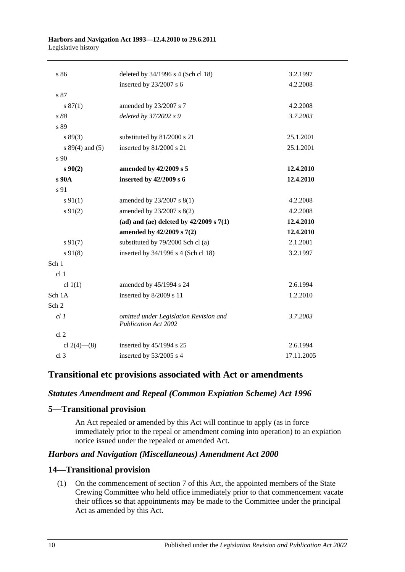| s 86              | deleted by 34/1996 s 4 (Sch cl 18)                                    | 3.2.1997   |
|-------------------|-----------------------------------------------------------------------|------------|
|                   | inserted by 23/2007 s 6                                               | 4.2.2008   |
| s 87              |                                                                       |            |
| s 87(1)           | amended by 23/2007 s 7                                                | 4.2.2008   |
| s 88              | deleted by 37/2002 s 9                                                | 3.7.2003   |
| s 89              |                                                                       |            |
| s 89(3)           | substituted by 81/2000 s 21                                           | 25.1.2001  |
| $s 89(4)$ and (5) | inserted by 81/2000 s 21                                              | 25.1.2001  |
| s 90              |                                                                       |            |
| $s \, 90(2)$      | amended by 42/2009 s 5                                                | 12.4.2010  |
| s 90A             | inserted by 42/2009 s 6                                               | 12.4.2010  |
| s 91              |                                                                       |            |
| $s \, 91(1)$      | amended by 23/2007 s 8(1)                                             | 4.2.2008   |
| $s \, 91(2)$      | amended by 23/2007 s 8(2)                                             | 4.2.2008   |
|                   | (ad) and (ae) deleted by $42/2009$ s $7(1)$                           | 12.4.2010  |
|                   | amended by 42/2009 s 7(2)                                             | 12.4.2010  |
| $s\,91(7)$        | substituted by 79/2000 Sch cl (a)                                     | 2.1.2001   |
| $s\,91(8)$        | inserted by 34/1996 s 4 (Sch cl 18)                                   | 3.2.1997   |
| Sch 1             |                                                                       |            |
| cl <sub>1</sub>   |                                                                       |            |
| cl $1(1)$         | amended by 45/1994 s 24                                               | 2.6.1994   |
| Sch 1A            | inserted by 8/2009 s 11                                               | 1.2.2010   |
| Sch <sub>2</sub>  |                                                                       |            |
| $cl$ $1$          | omitted under Legislation Revision and<br><b>Publication Act 2002</b> | 3.7.2003   |
| cl <sub>2</sub>   |                                                                       |            |
| cl $2(4)$ - (8)   | inserted by 45/1994 s 25                                              | 2.6.1994   |
| cl <sub>3</sub>   | inserted by 53/2005 s 4                                               | 17.11.2005 |
|                   |                                                                       |            |

## **Transitional etc provisions associated with Act or amendments**

## *Statutes Amendment and Repeal (Common Expiation Scheme) Act 1996*

## **5—Transitional provision**

An Act repealed or amended by this Act will continue to apply (as in force immediately prior to the repeal or amendment coming into operation) to an expiation notice issued under the repealed or amended Act.

## *Harbors and Navigation (Miscellaneous) Amendment Act 2000*

## **14—Transitional provision**

(1) On the commencement of section 7 of this Act, the appointed members of the State Crewing Committee who held office immediately prior to that commencement vacate their offices so that appointments may be made to the Committee under the principal Act as amended by this Act.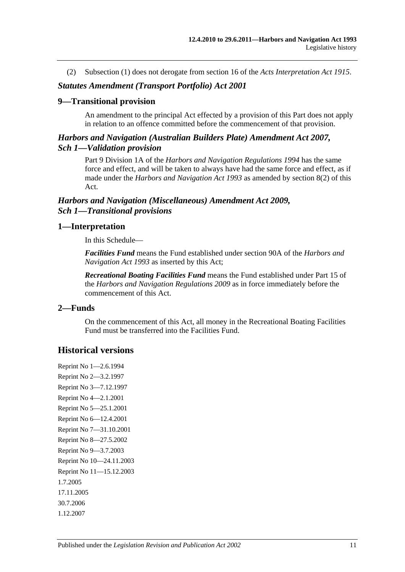(2) Subsection (1) does not derogate from section 16 of the *[Acts Interpretation Act](http://www.legislation.sa.gov.au/index.aspx?action=legref&type=act&legtitle=Acts%20Interpretation%20Act%201915) 1915*.

### *Statutes Amendment (Transport Portfolio) Act 2001*

#### **9—Transitional provision**

An amendment to the principal Act effected by a provision of this Part does not apply in relation to an offence committed before the commencement of that provision.

## *Harbors and Navigation (Australian Builders Plate) Amendment Act 2007, Sch 1—Validation provision*

Part 9 Division 1A of the *[Harbors and Navigation Regulations](http://www.legislation.sa.gov.au/index.aspx?action=legref&type=subordleg&legtitle=Harbors%20and%20Navigation%20Regulations%201994) 1994* has the same force and effect, and will be taken to always have had the same force and effect, as if made under the *[Harbors and Navigation Act](http://www.legislation.sa.gov.au/index.aspx?action=legref&type=act&legtitle=Harbors%20and%20Navigation%20Act%201993) 1993* as amended by section 8(2) of this Act.

## *Harbors and Navigation (Miscellaneous) Amendment Act 2009, Sch 1—Transitional provisions*

## **1—Interpretation**

In this Schedule—

*Facilities Fund* means the Fund established under section 90A of the *[Harbors and](http://www.legislation.sa.gov.au/index.aspx?action=legref&type=act&legtitle=Harbors%20and%20Navigation%20Act%201993)  [Navigation Act](http://www.legislation.sa.gov.au/index.aspx?action=legref&type=act&legtitle=Harbors%20and%20Navigation%20Act%201993) 1993* as inserted by this Act;

*Recreational Boating Facilities Fund* means the Fund established under Part 15 of the *[Harbors and Navigation Regulations](http://www.legislation.sa.gov.au/index.aspx?action=legref&type=subordleg&legtitle=Harbors%20and%20Navigation%20Regulations%202009) 2009* as in force immediately before the commencement of this Act.

## **2—Funds**

On the commencement of this Act, all money in the Recreational Boating Facilities Fund must be transferred into the Facilities Fund.

## **Historical versions**

Reprint No 1—2.6.1994 Reprint No 2—3.2.1997 Reprint No 3—7.12.1997 Reprint No 4—2.1.2001 Reprint No 5—25.1.2001 Reprint No 6—12.4.2001 Reprint No 7—31.10.2001 Reprint No 8—27.5.2002 Reprint No 9—3.7.2003 Reprint No 10—24.11.2003 Reprint No 11—15.12.2003 1.7.2005 17.11.2005 30.7.2006 1.12.2007